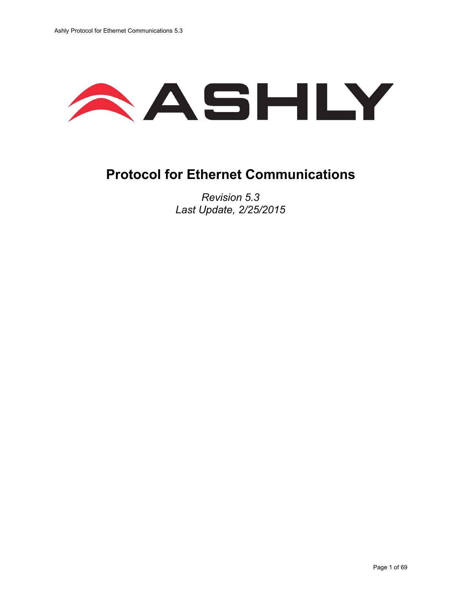

## **Protocol for Ethernet Communications**

*Revision 5.3 Last Update, 2/25/2015*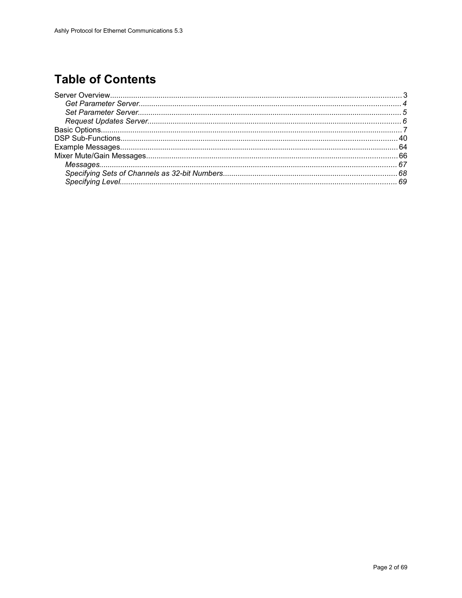## **Table of Contents**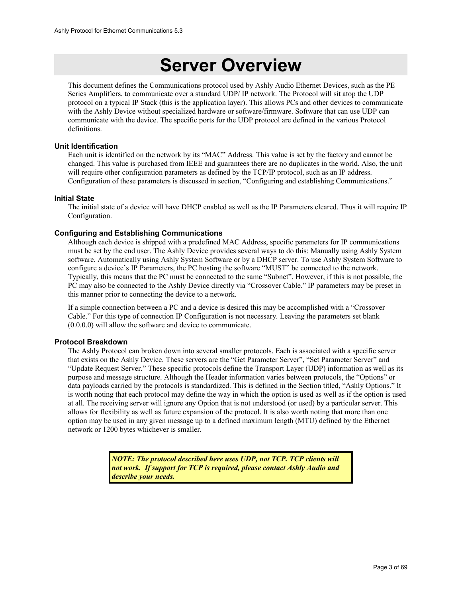## **Server Overview**

This document defines the Communications protocol used by Ashly Audio Ethernet Devices, such as the PE Series Amplifiers, to communicate over a standard UDP/ IP network. The Protocol will sit atop the UDP protocol on a typical IP Stack (this is the application layer). This allows PCs and other devices to communicate with the Ashly Device without specialized hardware or software/firmware. Software that can use UDP can communicate with the device. The specific ports for the UDP protocol are defined in the various Protocol definitions.

#### **Unit Identification**

Each unit is identified on the network by its "MAC" Address. This value is set by the factory and cannot be changed. This value is purchased from IEEE and guarantees there are no duplicates in the world. Also, the unit will require other configuration parameters as defined by the TCP/IP protocol, such as an IP address. Configuration of these parameters is discussed in section, "Configuring and establishing Communications."

#### **Initial State**

The initial state of a device will have DHCP enabled as well as the IP Parameters cleared. Thus it will require IP Configuration.

#### **Configuring and Establishing Communications**

Although each device is shipped with a predefined MAC Address, specific parameters for IP communications must be set by the end user. The Ashly Device provides several ways to do this: Manually using Ashly System software, Automatically using Ashly System Software or by a DHCP server. To use Ashly System Software to configure a device's IP Parameters, the PC hosting the software "MUST" be connected to the network. Typically, this means that the PC must be connected to the same "Subnet". However, if this is not possible, the PC may also be connected to the Ashly Device directly via "Crossover Cable." IP parameters may be preset in this manner prior to connecting the device to a network.

If a simple connection between a PC and a device is desired this may be accomplished with a "Crossover Cable." For this type of connection IP Configuration is not necessary. Leaving the parameters set blank (0.0.0.0) will allow the software and device to communicate.

#### **Protocol Breakdown**

The Ashly Protocol can broken down into several smaller protocols. Each is associated with a specific server that exists on the Ashly Device. These servers are the "Get Parameter Server", "Set Parameter Server" and "Update Request Server." These specific protocols define the Transport Layer (UDP) information as well as its purpose and message structure. Although the Header information varies between protocols, the "Options" or data payloads carried by the protocols is standardized. This is defined in the Section titled, "Ashly Options." It is worth noting that each protocol may define the way in which the option is used as well as if the option is used at all. The receiving server will ignore any Option that is not understood (or used) by a particular server. This allows for flexibility as well as future expansion of the protocol. It is also worth noting that more than one option may be used in any given message up to a defined maximum length (MTU) defined by the Ethernet network or 1200 bytes whichever is smaller.

> *NOTE: The protocol described here uses UDP, not TCP. TCP clients will not work. If support for TCP is required, please contact Ashly Audio and describe your needs.*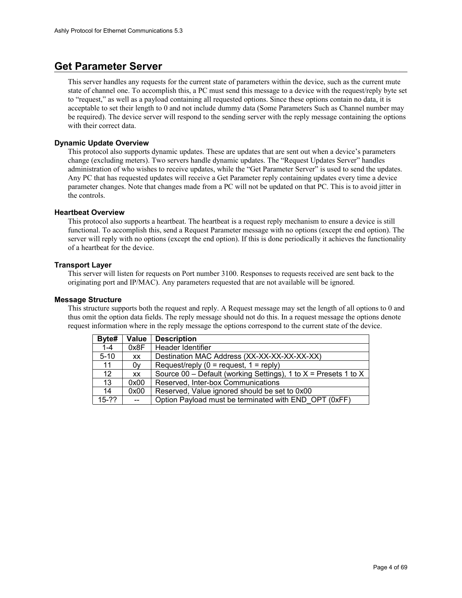### **Get Parameter Server**

This server handles any requests for the current state of parameters within the device, such as the current mute state of channel one. To accomplish this, a PC must send this message to a device with the request/reply byte set to "request," as well as a payload containing all requested options. Since these options contain no data, it is acceptable to set their length to 0 and not include dummy data (Some Parameters Such as Channel number may be required). The device server will respond to the sending server with the reply message containing the options with their correct data.

#### **Dynamic Update Overview**

This protocol also supports dynamic updates. These are updates that are sent out when a device's parameters change (excluding meters). Two servers handle dynamic updates. The "Request Updates Server" handles administration of who wishes to receive updates, while the "Get Parameter Server" is used to send the updates. Any PC that has requested updates will receive a Get Parameter reply containing updates every time a device parameter changes. Note that changes made from a PC will not be updated on that PC. This is to avoid jitter in the controls.

#### **Heartbeat Overview**

This protocol also supports a heartbeat. The heartbeat is a request reply mechanism to ensure a device is still functional. To accomplish this, send a Request Parameter message with no options (except the end option). The server will reply with no options (except the end option). If this is done periodically it achieves the functionality of a heartbeat for the device.

#### **Transport Layer**

This server will listen for requests on Port number 3100. Responses to requests received are sent back to the originating port and IP/MAC). Any parameters requested that are not available will be ignored.

#### **Message Structure**

This structure supports both the request and reply. A Request message may set the length of all options to 0 and thus omit the option data fields. The reply message should not do this. In a request message the options denote request information where in the reply message the options correspond to the current state of the device.

| Byte#    | Value     | <b>Description</b>                                                |
|----------|-----------|-------------------------------------------------------------------|
| $1 - 4$  | 0x8F      | Header Identifier                                                 |
| $5 - 10$ | <b>XX</b> | Destination MAC Address (XX-XX-XX-XX-XX-XX)                       |
| 11       | 0٧        | Request/reply $(0 =$ request, $1 =$ reply)                        |
| 12       | <b>XX</b> | Source 00 – Default (working Settings), 1 to $X =$ Presets 1 to X |
| 13       | 0x00      | Reserved, Inter-box Communications                                |
| 14       | 0x00      | Reserved, Value ignored should be set to 0x00                     |
| $15-??$  | $ -$      | Option Payload must be terminated with END OPT (0xFF)             |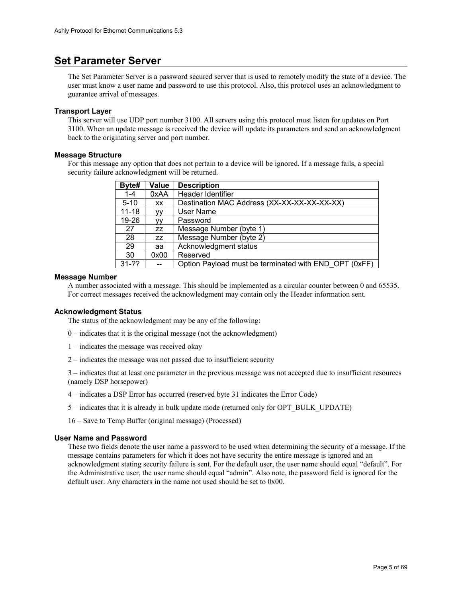### **Set Parameter Server**

The Set Parameter Server is a password secured server that is used to remotely modify the state of a device. The user must know a user name and password to use this protocol. Also, this protocol uses an acknowledgment to guarantee arrival of messages.

#### **Transport Layer**

This server will use UDP port number 3100. All servers using this protocol must listen for updates on Port 3100. When an update message is received the device will update its parameters and send an acknowledgment back to the originating server and port number.

#### **Message Structure**

For this message any option that does not pertain to a device will be ignored. If a message fails, a special security failure acknowledgment will be returned.

| Byte#     | Value  | <b>Description</b>                                    |
|-----------|--------|-------------------------------------------------------|
| $1 - 4$   | 0xAA   | Header Identifier                                     |
| $5 - 10$  | XX     | Destination MAC Address (XX-XX-XX-XX-XX-XX)           |
| $11 - 18$ | ٧V     | User Name                                             |
| 19-26     | ٧V     | Password                                              |
| 27        | ZZ     | Message Number (byte 1)                               |
| 28        | ZZ     | Message Number (byte 2)                               |
| 29        | aa     | Acknowledgment status                                 |
| 30        | 0x00   | Reserved                                              |
| $31 - ??$ | $\sim$ | Option Payload must be terminated with END OPT (0xFF) |

#### **Message Number**

A number associated with a message. This should be implemented as a circular counter between 0 and 65535. For correct messages received the acknowledgment may contain only the Header information sent.

#### **Acknowledgment Status**

The status of the acknowledgment may be any of the following:

- 0 indicates that it is the original message (not the acknowledgment)
- 1 indicates the message was received okay
- 2 indicates the message was not passed due to insufficient security

3 – indicates that at least one parameter in the previous message was not accepted due to insufficient resources (namely DSP horsepower)

- 4 indicates a DSP Error has occurred (reserved byte 31 indicates the Error Code)
- 5 indicates that it is already in bulk update mode (returned only for OPT\_BULK\_UPDATE)

16 – Save to Temp Buffer (original message) (Processed)

#### **User Name and Password**

These two fields denote the user name a password to be used when determining the security of a message. If the message contains parameters for which it does not have security the entire message is ignored and an acknowledgment stating security failure is sent. For the default user, the user name should equal "default". For the Administrative user, the user name should equal "admin". Also note, the password field is ignored for the default user. Any characters in the name not used should be set to 0x00.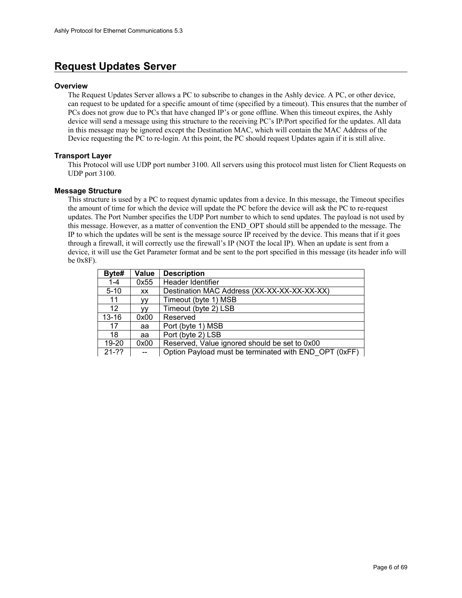### **Request Updates Server**

#### **Overview**

The Request Updates Server allows a PC to subscribe to changes in the Ashly device. A PC, or other device, can request to be updated for a specific amount of time (specified by a timeout). This ensures that the number of PCs does not grow due to PCs that have changed IP's or gone offline. When this timeout expires, the Ashly device will send a message using this structure to the receiving PC's IP/Port specified for the updates. All data in this message may be ignored except the Destination MAC, which will contain the MAC Address of the Device requesting the PC to re-login. At this point, the PC should request Updates again if it is still alive.

#### **Transport Layer**

This Protocol will use UDP port number 3100. All servers using this protocol must listen for Client Requests on UDP port 3100.

#### **Message Structure**

This structure is used by a PC to request dynamic updates from a device. In this message, the Timeout specifies the amount of time for which the device will update the PC before the device will ask the PC to re-request updates. The Port Number specifies the UDP Port number to which to send updates. The payload is not used by this message. However, as a matter of convention the END\_OPT should still be appended to the message. The IP to which the updates will be sent is the message source IP received by the device. This means that if it goes through a firewall, it will correctly use the firewall's IP (NOT the local IP). When an update is sent from a device, it will use the Get Parameter format and be sent to the port specified in this message (its header info will be 0x8F).

| Byte#             | Value     | <b>Description</b>                                    |
|-------------------|-----------|-------------------------------------------------------|
| $1 - 4$           | 0x55      | Header Identifier                                     |
| $5 - 10$          | <b>XX</b> | Destination MAC Address (XX-XX-XX-XX-XX-XX)           |
| 11                | ۷V        | Timeout (byte 1) MSB                                  |
| $12 \overline{ }$ | ٧V        | Timeout (byte 2) LSB                                  |
| $13 - 16$         | 0x00      | Reserved                                              |
| 17                | aa        | Port (byte 1) MSB                                     |
| 18                | aa        | Port (byte 2) LSB                                     |
| 19-20             | 0x00      | Reserved, Value ignored should be set to 0x00         |
| $21 - 22$         |           | Option Payload must be terminated with END OPT (0xFF) |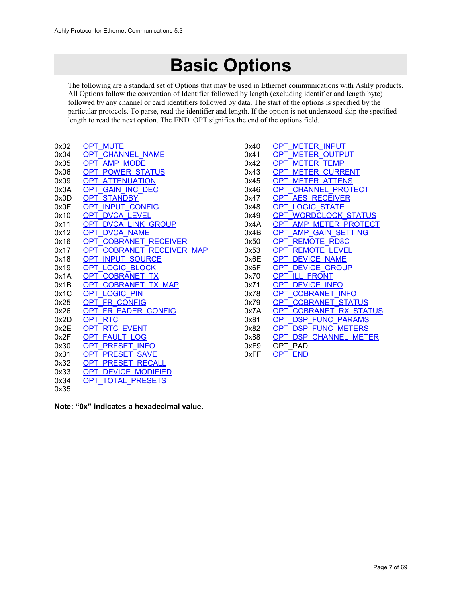# **Basic Options**

The following are a standard set of Options that may be used in Ethernet communications with Ashly products. All Options follow the convention of Identifier followed by length (excluding identifier and length byte) followed by any channel or card identifiers followed by data. The start of the options is specified by the particular protocols. To parse, read the identifier and length. If the option is not understood skip the specified length to read the next option. The END\_OPT signifies the end of the options field.

| 0x02 | OPT MUTE                             |
|------|--------------------------------------|
| 0x04 | <b>CHANNEL NAME</b><br>OPT           |
| 0x05 | <b>AMP MODE</b><br>OPT               |
| 0x06 | <b>POWER STATUS</b><br><b>OPT</b>    |
| 0x09 | <b>ATTENUATION</b><br>OPT.           |
| 0x0A | <b>GAIN INC DEC</b><br>OPT           |
| 0x0D | <b>STANDBY</b><br><b>OPT</b>         |
| 0x0F | OPT INPUT CONFIG                     |
| 0x10 | <b>DVCA LEVEL</b><br>OPT.            |
| 0x11 | <b>DVCA LINK GROUP</b><br>OPT        |
| 0x12 | <b>DVCA NAME</b><br>OPT              |
| 0x16 | <b>COBRANET RECEIVER</b><br>OPT      |
| 0x17 | <b>COBRANET RECEIVER MAP</b><br>OPT  |
| 0x18 | <b>INPUT SOURCE</b><br>OPT.          |
| 0x19 | <b>LOGIC BLOCK</b><br>OPT.           |
| 0x1A | <b>COBRANET TX</b><br><b>OPT</b>     |
| 0x1B | <b>COBRANET TX MAP</b><br><b>OPT</b> |
| 0x1C | <b>LOGIC PIN</b><br>OPT              |
| 0x25 | <b>FR CONFIG</b><br>OPT.             |
| 0x26 | FR FADER CONFIG<br>OPT               |
| 0x2D | OPT RTC                              |
| 0x2E | <b>RTC EVENT</b><br>OPT.             |
| 0x2F | <b>FAULT LOG</b><br>OPT              |
| 0x30 | <b>PRESET INFO</b><br><b>OPT</b>     |
| 0x31 | <b>PRESET</b><br><b>SAVE</b><br>OPT  |
| 0x32 | <b>PRESET RECALL</b><br>OPT          |
| 0x33 | <b>DEVICE MODIFIED</b><br>OPT        |
| 0x34 | OPT TOTAL PRESETS                    |
| 0x35 |                                      |

| 0x40 | <b>METER INPUT</b><br>OP.            |
|------|--------------------------------------|
| 0x41 | <b>OUTPUT</b><br>ΩP<br>MFTFR         |
| 0x42 | METER TEMP                           |
| 0x43 | <b>CURRENT</b><br>METFR<br>ΩP        |
| 0x45 | METER ATTENS                         |
| 0x46 | CHANNEL PROTECT                      |
| 0x47 | AES RECEIVER<br>OP                   |
| 0x48 | <b>OGIC STATE</b>                    |
| 0x49 | WORDCLOCK STATUS                     |
| 0x4A | <b>METER PROTECT</b><br>AMP<br>ΩP    |
| 0x4B | <b>SETTING</b><br>AMP<br><b>GAIN</b> |
| 0x50 | RD <sub>8</sub> C<br>REMOTE          |
| 0x53 | .EVEL<br>REMOTE                      |
| 0x6F | <b>NAMF</b><br><b>EVICE</b><br>ΩP    |
| 0x6F | <b>GROUP</b><br>VICE                 |
| 0x70 | <b>FRONT</b><br>OP.<br>88 E B        |
| 0x71 | <b>FVICE INFO</b>                    |
| 0x78 | <b>COBRANET INFO</b>                 |
| 0x79 | <b>STATUS</b><br><b>DBRANET</b>      |
| 0x7A | RX STATUS<br><b>COBRANET</b><br>NΡ   |
| 0x81 | <b>FUNC</b><br><b>PARAMS</b><br>ISP. |
| 0x82 | <b>FUNC METERS</b><br>DSP<br>OΡ      |
| 0x88 | <b>CHANNEL METER</b><br>DSP          |
| 0xF9 | PAD<br>OP1.                          |
| 0xFF | END                                  |
|      |                                      |

**Note: "0x" indicates a hexadecimal value.**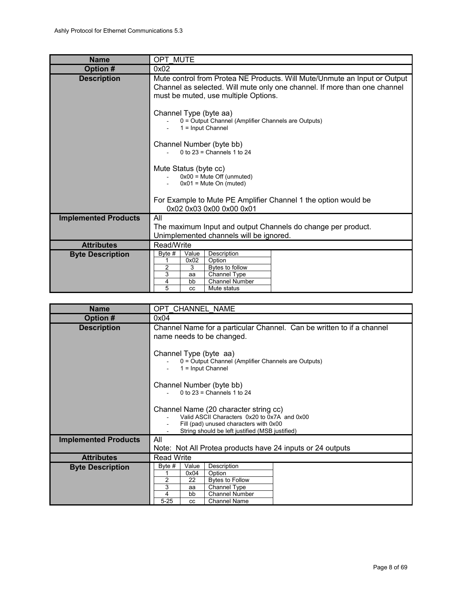<span id="page-7-0"></span>

| <b>Name</b>                 | OPT MUTE                                                                                                                                                                                       |  |  |  |  |
|-----------------------------|------------------------------------------------------------------------------------------------------------------------------------------------------------------------------------------------|--|--|--|--|
| Option #                    | 0x02                                                                                                                                                                                           |  |  |  |  |
| <b>Description</b>          | Mute control from Protea NE Products. Will Mute/Unmute an Input or Output<br>Channel as selected. Will mute only one channel. If more than one channel<br>must be muted, use multiple Options. |  |  |  |  |
|                             | Channel Type (byte aa)<br>0 = Output Channel (Amplifier Channels are Outputs)<br>$1 =$ Input Channel                                                                                           |  |  |  |  |
|                             | Channel Number (byte bb)<br>0 to $23$ = Channels 1 to $24$                                                                                                                                     |  |  |  |  |
|                             | Mute Status (byte cc)<br>$0x00$ = Mute Off (unmuted)<br>$0x01$ = Mute On (muted)                                                                                                               |  |  |  |  |
|                             | For Example to Mute PE Amplifier Channel 1 the option would be<br>0x02 0x03 0x00 0x00 0x01                                                                                                     |  |  |  |  |
| <b>Implemented Products</b> | All<br>The maximum Input and output Channels do change per product.<br>Unimplemented channels will be ignored.                                                                                 |  |  |  |  |
| <b>Attributes</b>           | Read/Write                                                                                                                                                                                     |  |  |  |  |
| <b>Byte Description</b>     | Value<br>Description<br>Byte $#$<br>0x02<br>Option<br>2<br>3<br>Bytes to follow<br>$\overline{3}$<br>Channel Type<br>aa<br>4<br><b>Channel Number</b><br>bb<br>5<br>Mute status<br>CC.         |  |  |  |  |

<span id="page-7-1"></span>

| <b>Name</b>                 | OPT CHANNEL NAME                                                                                                                                                                                                    |  |  |  |  |
|-----------------------------|---------------------------------------------------------------------------------------------------------------------------------------------------------------------------------------------------------------------|--|--|--|--|
| Option #                    | 0x04                                                                                                                                                                                                                |  |  |  |  |
| <b>Description</b>          | Channel Name for a particular Channel. Can be written to if a channel<br>name needs to be changed.                                                                                                                  |  |  |  |  |
|                             | Channel Type (byte aa)<br>0 = Output Channel (Amplifier Channels are Outputs)<br>$1 =$ Input Channel                                                                                                                |  |  |  |  |
|                             | Channel Number (byte bb)<br>0 to $23$ = Channels 1 to $24$                                                                                                                                                          |  |  |  |  |
|                             | Channel Name (20 character string cc)<br>Valid ASCII Characters 0x20 to 0x7A and 0x00<br>Fill (pad) unused characters with 0x00<br>String should be left justified (MSB justified)                                  |  |  |  |  |
| <b>Implemented Products</b> | All<br>Note: Not All Protea products have 24 inputs or 24 outputs                                                                                                                                                   |  |  |  |  |
| <b>Attributes</b>           | <b>Read Write</b>                                                                                                                                                                                                   |  |  |  |  |
| <b>Byte Description</b>     | Description<br>Byte $#$<br>Value<br>0x04<br>Option<br>$\overline{2}$<br><b>Bytes to Follow</b><br>22<br>3<br>Channel Type<br>aa<br>4<br><b>Channel Number</b><br>bb<br>$5 - 25$<br><b>Channel Name</b><br><b>CC</b> |  |  |  |  |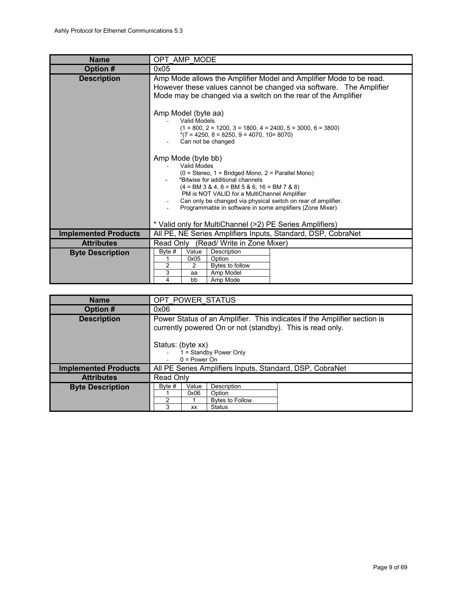<span id="page-8-1"></span>

| <b>Name</b>                 | OPT AMP MODE                                                                                                                                                                                                                                                                                                                                               |  |  |  |  |
|-----------------------------|------------------------------------------------------------------------------------------------------------------------------------------------------------------------------------------------------------------------------------------------------------------------------------------------------------------------------------------------------------|--|--|--|--|
| Option #                    | 0x05                                                                                                                                                                                                                                                                                                                                                       |  |  |  |  |
| <b>Description</b>          | Amp Mode allows the Amplifier Model and Amplifier Mode to be read.<br>However these values cannot be changed via software. The Amplifier<br>Mode may be changed via a switch on the rear of the Amplifier<br>Amp Model (byte aa)                                                                                                                           |  |  |  |  |
|                             | Valid Models<br>$(1 = 800, 2 = 1200, 3 = 1800, 4 = 2400, 5 = 3000, 6 = 3800)$<br>$*(7 = 4250, 8 = 8250, 9 = 4070, 10 = 8070)$<br>Can not be changed                                                                                                                                                                                                        |  |  |  |  |
|                             | Amp Mode (byte bb)<br>Valid Modes<br>$(0 = Stereo, 1 = Bridged Mono, 2 = Parallel Mono)$<br>*Bitwise for additional channels<br>$(4 = BM 3 & 4, 8 = BM 5 & 6, 16 = BM 7 & 8)$<br>PM is NOT VALID for a MultiChannel Amplifier<br>Can only be changed via physical switch on rear of amplifier.<br>Programmable in software in some amplifiers (Zone Mixer) |  |  |  |  |
|                             | * Valid only for MultiChannel (>2) PE Series Amplifiers)                                                                                                                                                                                                                                                                                                   |  |  |  |  |
| <b>Implemented Products</b> | All PE, NE Series Amplifiers Inputs, Standard, DSP, CobraNet                                                                                                                                                                                                                                                                                               |  |  |  |  |
| <b>Attributes</b>           | Read Only<br>(Read/ Write in Zone Mixer)                                                                                                                                                                                                                                                                                                                   |  |  |  |  |
| <b>Byte Description</b>     | Description<br>Byte $#$<br>Value<br>0x05<br>Option<br>2<br>Bytes to follow<br>$\overline{2}$<br>3<br>Amp Model<br>aa<br>4<br>bb<br>Amp Mode                                                                                                                                                                                                                |  |  |  |  |

<span id="page-8-0"></span>

| <b>Name</b>                 | OPT POWER STATUS                                                                                                                                                                                       |                     |                                                                  |  |  |
|-----------------------------|--------------------------------------------------------------------------------------------------------------------------------------------------------------------------------------------------------|---------------------|------------------------------------------------------------------|--|--|
| Option #                    | 0x06                                                                                                                                                                                                   |                     |                                                                  |  |  |
| <b>Description</b>          | Power Status of an Amplifier. This indicates if the Amplifier section is<br>currently powered On or not (standby). This is read only.<br>Status: (byte xx)<br>1 = Standby Power Only<br>$0 = Power On$ |                     |                                                                  |  |  |
| <b>Implemented Products</b> | All PE Series Amplifiers Inputs, Standard, DSP, CobraNet                                                                                                                                               |                     |                                                                  |  |  |
| <b>Attributes</b>           | Read Only                                                                                                                                                                                              |                     |                                                                  |  |  |
| <b>Byte Description</b>     | Byte #<br>2<br>3                                                                                                                                                                                       | Value<br>0x06<br>XX | Description<br>Option<br><b>Bytes to Follow</b><br><b>Status</b> |  |  |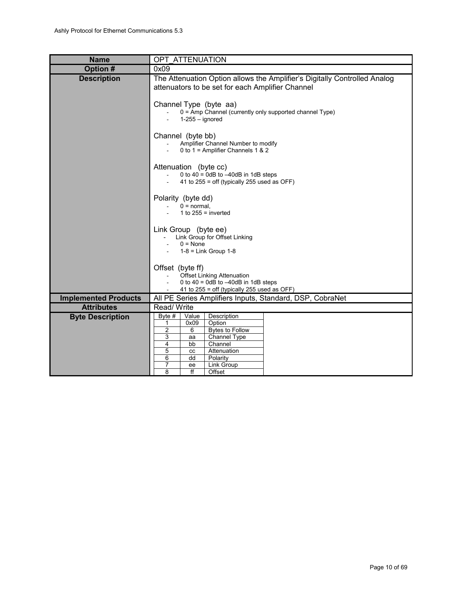<span id="page-9-0"></span>

| <b>Name</b>                 | OPT ATTENUATION                                                                                                                                                                                                |  |  |  |  |
|-----------------------------|----------------------------------------------------------------------------------------------------------------------------------------------------------------------------------------------------------------|--|--|--|--|
| Option #                    | 0x09                                                                                                                                                                                                           |  |  |  |  |
| <b>Description</b>          | The Attenuation Option allows the Amplifier's Digitally Controlled Analog<br>attenuators to be set for each Amplifier Channel                                                                                  |  |  |  |  |
|                             | Channel Type (byte aa)<br>0 = Amp Channel (currently only supported channel Type)<br>$1-255 -$ ignored                                                                                                         |  |  |  |  |
|                             | Channel (byte bb)<br>Amplifier Channel Number to modify<br>0 to 1 = Amplifier Channels 1 & 2                                                                                                                   |  |  |  |  |
|                             | Attenuation (byte cc)<br>0 to 40 = 0dB to $-40$ dB in 1dB steps<br>41 to $255$ = off (typically 255 used as OFF)                                                                                               |  |  |  |  |
|                             | Polarity (byte dd)<br>$0 = normal$ .<br>1 to $255$ = inverted                                                                                                                                                  |  |  |  |  |
|                             | Link Group (byte ee)<br>Link Group for Offset Linking<br>$\sim$<br>$0 = None$<br>$1-8$ = Link Group $1-8$                                                                                                      |  |  |  |  |
|                             | Offset (byte ff)<br><b>Offset Linking Attenuation</b><br>0 to $40 = 0dB$ to $-40dB$ in 1dB steps<br>41 to $255$ = off (typically 255 used as OFF)                                                              |  |  |  |  |
| <b>Implemented Products</b> | All PE Series Amplifiers Inputs, Standard, DSP, CobraNet                                                                                                                                                       |  |  |  |  |
| <b>Attributes</b>           | Read/Write                                                                                                                                                                                                     |  |  |  |  |
| <b>Byte Description</b>     | Description<br>Byte #<br>Value<br>0x09<br>Option<br>1<br>2<br>6<br><b>Bytes to Follow</b><br>3<br>Channel Type<br>aa<br>4<br>Channel<br>bb<br>5<br>Attenuation<br>cc<br>6<br>Polarity<br>dd<br>7<br>Link Group |  |  |  |  |
|                             | ee<br>8<br>ff<br>Offset                                                                                                                                                                                        |  |  |  |  |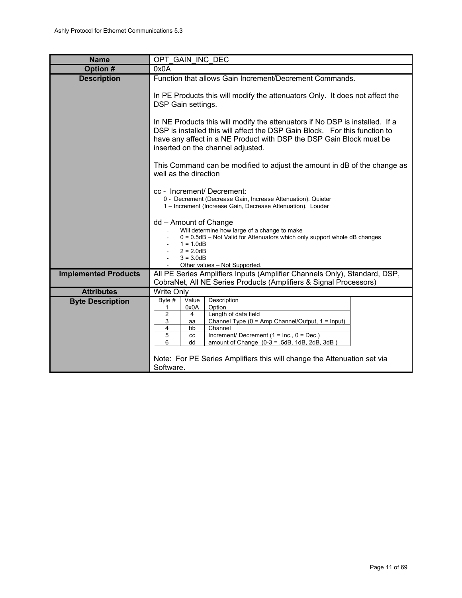<span id="page-10-0"></span>

| <b>Name</b>                 | OPT GAIN INC DEC                                                                                                                                                                                                                                                       |  |  |  |  |
|-----------------------------|------------------------------------------------------------------------------------------------------------------------------------------------------------------------------------------------------------------------------------------------------------------------|--|--|--|--|
| Option #                    | 0x0A                                                                                                                                                                                                                                                                   |  |  |  |  |
| <b>Description</b>          | Function that allows Gain Increment/Decrement Commands.                                                                                                                                                                                                                |  |  |  |  |
|                             | In PE Products this will modify the attenuators Only. It does not affect the<br>DSP Gain settings.                                                                                                                                                                     |  |  |  |  |
|                             | In NE Products this will modify the attenuators if No DSP is installed. If a<br>DSP is installed this will affect the DSP Gain Block. For this function to<br>have any affect in a NE Product with DSP the DSP Gain Block must be<br>inserted on the channel adjusted. |  |  |  |  |
|                             | This Command can be modified to adjust the amount in dB of the change as<br>well as the direction                                                                                                                                                                      |  |  |  |  |
|                             | cc - Increment/ Decrement:<br>0 - Decrement (Decrease Gain, Increase Attenuation). Quieter<br>1 - Increment (Increase Gain, Decrease Attenuation). Louder                                                                                                              |  |  |  |  |
|                             | dd - Amount of Change<br>Will determine how large of a change to make<br>$0 = 0.5dB$ – Not Valid for Attenuators which only support whole dB changes<br>$1 = 1.0dB$<br>$2 = 2.0dB$<br>$3 = 3.0dB$                                                                      |  |  |  |  |
| <b>Implemented Products</b> | Other values - Not Supported.<br>All PE Series Amplifiers Inputs (Amplifier Channels Only), Standard, DSP,                                                                                                                                                             |  |  |  |  |
|                             | CobraNet, All NE Series Products (Amplifiers & Signal Processors)                                                                                                                                                                                                      |  |  |  |  |
| <b>Attributes</b>           | Write Only                                                                                                                                                                                                                                                             |  |  |  |  |
| <b>Byte Description</b>     | Description<br>Byte #<br>Value                                                                                                                                                                                                                                         |  |  |  |  |
|                             | 0x0A<br>Option<br>1                                                                                                                                                                                                                                                    |  |  |  |  |
|                             | $\overline{c}$<br>$\overline{4}$<br>Length of data field<br>Channel Type (0 = Amp Channel/Output, 1 = Input)<br>3<br>aa                                                                                                                                                |  |  |  |  |
|                             | Channel<br>4<br>bb                                                                                                                                                                                                                                                     |  |  |  |  |
|                             | 5<br>Increment/ Decrement $(1 = Inc., 0 = Dec.)$<br>cc<br>6<br>amount of Change $(0-3 = .5dB, 1dB, 2dB, 3dB)$<br>dd                                                                                                                                                    |  |  |  |  |
|                             |                                                                                                                                                                                                                                                                        |  |  |  |  |
|                             | Note: For PE Series Amplifiers this will change the Attenuation set via                                                                                                                                                                                                |  |  |  |  |
|                             | Software.                                                                                                                                                                                                                                                              |  |  |  |  |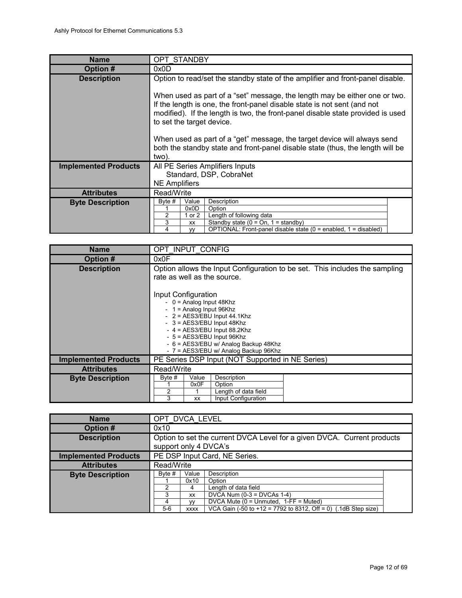<span id="page-11-2"></span>

| <b>Name</b>                 | <b>OPT STANDBY</b>                                                                                                                                                                                                                                                                                                                                                                                                                            |  |  |  |
|-----------------------------|-----------------------------------------------------------------------------------------------------------------------------------------------------------------------------------------------------------------------------------------------------------------------------------------------------------------------------------------------------------------------------------------------------------------------------------------------|--|--|--|
| Option #                    | 0x0D                                                                                                                                                                                                                                                                                                                                                                                                                                          |  |  |  |
| <b>Description</b>          | Option to read/set the standby state of the amplifier and front-panel disable.                                                                                                                                                                                                                                                                                                                                                                |  |  |  |
|                             | When used as part of a "set" message, the length may be either one or two.<br>If the length is one, the front-panel disable state is not sent (and not<br>modified). If the length is two, the front-panel disable state provided is used<br>to set the target device.<br>When used as part of a "get" message, the target device will always send<br>both the standby state and front-panel disable state (thus, the length will be<br>two). |  |  |  |
| <b>Implemented Products</b> | All PE Series Amplifiers Inputs                                                                                                                                                                                                                                                                                                                                                                                                               |  |  |  |
|                             | Standard, DSP, CobraNet                                                                                                                                                                                                                                                                                                                                                                                                                       |  |  |  |
|                             | <b>NE Amplifiers</b>                                                                                                                                                                                                                                                                                                                                                                                                                          |  |  |  |
| <b>Attributes</b>           | Read/Write                                                                                                                                                                                                                                                                                                                                                                                                                                    |  |  |  |
| <b>Byte Description</b>     | Byte $#$<br>Description<br>Value                                                                                                                                                                                                                                                                                                                                                                                                              |  |  |  |
|                             | 0x0D<br>Option<br>2<br>Length of following data<br>1 or 2                                                                                                                                                                                                                                                                                                                                                                                     |  |  |  |
|                             | 3<br>Standby state ( $0 = On$ , $1 =$ standby)<br>XX                                                                                                                                                                                                                                                                                                                                                                                          |  |  |  |
|                             | OPTIONAL: Front-panel disable state $(0 =$ enabled, $1 =$ disabled)<br>4<br><b>VV</b>                                                                                                                                                                                                                                                                                                                                                         |  |  |  |

<span id="page-11-1"></span>

| <b>Name</b>                 | OPT INPUT CONFIG                                                                                                                                                                                                                                                                                  |  |  |  |  |
|-----------------------------|---------------------------------------------------------------------------------------------------------------------------------------------------------------------------------------------------------------------------------------------------------------------------------------------------|--|--|--|--|
| Option #                    | 0x0F                                                                                                                                                                                                                                                                                              |  |  |  |  |
| <b>Description</b>          | Option allows the Input Configuration to be set. This includes the sampling<br>rate as well as the source.                                                                                                                                                                                        |  |  |  |  |
|                             | Input Configuration<br>$-$ 0 = Analog Input 48Khz<br>$-1$ = Analog Input 96Khz<br>- $2 = AES3/EBU$ Input 44.1Khz<br>$-$ 3 = AES3/EBU Input 48Khz<br>$-4$ = AES3/EBU Input 88.2Khz<br>- 5 = AES3/EBU Input 96Khz<br>- 6 = AES3/EBU w/ Analog Backup 48Khz<br>- 7 = AES3/EBU w/ Analog Backup 96Khz |  |  |  |  |
| <b>Implemented Products</b> | PE Series DSP Input (NOT Supported in NE Series)                                                                                                                                                                                                                                                  |  |  |  |  |
| <b>Attributes</b>           | Read/Write                                                                                                                                                                                                                                                                                        |  |  |  |  |
| <b>Byte Description</b>     | Description<br>Byte #<br>Value<br>0x0F<br>Option<br>2<br>Length of data field<br>3<br>Input Configuration<br>XX                                                                                                                                                                                   |  |  |  |  |

<span id="page-11-0"></span>

| <b>Name</b>                 | OPT DVCA LEVEL                                                                                   |                                                                                                                                                                                                                                                                                    |  |  |
|-----------------------------|--------------------------------------------------------------------------------------------------|------------------------------------------------------------------------------------------------------------------------------------------------------------------------------------------------------------------------------------------------------------------------------------|--|--|
| Option #                    | 0x10                                                                                             |                                                                                                                                                                                                                                                                                    |  |  |
| <b>Description</b>          | Option to set the current DVCA Level for a given DVCA. Current products<br>support only 4 DVCA's |                                                                                                                                                                                                                                                                                    |  |  |
| <b>Implemented Products</b> | PE DSP Input Card, NE Series.                                                                    |                                                                                                                                                                                                                                                                                    |  |  |
| <b>Attributes</b>           | Read/Write                                                                                       |                                                                                                                                                                                                                                                                                    |  |  |
| <b>Byte Description</b>     | Byte $#$<br>2<br>3<br>4<br>$5-6$                                                                 | Description<br>Value<br>0x10<br>Option<br>Length of data field<br>4<br>DVCA Num $(0-3 = DVCAs 1-4)$<br>XX<br>DVCA Mute ( $0 =$ Unmuted, $1$ -FF = Muted)<br><b>VV</b><br>VCA Gain $(-50 \text{ to } +12 = 7792 \text{ to } 8312, \text{ Off} = 0)$ (.1dB Step size)<br><b>XXXX</b> |  |  |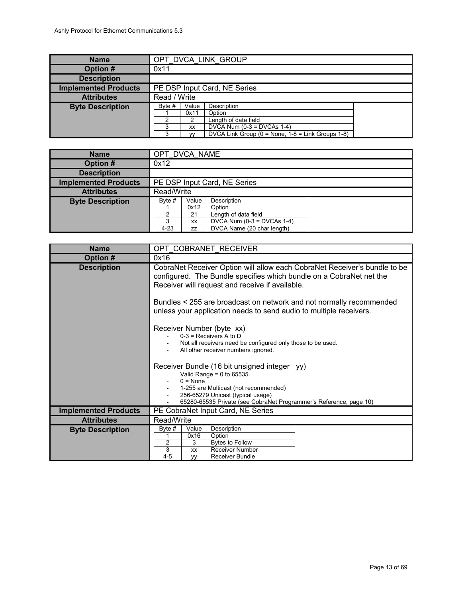<span id="page-12-2"></span>

| <b>Name</b>                 |                              |                                     | OPT DVCA LINK GROUP                                                                                                                     |  |  |
|-----------------------------|------------------------------|-------------------------------------|-----------------------------------------------------------------------------------------------------------------------------------------|--|--|
| Option #                    | 0x11                         |                                     |                                                                                                                                         |  |  |
| <b>Description</b>          |                              |                                     |                                                                                                                                         |  |  |
| <b>Implemented Products</b> | PE DSP Input Card, NE Series |                                     |                                                                                                                                         |  |  |
| <b>Attributes</b>           | Read / Write                 |                                     |                                                                                                                                         |  |  |
| <b>Byte Description</b>     | Byte $#$<br>2<br>3<br>3      | Value<br>0x11<br>XX<br>$\mathsf{w}$ | Description<br>Option<br>Length of data field<br>DVCA Num $(0-3 = DVCAs 1-4)$<br>DVCA Link Group ( $0 =$ None, $1-8 =$ Link Groups 1-8) |  |  |

<span id="page-12-1"></span>

| <b>Name</b>                 | OPT DVCA NAME                                                                                                                                                                  |            |  |  |  |
|-----------------------------|--------------------------------------------------------------------------------------------------------------------------------------------------------------------------------|------------|--|--|--|
| Option #                    | 0x12                                                                                                                                                                           |            |  |  |  |
| <b>Description</b>          |                                                                                                                                                                                |            |  |  |  |
| <b>Implemented Products</b> | PE DSP Input Card, NE Series                                                                                                                                                   |            |  |  |  |
| <b>Attributes</b>           |                                                                                                                                                                                | Read/Write |  |  |  |
| <b>Byte Description</b>     | Description<br>Value<br>Byte #<br>0x12<br>Option<br>Length of data field<br>2<br>21<br>DVCA Num $(0-3 = DVCAs 1-4)$<br>3<br>XX<br>DVCA Name (20 char length)<br>$4 - 23$<br>ZZ |            |  |  |  |

<span id="page-12-0"></span>

| <b>Name</b>                 | OPT COBRANET RECEIVER                                                                                                                                                                               |                                              |                                                                                                     |  |
|-----------------------------|-----------------------------------------------------------------------------------------------------------------------------------------------------------------------------------------------------|----------------------------------------------|-----------------------------------------------------------------------------------------------------|--|
| Option #                    | 0x16                                                                                                                                                                                                |                                              |                                                                                                     |  |
| <b>Description</b>          | CobraNet Receiver Option will allow each CobraNet Receiver's bundle to be<br>configured. The Bundle specifies which bundle on a CobraNet net the<br>Receiver will request and receive if available. |                                              |                                                                                                     |  |
|                             | Bundles < 255 are broadcast on network and not normally recommended<br>unless your application needs to send audio to multiple receivers.                                                           |                                              |                                                                                                     |  |
|                             | Receiver Number (byte xx)<br>$0-3$ = Receivers A to D<br>Not all receivers need be configured only those to be used.<br>All other receiver numbers ignored.                                         |                                              |                                                                                                     |  |
|                             | Receiver Bundle (16 bit unsigned integer yy)<br>Valid Range = $0$ to 65535.<br>$0 = \text{None}$                                                                                                    |                                              |                                                                                                     |  |
|                             | 1-255 are Multicast (not recommended)<br>256-65279 Unicast (typical usage)<br>65280-65535 Private (see CobraNet Programmer's Reference, page 10)                                                    |                                              |                                                                                                     |  |
| <b>Implemented Products</b> | PE CobraNet Input Card, NE Series                                                                                                                                                                   |                                              |                                                                                                     |  |
| <b>Attributes</b>           | Read/Write                                                                                                                                                                                          |                                              |                                                                                                     |  |
| <b>Byte Description</b>     | Byte $#$<br>2<br>3<br>$4 - 5$                                                                                                                                                                       | Value<br>0x16<br>3<br><b>XX</b><br><b>VV</b> | Description<br>Option<br><b>Bytes to Follow</b><br><b>Receiver Number</b><br><b>Receiver Bundle</b> |  |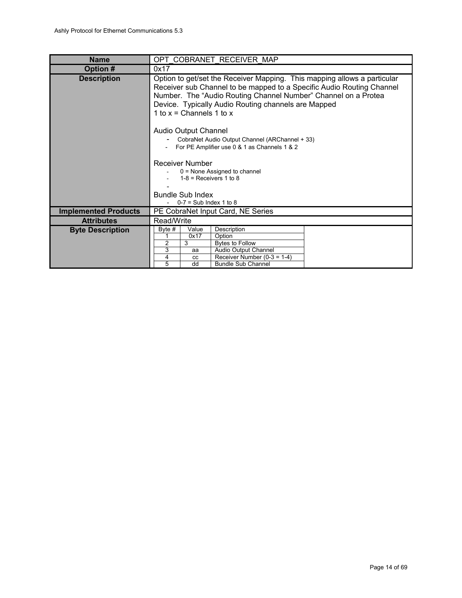<span id="page-13-0"></span>

| <b>Name</b>                 | OPT COBRANET RECEIVER MAP                                                                                                                                                                                                                                                                                                                   |  |  |  |  |
|-----------------------------|---------------------------------------------------------------------------------------------------------------------------------------------------------------------------------------------------------------------------------------------------------------------------------------------------------------------------------------------|--|--|--|--|
| Option #                    | 0x17                                                                                                                                                                                                                                                                                                                                        |  |  |  |  |
| <b>Description</b>          | Option to get/set the Receiver Mapping. This mapping allows a particular<br>Receiver sub Channel to be mapped to a Specific Audio Routing Channel<br>Number. The "Audio Routing Channel Number" Channel on a Protea<br>Device. Typically Audio Routing channels are Mapped<br>1 to $x =$ Channels 1 to $x =$<br><b>Audio Output Channel</b> |  |  |  |  |
|                             | CobraNet Audio Output Channel (ARChannel + 33)<br>For PE Amplifier use 0 & 1 as Channels 1 & 2                                                                                                                                                                                                                                              |  |  |  |  |
|                             | <b>Receiver Number</b><br>0 = None Assigned to channel<br>$1-8$ = Receivers 1 to 8                                                                                                                                                                                                                                                          |  |  |  |  |
|                             | <b>Bundle Sub Index</b><br>$0-7$ = Sub Index 1 to 8                                                                                                                                                                                                                                                                                         |  |  |  |  |
| <b>Implemented Products</b> | PE CobraNet Input Card, NE Series                                                                                                                                                                                                                                                                                                           |  |  |  |  |
| <b>Attributes</b>           | Read/Write                                                                                                                                                                                                                                                                                                                                  |  |  |  |  |
| <b>Byte Description</b>     | Description<br>Byte $#$<br>Value<br>0x17<br>Option<br>2<br>3<br><b>Bytes to Follow</b><br>3<br>Audio Output Channel<br>aa<br>4<br>Receiver Number $(0-3 = 1-4)$<br>CC                                                                                                                                                                       |  |  |  |  |
|                             | $\overline{5}$<br>dd<br><b>Bundle Sub Channel</b>                                                                                                                                                                                                                                                                                           |  |  |  |  |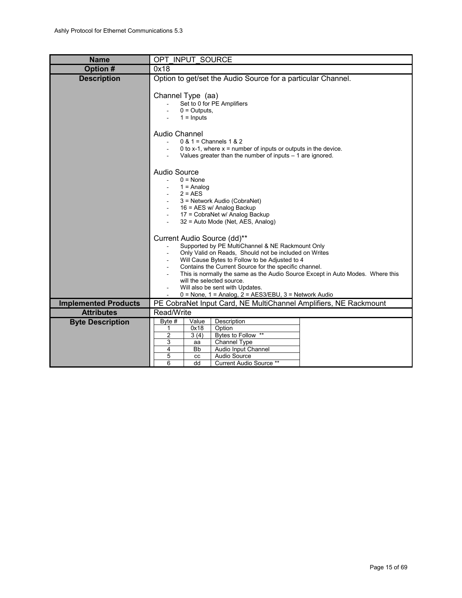<span id="page-14-0"></span>

| <b>Name</b>                 | OPT INPUT SOURCE                                                                                                                                                                                                                                                                                                                                                                                                                                                 |  |  |  |
|-----------------------------|------------------------------------------------------------------------------------------------------------------------------------------------------------------------------------------------------------------------------------------------------------------------------------------------------------------------------------------------------------------------------------------------------------------------------------------------------------------|--|--|--|
| Option #                    | 0x18                                                                                                                                                                                                                                                                                                                                                                                                                                                             |  |  |  |
| <b>Description</b>          | Option to get/set the Audio Source for a particular Channel.<br>Channel Type (aa)<br>Set to 0 for PE Amplifiers<br>$0 = Outputs$ .<br>$1 =$ Inputs<br>Audio Channel<br>$0 & 1 =$ Channels $1 & 2$<br>0 to x-1, where $x =$ number of inputs or outputs in the device.                                                                                                                                                                                            |  |  |  |
|                             | Values greater than the number of inputs $-1$ are ignored.<br>Audio Source<br>$0 = None$<br>$1 =$ Analog<br>$2 = AES$<br>3 = Network Audio (CobraNet)<br>16 = AES w/ Analog Backup<br>17 = CobraNet w/ Analog Backup<br>32 = Auto Mode (Net, AES, Analog)                                                                                                                                                                                                        |  |  |  |
|                             | Current Audio Source (dd)**<br>Supported by PE MultiChannel & NE Rackmount Only<br>Only Valid on Reads, Should not be included on Writes<br>Will Cause Bytes to Follow to be Adjusted to 4<br>Contains the Current Source for the specific channel.<br>This is normally the same as the Audio Source Except in Auto Modes. Where this<br>will the selected source.<br>Will also be sent with Updates.<br>$0 =$ None, 1 = Analog, 2 = AES3/EBU, 3 = Network Audio |  |  |  |
| <b>Implemented Products</b> | PE CobraNet Input Card, NE MultiChannel Amplifiers, NE Rackmount                                                                                                                                                                                                                                                                                                                                                                                                 |  |  |  |
| <b>Attributes</b>           | Read/Write                                                                                                                                                                                                                                                                                                                                                                                                                                                       |  |  |  |
| <b>Byte Description</b>     | Description<br>Byte #<br>Value<br>Option<br>0x18<br>1<br>Bytes to Follow **<br>2<br>3(4)<br>3<br>Channel Type<br>aa<br>Audio Input Channel<br>4<br><b>Bb</b><br>5<br>Audio Source<br><b>CC</b><br>6<br>dd<br>Current Audio Source **                                                                                                                                                                                                                             |  |  |  |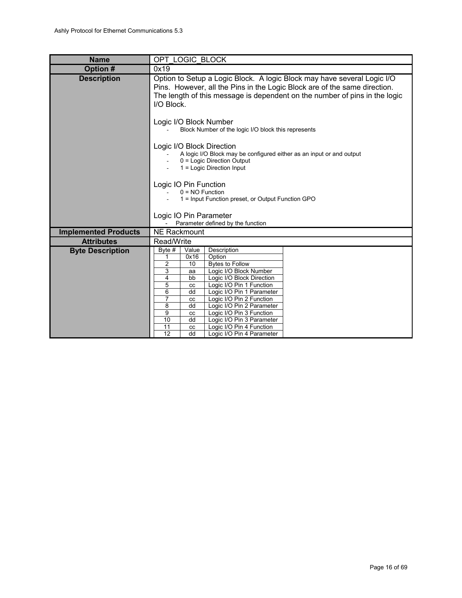<span id="page-15-0"></span>

| <b>Name</b>                 | OPT LOGIC BLOCK                                                                                                                                                                                                                                                                                                                                                                                                                                                                                                                                                                                      |  |  |  |  |
|-----------------------------|------------------------------------------------------------------------------------------------------------------------------------------------------------------------------------------------------------------------------------------------------------------------------------------------------------------------------------------------------------------------------------------------------------------------------------------------------------------------------------------------------------------------------------------------------------------------------------------------------|--|--|--|--|
| Option #                    | 0x19                                                                                                                                                                                                                                                                                                                                                                                                                                                                                                                                                                                                 |  |  |  |  |
| <b>Description</b>          | Option to Setup a Logic Block. A logic Block may have several Logic I/O<br>Pins. However, all the Pins in the Logic Block are of the same direction.<br>The length of this message is dependent on the number of pins in the logic<br>I/O Block.<br>Logic I/O Block Number<br>Block Number of the logic I/O block this represents<br>Logic I/O Block Direction<br>A logic I/O Block may be configured either as an input or and output<br>0 = Logic Direction Output<br>1 = Logic Direction Input<br>Logic IO Pin Function<br>$0 = NO$ Function<br>1 = Input Function preset, or Output Function GPO |  |  |  |  |
|                             | Logic IO Pin Parameter<br>Parameter defined by the function                                                                                                                                                                                                                                                                                                                                                                                                                                                                                                                                          |  |  |  |  |
| <b>Implemented Products</b> | <b>NE Rackmount</b>                                                                                                                                                                                                                                                                                                                                                                                                                                                                                                                                                                                  |  |  |  |  |
| <b>Attributes</b>           | Read/Write                                                                                                                                                                                                                                                                                                                                                                                                                                                                                                                                                                                           |  |  |  |  |
| <b>Byte Description</b>     | Description<br>Byte #<br>Value<br>0x16<br>Option<br>1<br>2<br><b>Bytes to Follow</b><br>10<br>3<br>Logic I/O Block Number<br>aa<br>4<br>Logic I/O Block Direction<br>bb<br>5<br>Logic I/O Pin 1 Function<br>CC<br>6<br>dd<br>Logic I/O Pin 1 Parameter<br>$\overline{7}$<br>Logic I/O Pin 2 Function<br>CC<br>8<br>Logic I/O Pin 2 Parameter<br>dd<br>9<br>Logic I/O Pin 3 Function<br>cc<br>Logic I/O Pin 3 Parameter<br>10<br>dd<br>11<br>Logic I/O Pin 4 Function<br>cc<br>12<br>dd<br>Logic I/O Pin 4 Parameter                                                                                  |  |  |  |  |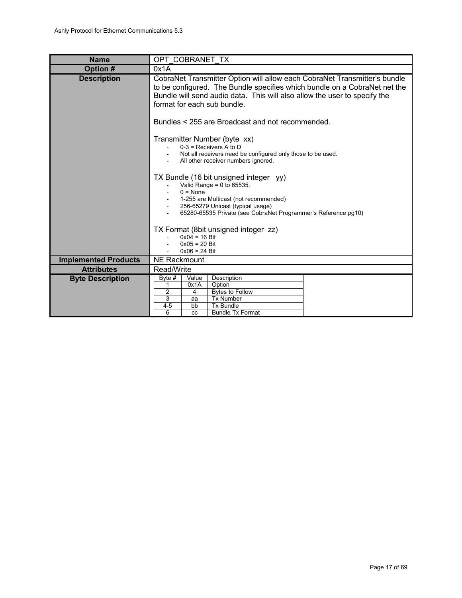<span id="page-16-0"></span>

| <b>Name</b>                 | OPT COBRANET TX                                                                                                                                                                                                                                                    |  |  |  |
|-----------------------------|--------------------------------------------------------------------------------------------------------------------------------------------------------------------------------------------------------------------------------------------------------------------|--|--|--|
| Option #                    | 0x1A                                                                                                                                                                                                                                                               |  |  |  |
| <b>Description</b>          | CobraNet Transmitter Option will allow each CobraNet Transmitter's bundle<br>to be configured. The Bundle specifies which bundle on a CobraNet net the<br>Bundle will send audio data. This will also allow the user to specify the<br>format for each sub bundle. |  |  |  |
|                             | Bundles < 255 are Broadcast and not recommended.                                                                                                                                                                                                                   |  |  |  |
|                             | Transmitter Number (byte xx)<br>$0-3$ = Receivers A to D<br>Not all receivers need be configured only those to be used.<br>All other receiver numbers ignored.<br>TX Bundle (16 bit unsigned integer yy)                                                           |  |  |  |
|                             | Valid Range = $0$ to 65535.<br>$0 = \text{None}$<br>1-255 are Multicast (not recommended)<br>256-65279 Unicast (typical usage)<br>65280-65535 Private (see CobraNet Programmer's Reference pg10)                                                                   |  |  |  |
|                             | TX Format (8bit unsigned integer zz)<br>$0x04 = 16$ Bit<br>$0x05 = 20$ Bit<br>$0x06 = 24$ Bit                                                                                                                                                                      |  |  |  |
| <b>Implemented Products</b> | <b>NE Rackmount</b>                                                                                                                                                                                                                                                |  |  |  |
| <b>Attributes</b>           | Read/Write                                                                                                                                                                                                                                                         |  |  |  |
| <b>Byte Description</b>     | Description<br>Byte #<br>Value<br>0x1A<br>Option<br>1<br>2<br><b>Bytes to Follow</b><br>4<br>3<br><b>Tx Number</b><br>aa<br>$4 - 5$<br>bb<br><b>Tx Bundle</b>                                                                                                      |  |  |  |
|                             | 6<br><b>Bundle Tx Format</b><br>CC                                                                                                                                                                                                                                 |  |  |  |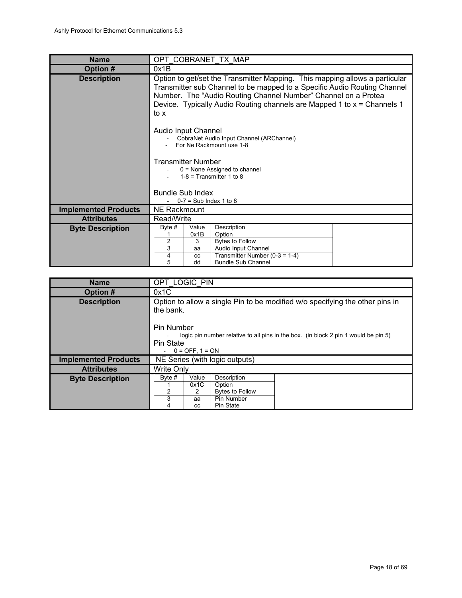<span id="page-17-1"></span>

| <b>Name</b>                 | OPT COBRANET TX MAP                                                                                                                                                                                                                                                                                          |  |                                        |  |
|-----------------------------|--------------------------------------------------------------------------------------------------------------------------------------------------------------------------------------------------------------------------------------------------------------------------------------------------------------|--|----------------------------------------|--|
| Option #                    | 0x1B                                                                                                                                                                                                                                                                                                         |  |                                        |  |
| <b>Description</b>          | Option to get/set the Transmitter Mapping. This mapping allows a particular<br>Transmitter sub Channel to be mapped to a Specific Audio Routing Channel<br>Number. The "Audio Routing Channel Number" Channel on a Protea<br>Device. Typically Audio Routing channels are Mapped 1 to x = Channels 1<br>to x |  |                                        |  |
|                             | Audio Input Channel<br>CobraNet Audio Input Channel (ARChannel)<br>For Ne Rackmount use 1-8<br>Transmitter Number                                                                                                                                                                                            |  |                                        |  |
|                             | $0 =$ None Assigned to channel<br>$1-8$ = Transmitter 1 to 8                                                                                                                                                                                                                                                 |  |                                        |  |
|                             | <b>Bundle Sub Index</b>                                                                                                                                                                                                                                                                                      |  |                                        |  |
|                             | $0-7$ = Sub Index 1 to 8                                                                                                                                                                                                                                                                                     |  |                                        |  |
| <b>Implemented Products</b> | <b>NE Rackmount</b>                                                                                                                                                                                                                                                                                          |  |                                        |  |
| <b>Attributes</b>           | Read/Write                                                                                                                                                                                                                                                                                                   |  |                                        |  |
| <b>Byte Description</b>     | Byte #<br>Value<br>0x1B<br>3                                                                                                                                                                                                                                                                                 |  | Description<br>Option                  |  |
|                             | 2<br>3<br>aa                                                                                                                                                                                                                                                                                                 |  | Bytes to Follow<br>Audio Input Channel |  |
|                             | 4<br>CC                                                                                                                                                                                                                                                                                                      |  | Transmitter Number (0-3 = $1-4$ )      |  |
|                             | 5<br>dd                                                                                                                                                                                                                                                                                                      |  | <b>Bundle Sub Channel</b>              |  |

<span id="page-17-0"></span>

| <b>Name</b>                 | OPT LOGIC PIN                                                                                                                                                                                                                             |  |  |  |
|-----------------------------|-------------------------------------------------------------------------------------------------------------------------------------------------------------------------------------------------------------------------------------------|--|--|--|
| Option #                    | 0x1C                                                                                                                                                                                                                                      |  |  |  |
| <b>Description</b>          | Option to allow a single Pin to be modified w/o specifying the other pins in<br>the bank.<br>Pin Number<br>logic pin number relative to all pins in the box. (in block 2 pin 1 would be pin 5)<br><b>Pin State</b><br>$0 =$ OFF, $1 =$ ON |  |  |  |
| <b>Implemented Products</b> | NE Series (with logic outputs)                                                                                                                                                                                                            |  |  |  |
| <b>Attributes</b>           | <b>Write Only</b>                                                                                                                                                                                                                         |  |  |  |
| <b>Byte Description</b>     | Description<br>Byte #<br>Value<br>0x1C<br>Option<br>$\mathfrak{p}$<br><b>Bytes to Follow</b><br>2<br>3<br>Pin Number<br>aa<br><b>Pin State</b><br>4<br><b>CC</b>                                                                          |  |  |  |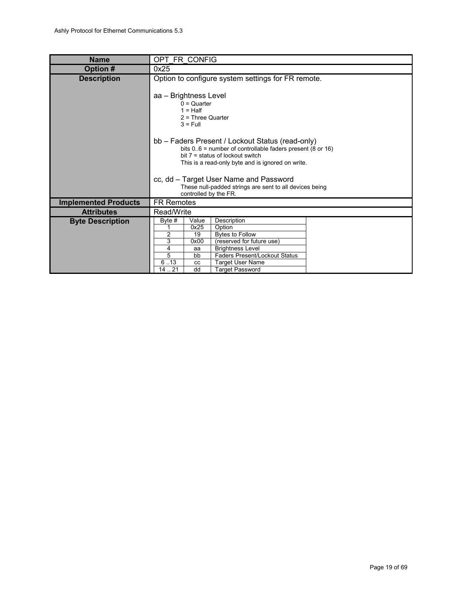<span id="page-18-0"></span>

| <b>Name</b>                 | OPT FR CONFIG                      |                     |                                                              |  |
|-----------------------------|------------------------------------|---------------------|--------------------------------------------------------------|--|
| Option #                    | 0x25                               |                     |                                                              |  |
| <b>Description</b>          |                                    |                     | Option to configure system settings for FR remote.           |  |
|                             |                                    |                     |                                                              |  |
|                             | aa - Brightness Level              |                     |                                                              |  |
|                             |                                    | $0 =$ Quarter       |                                                              |  |
|                             |                                    | $1 = Half$          |                                                              |  |
|                             |                                    | $2$ = Three Quarter |                                                              |  |
|                             |                                    | $3 = Full$          |                                                              |  |
|                             |                                    |                     | bb - Faders Present / Lockout Status (read-only)             |  |
|                             |                                    |                     | bits $0.6$ = number of controllable faders present (8 or 16) |  |
|                             | bit $7 =$ status of lockout switch |                     |                                                              |  |
|                             |                                    |                     | This is a read-only byte and is ignored on write.            |  |
|                             |                                    |                     |                                                              |  |
|                             |                                    |                     | cc, dd - Target User Name and Password                       |  |
|                             |                                    |                     | These null-padded strings are sent to all devices being      |  |
|                             |                                    |                     | controlled by the FR.                                        |  |
| <b>Implemented Products</b> | <b>FR Remotes</b>                  |                     |                                                              |  |
| <b>Attributes</b>           | Read/Write                         |                     |                                                              |  |
| <b>Byte Description</b>     | Byte #                             | Value               | Description                                                  |  |
|                             |                                    | 0x25                | Option                                                       |  |
|                             | 2                                  | 19                  | <b>Bytes to Follow</b>                                       |  |
|                             | 3<br>4                             | 0x00<br>aa          | (reserved for future use)<br><b>Brightness Level</b>         |  |
|                             | 5                                  | bb                  | <b>Faders Present/Lockout Status</b>                         |  |
|                             | 6.13                               | CC                  | <b>Target User Name</b>                                      |  |
|                             | 14.21                              | dd                  | <b>Target Password</b>                                       |  |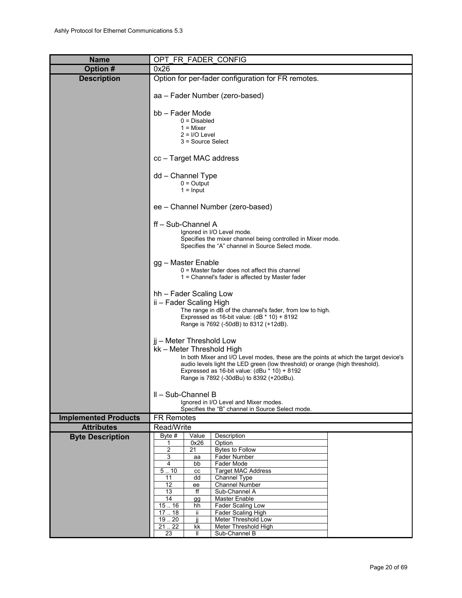<span id="page-19-0"></span>

| <b>Name</b>                                      | OPT_FR_FADER_CONFIG                                                                                               |  |  |  |  |  |  |
|--------------------------------------------------|-------------------------------------------------------------------------------------------------------------------|--|--|--|--|--|--|
| <b>Option#</b>                                   | 0x26                                                                                                              |  |  |  |  |  |  |
| <b>Description</b>                               | Option for per-fader configuration for FR remotes.                                                                |  |  |  |  |  |  |
|                                                  | aa - Fader Number (zero-based)                                                                                    |  |  |  |  |  |  |
|                                                  | bb - Fader Mode                                                                                                   |  |  |  |  |  |  |
|                                                  | $0 = Disabled$                                                                                                    |  |  |  |  |  |  |
|                                                  | $1 =$ Mixer<br>$2 = I/O$ Level                                                                                    |  |  |  |  |  |  |
|                                                  | 3 = Source Select                                                                                                 |  |  |  |  |  |  |
|                                                  | cc - Target MAC address                                                                                           |  |  |  |  |  |  |
|                                                  | dd - Channel Type                                                                                                 |  |  |  |  |  |  |
|                                                  | $0 =$ Output                                                                                                      |  |  |  |  |  |  |
|                                                  | $1 =$ Input                                                                                                       |  |  |  |  |  |  |
|                                                  | ee - Channel Number (zero-based)                                                                                  |  |  |  |  |  |  |
|                                                  | ff - Sub-Channel A                                                                                                |  |  |  |  |  |  |
|                                                  | Ignored in I/O Level mode.                                                                                        |  |  |  |  |  |  |
|                                                  | Specifies the mixer channel being controlled in Mixer mode.<br>Specifies the "A" channel in Source Select mode.   |  |  |  |  |  |  |
|                                                  |                                                                                                                   |  |  |  |  |  |  |
|                                                  | gg - Master Enable                                                                                                |  |  |  |  |  |  |
|                                                  | $0$ = Master fader does not affect this channel<br>1 = Channel's fader is affected by Master fader                |  |  |  |  |  |  |
|                                                  |                                                                                                                   |  |  |  |  |  |  |
|                                                  | hh - Fader Scaling Low                                                                                            |  |  |  |  |  |  |
|                                                  | ii – Fader Scaling High                                                                                           |  |  |  |  |  |  |
|                                                  | The range in dB of the channel's fader, from low to high.<br>Expressed as 16-bit value: $(dB * 10) + 8192$        |  |  |  |  |  |  |
|                                                  | Range is 7692 (-50dB) to 8312 (+12dB).                                                                            |  |  |  |  |  |  |
|                                                  |                                                                                                                   |  |  |  |  |  |  |
|                                                  | jj – Meter Threshold Low                                                                                          |  |  |  |  |  |  |
|                                                  | kk – Meter Threshold High<br>In both Mixer and I/O Level modes, these are the points at which the target device's |  |  |  |  |  |  |
|                                                  | audio levels light the LED green (low threshold) or orange (high threshold).                                      |  |  |  |  |  |  |
|                                                  | Expressed as 16-bit value: (dBu * 10) + 8192                                                                      |  |  |  |  |  |  |
|                                                  | Range is 7892 (-30dBu) to 8392 (+20dBu).                                                                          |  |  |  |  |  |  |
|                                                  | II - Sub-Channel B                                                                                                |  |  |  |  |  |  |
|                                                  | Ignored in I/O Level and Mixer modes.                                                                             |  |  |  |  |  |  |
|                                                  | Specifies the "B" channel in Source Select mode.                                                                  |  |  |  |  |  |  |
| <b>Implemented Products</b><br><b>Attributes</b> | <b>FR Remotes</b><br>Read/Write                                                                                   |  |  |  |  |  |  |
| <b>Byte Description</b>                          | Byte $#$<br>Value<br>Description                                                                                  |  |  |  |  |  |  |
|                                                  | 0x26<br>Option<br>1                                                                                               |  |  |  |  |  |  |
|                                                  | $\overline{c}$<br>21<br><b>Bytes to Follow</b><br>3<br>Fader Number                                               |  |  |  |  |  |  |
|                                                  | aa<br>4<br>Fader Mode<br>bb                                                                                       |  |  |  |  |  |  |
|                                                  | 5.10<br><b>Target MAC Address</b><br>СC                                                                           |  |  |  |  |  |  |
|                                                  | 11<br>Channel Type<br>dd<br>12<br>Channel Number<br>ee                                                            |  |  |  |  |  |  |
|                                                  | 13<br>ff<br>Sub-Channel A                                                                                         |  |  |  |  |  |  |
|                                                  | 14<br>Master Enable<br>gg                                                                                         |  |  |  |  |  |  |
|                                                  | 15.16<br>Fader Scaling Low<br>hh<br>17.18<br>Fader Scaling High<br>ii.                                            |  |  |  |  |  |  |
|                                                  | 19.20<br>ii<br>Meter Threshold Low                                                                                |  |  |  |  |  |  |
|                                                  | 21.22<br>Meter Threshold High<br>kk                                                                               |  |  |  |  |  |  |
|                                                  | Sub-Channel B<br>23<br>Ш                                                                                          |  |  |  |  |  |  |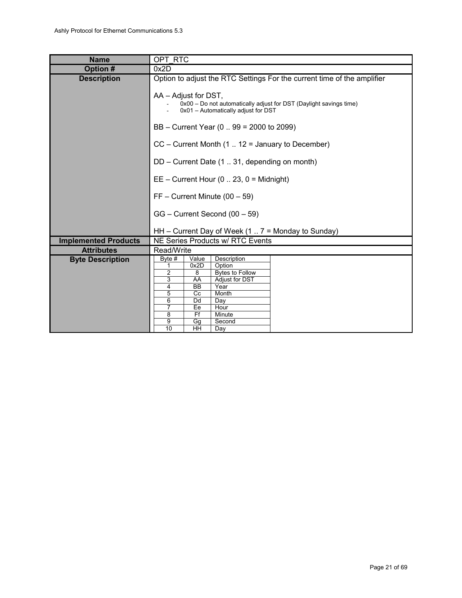<span id="page-20-0"></span>

| <b>Name</b>                 | OPT RTC                                                                                                                                                                                                      |                 |                                               |                                                    |
|-----------------------------|--------------------------------------------------------------------------------------------------------------------------------------------------------------------------------------------------------------|-----------------|-----------------------------------------------|----------------------------------------------------|
| Option #                    | 0x2D                                                                                                                                                                                                         |                 |                                               |                                                    |
| <b>Description</b>          | Option to adjust the RTC Settings For the current time of the amplifier<br>AA – Adjust for DST,<br>0x00 - Do not automatically adjust for DST (Daylight savings time)<br>0x01 - Automatically adjust for DST |                 |                                               |                                                    |
|                             | BB - Current Year (0  99 = 2000 to 2099)                                                                                                                                                                     |                 |                                               |                                                    |
|                             |                                                                                                                                                                                                              |                 |                                               | $CC$ – Current Month (1  12 = January to December) |
|                             |                                                                                                                                                                                                              |                 | DD - Current Date (1  31, depending on month) |                                                    |
|                             | $EE$ – Current Hour (0  23, 0 = Midnight)                                                                                                                                                                    |                 |                                               |                                                    |
|                             | $FF - Current$ Minute (00 - 59)                                                                                                                                                                              |                 |                                               |                                                    |
|                             |                                                                                                                                                                                                              |                 | GG - Current Second (00 - 59)                 |                                                    |
|                             |                                                                                                                                                                                                              |                 |                                               | HH – Current Day of Week $(17 =$ Monday to Sunday) |
| <b>Implemented Products</b> |                                                                                                                                                                                                              |                 | NE Series Products w/ RTC Events              |                                                    |
| <b>Attributes</b>           | Read/Write                                                                                                                                                                                                   |                 |                                               |                                                    |
| <b>Byte Description</b>     | Byte #                                                                                                                                                                                                       | Value           | Description                                   |                                                    |
|                             | 1                                                                                                                                                                                                            | 0x2D            | Option                                        |                                                    |
|                             | $\overline{2}$                                                                                                                                                                                               | 8               | <b>Bytes to Follow</b>                        |                                                    |
|                             | 3                                                                                                                                                                                                            | AA              | Adjust for DST                                |                                                    |
|                             | 4<br>5                                                                                                                                                                                                       | <b>BB</b><br>Cc | Year<br>Month                                 |                                                    |
|                             | 6                                                                                                                                                                                                            | Dd              | Day                                           |                                                    |
|                             | 7                                                                                                                                                                                                            | Ee              | Hour                                          |                                                    |
|                             | 8                                                                                                                                                                                                            | Ff              | Minute                                        |                                                    |
|                             | 9                                                                                                                                                                                                            | Gg              | Second                                        |                                                    |
|                             | 10                                                                                                                                                                                                           | HH              | Day                                           |                                                    |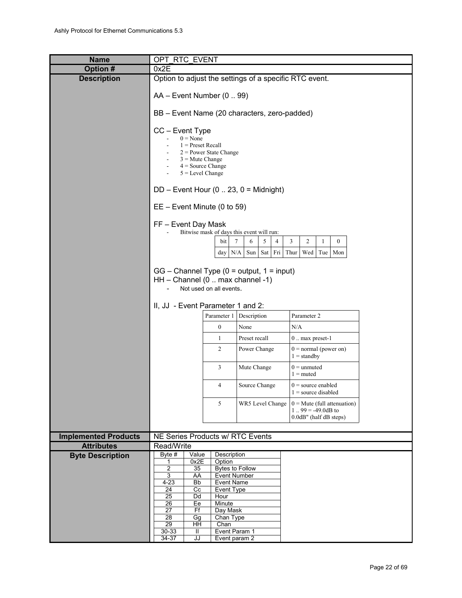<span id="page-21-0"></span>

| <b>Name</b>                 | OPT RTC EVENT                                                                                                                                      |                       |                                                                                     |                                                                                     |  |
|-----------------------------|----------------------------------------------------------------------------------------------------------------------------------------------------|-----------------------|-------------------------------------------------------------------------------------|-------------------------------------------------------------------------------------|--|
| Option #                    | 0x2E                                                                                                                                               |                       |                                                                                     |                                                                                     |  |
| <b>Description</b>          |                                                                                                                                                    |                       | Option to adjust the settings of a specific RTC event.                              |                                                                                     |  |
|                             | AA - Event Number (099)                                                                                                                            |                       | BB - Event Name (20 characters, zero-padded)                                        |                                                                                     |  |
|                             |                                                                                                                                                    |                       |                                                                                     |                                                                                     |  |
|                             | CC - Event Type<br>$0 = None$<br>$1 =$ Preset Recall<br>$2$ = Power State Change<br>$3 =$ Mute Change<br>$4 = Source Change$<br>$5 = Level Change$ |                       |                                                                                     |                                                                                     |  |
|                             | $DD$ – Event Hour (0  23, 0 = Midnight)                                                                                                            |                       |                                                                                     |                                                                                     |  |
|                             | $EE - Event$ Minute (0 to 59)                                                                                                                      |                       |                                                                                     |                                                                                     |  |
|                             | FF - Event Day Mask                                                                                                                                | bit<br>$day \mid N/A$ | Bitwise mask of days this event will run:<br>5<br>7<br>6<br>4<br>Sun<br>$Sat$   Fri | $\overline{c}$<br>3<br>$\mathbf{1}$<br>$\overline{0}$<br>Thur<br>Wed  <br>Tue   Mon |  |
|                             | $GG$ – Channel Type (0 = output, 1 = input)<br>HH - Channel (0  max channel -1)<br>Not used on all events.                                         |                       |                                                                                     |                                                                                     |  |
|                             | II, JJ - Event Parameter 1 and 2:                                                                                                                  |                       |                                                                                     |                                                                                     |  |
|                             |                                                                                                                                                    | Parameter 1           | Description                                                                         | Parameter 2                                                                         |  |
|                             |                                                                                                                                                    | $\boldsymbol{0}$      | None                                                                                | N/A                                                                                 |  |
|                             |                                                                                                                                                    | 1                     | Preset recall                                                                       | $0$ max preset-1                                                                    |  |
|                             |                                                                                                                                                    | 2                     | Power Change                                                                        | $0 = normal (power on)$<br>$1 =$ standby                                            |  |
|                             |                                                                                                                                                    | 3                     | Mute Change                                                                         | $0 =$ unmuted<br>$1 =$ muted                                                        |  |
|                             |                                                                                                                                                    | 4                     | Source Change                                                                       | $0 =$ source enabled<br>$1 =$ source disabled                                       |  |
|                             |                                                                                                                                                    | 5                     | WR5 Level Change                                                                    | $0 =$ Mute (full attenuation)<br>1 $99 = -49.0$ dB to<br>0.0dB" (half dB steps)     |  |
| <b>Implemented Products</b> | NE Series Products w/ RTC Events                                                                                                                   |                       |                                                                                     |                                                                                     |  |
| <b>Attributes</b>           | Read/Write                                                                                                                                         |                       |                                                                                     |                                                                                     |  |
| <b>Byte Description</b>     | Byte #<br>Value                                                                                                                                    | Description           |                                                                                     |                                                                                     |  |
|                             | 0x2E<br>1<br>2<br>35                                                                                                                               | Option                | Bytes to Follow                                                                     |                                                                                     |  |
|                             | 3<br>AA                                                                                                                                            | Event Number          |                                                                                     |                                                                                     |  |
|                             | $4 - 23$<br>Bb                                                                                                                                     | Event Name            |                                                                                     |                                                                                     |  |
|                             | 24<br>$_{\rm Cc}$<br>25<br>Dd                                                                                                                      | Event Type<br>Hour    |                                                                                     |                                                                                     |  |
|                             | 26<br>Ee                                                                                                                                           | Minute                |                                                                                     |                                                                                     |  |
|                             | 27<br>Ff<br>28                                                                                                                                     | Day Mask              |                                                                                     |                                                                                     |  |
|                             | Gg<br>$\overline{29}$<br>HH                                                                                                                        | Chan Type<br>Chan     |                                                                                     |                                                                                     |  |
|                             | $30 - 33$<br>Ш                                                                                                                                     | Event Param 1         |                                                                                     |                                                                                     |  |
|                             | $34 - 37$<br>JJ                                                                                                                                    | Event param 2         |                                                                                     |                                                                                     |  |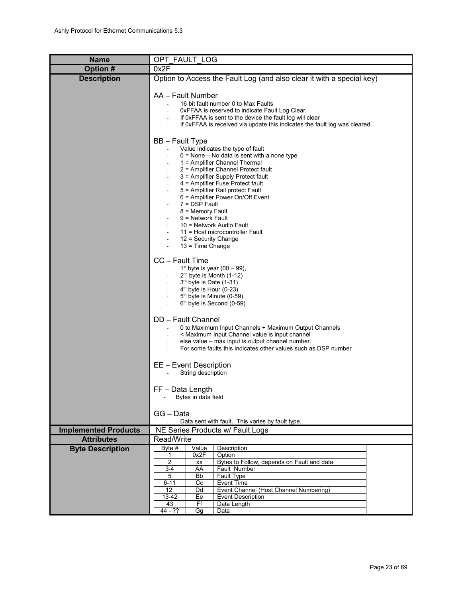<span id="page-22-0"></span>

| <b>Name</b>                 | OPT FAULT LOG                                                                                                                                                                                                                                                                                                                                                                                                                                                                                                     |
|-----------------------------|-------------------------------------------------------------------------------------------------------------------------------------------------------------------------------------------------------------------------------------------------------------------------------------------------------------------------------------------------------------------------------------------------------------------------------------------------------------------------------------------------------------------|
| Option #                    | 0x2F                                                                                                                                                                                                                                                                                                                                                                                                                                                                                                              |
| <b>Description</b>          | Option to Access the Fault Log (and also clear it with a special key)                                                                                                                                                                                                                                                                                                                                                                                                                                             |
|                             | AA - Fault Number<br>16 bit fault number 0 to Max Faults<br>OxFFAA is reserved to indicate Fault Log Clear.<br>If OxFFAA is sent to the device the fault log will clear<br>If 0xFFAA is received via update this indicates the fault log was cleared.                                                                                                                                                                                                                                                             |
|                             | <b>BB</b> - Fault Type<br>Value indicates the type of fault<br>$0 =$ None $-$ No data is sent with a none type<br>1 = Amplifier Channel Thermal<br>2 = Amplifier Channel Protect fault<br>3 = Amplifier Supply Protect fault<br>4 = Amplifier Fuse Protect fault<br>5 = Amplifier Rail protect Fault<br>6 = Amplifier Power On/Off Event<br>$7 =$ DSP Fault<br>8 = Memory Fault<br>9 = Network Fault<br>10 = Network Audio Fault<br>11 = Host microcontroller Fault<br>12 = Security Change<br>$13$ = Time Change |
|                             | CC - Fault Time<br>$1st$ byte is year (00 – 99),<br>$2^{nd}$ byte is Month (1-12)<br>3rd byte is Date (1-31)<br>$4th$ byte is Hour (0-23)<br>5 <sup>th</sup> byte is Minute (0-59)<br>$6th$ byte is Second (0-59)                                                                                                                                                                                                                                                                                                 |
|                             | DD - Fault Channel<br>0 to Maximum Input Channels + Maximum Output Channels<br>< Maximum Input Channel value is input channel<br>else value - max input is output channel number.<br>For some faults this indicates other values such as DSP number                                                                                                                                                                                                                                                               |
|                             | EE - Event Description<br>String description                                                                                                                                                                                                                                                                                                                                                                                                                                                                      |
|                             | FF-Data Length<br>Bytes in data field                                                                                                                                                                                                                                                                                                                                                                                                                                                                             |
|                             | GG - Data<br>Data sent with fault. This varies by fault type.                                                                                                                                                                                                                                                                                                                                                                                                                                                     |
| <b>Implemented Products</b> | NE Series Products w/ Fault Logs                                                                                                                                                                                                                                                                                                                                                                                                                                                                                  |
| <b>Attributes</b>           | Read/Write                                                                                                                                                                                                                                                                                                                                                                                                                                                                                                        |
| <b>Byte Description</b>     | Description<br>Byte #<br>Value<br>0x2F<br>Option<br>1<br>2<br>Bytes to Follow, depends on Fault and data<br>XX<br>AA<br>Fault Number<br>3-4<br>Fault Type<br>5<br>Bb                                                                                                                                                                                                                                                                                                                                              |
|                             | <b>Event Time</b><br>$6 - 11$<br>Сc<br>Event Channel (Host Channel Numbering)<br>12<br>Dd<br>13-42<br><b>Event Description</b><br>Ee<br>Ff<br>43<br>Data Length<br>44 - ??<br>Gg<br>Data                                                                                                                                                                                                                                                                                                                          |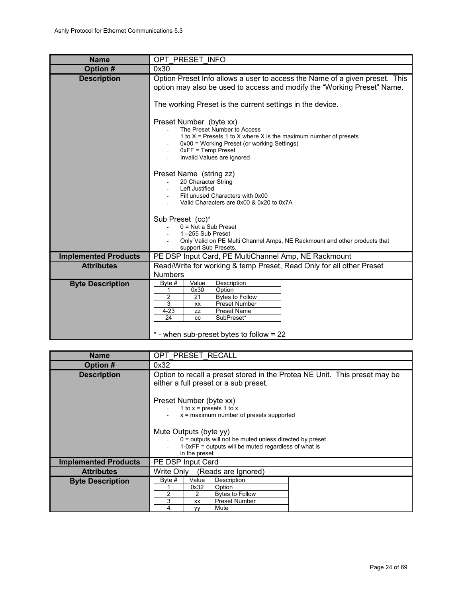<span id="page-23-1"></span>

| <b>Name</b>                 | OPT PRESET INFO                                                                                                                                                                                                                               |
|-----------------------------|-----------------------------------------------------------------------------------------------------------------------------------------------------------------------------------------------------------------------------------------------|
| Option #                    | 0x30                                                                                                                                                                                                                                          |
| <b>Description</b>          | Option Preset Info allows a user to access the Name of a given preset. This<br>option may also be used to access and modify the "Working Preset" Name.<br>The working Preset is the current settings in the device.                           |
|                             | Preset Number (byte xx)<br>The Preset Number to Access<br>1 to $X$ = Presets 1 to X where X is the maximum number of presets<br>0x00 = Working Preset (or working Settings)<br>$0xFF = Temp$ Preset<br>Invalid Values are ignored             |
|                             | Preset Name (string zz)<br>20 Character String<br>Left Justified<br>Fill unused Characters with 0x00<br>Valid Characters are 0x00 & 0x20 to 0x7A                                                                                              |
|                             | Sub Preset (cc)*<br>$0 = Not$ a Sub Preset<br>1-255 Sub Preset<br>Only Valid on PE Multi Channel Amps, NE Rackmount and other products that<br>support Sub Presets.                                                                           |
| <b>Implemented Products</b> | PE DSP Input Card, PE MultiChannel Amp, NE Rackmount                                                                                                                                                                                          |
| <b>Attributes</b>           | Read/Write for working & temp Preset, Read Only for all other Preset<br><b>Numbers</b>                                                                                                                                                        |
| <b>Byte Description</b>     | Description<br>Value<br>Byte #<br>0x30<br>Option<br>1<br>2<br>21<br><b>Bytes to Follow</b><br>3<br>Preset Number<br>XX<br>$4 - 23$<br><b>Preset Name</b><br>ZZ<br>SubPreset*<br>24<br><b>CC</b><br>$*$ - when sub-preset bytes to follow = 22 |

<span id="page-23-0"></span>

| <b>Name</b>                 | OPT PRESET RECALL                                                                                                                                              |  |  |
|-----------------------------|----------------------------------------------------------------------------------------------------------------------------------------------------------------|--|--|
| Option #                    | 0x32                                                                                                                                                           |  |  |
| <b>Description</b>          | Option to recall a preset stored in the Protea NE Unit. This preset may be<br>either a full preset or a sub preset.                                            |  |  |
|                             | Preset Number (byte xx)<br>1 to $x =$ presets 1 to $x =$<br>$x =$ maximum number of presets supported                                                          |  |  |
|                             | Mute Outputs (byte yy)<br>$0 =$ outputs will not be muted unless directed by preset<br>$1-0xFF$ = outputs will be muted regardless of what is<br>in the preset |  |  |
| <b>Implemented Products</b> | PE DSP Input Card                                                                                                                                              |  |  |
| <b>Attributes</b>           | Write Only<br>(Reads are Ignored)                                                                                                                              |  |  |
| <b>Byte Description</b>     | Byte #<br>Value<br>Description<br>0x32<br>Option<br>2<br>2<br><b>Bytes to Follow</b><br>3<br><b>Preset Number</b><br><b>XX</b><br>4<br>Mute<br><b>VV</b>       |  |  |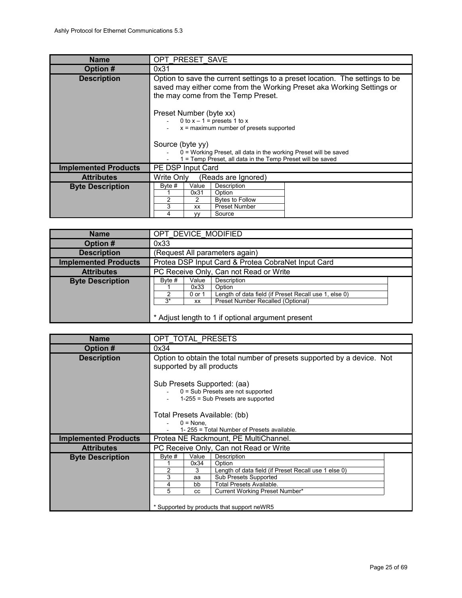<span id="page-24-2"></span>

| Option to save the current settings to a preset location. The settings to be<br>saved may either come from the Working Preset aka Working Settings or<br>the may come from the Temp Preset.   |  |  |
|-----------------------------------------------------------------------------------------------------------------------------------------------------------------------------------------------|--|--|
| Preset Number (byte xx)<br>0 to $x - 1$ = presets 1 to x<br>$x =$ maximum number of presets supported<br>Source (byte yy)<br>0 = Working Preset, all data in the working Preset will be saved |  |  |
|                                                                                                                                                                                               |  |  |
|                                                                                                                                                                                               |  |  |
|                                                                                                                                                                                               |  |  |
|                                                                                                                                                                                               |  |  |
|                                                                                                                                                                                               |  |  |

<span id="page-24-1"></span>

| <b>Name</b>                 |                      |                               | OPT DEVICE MODIFIED                                                                                                                                                      |  |
|-----------------------------|----------------------|-------------------------------|--------------------------------------------------------------------------------------------------------------------------------------------------------------------------|--|
| Option #                    | 0x33                 |                               |                                                                                                                                                                          |  |
| <b>Description</b>          |                      |                               | (Request All parameters again)                                                                                                                                           |  |
| <b>Implemented Products</b> |                      |                               | Protea DSP Input Card & Protea CobraNet Input Card                                                                                                                       |  |
| <b>Attributes</b>           |                      |                               | PC Receive Only, Can not Read or Write                                                                                                                                   |  |
| <b>Byte Description</b>     | Byte #<br>っ<br>$3^*$ | Value<br>0x33<br>0 or 1<br>XX | Description<br>Option<br>Length of data field (if Preset Recall use 1, else 0)<br>Preset Number Recalled (Optional)<br>* Adjust length to 1 if optional argument present |  |

<span id="page-24-0"></span>

| <b>Name</b>                 | OPT TOTAL PRESETS                                                                                         |                                      |                                                                                                                                                                                                                           |
|-----------------------------|-----------------------------------------------------------------------------------------------------------|--------------------------------------|---------------------------------------------------------------------------------------------------------------------------------------------------------------------------------------------------------------------------|
| Option #                    | 0x34                                                                                                      |                                      |                                                                                                                                                                                                                           |
| <b>Description</b>          | Option to obtain the total number of presets supported by a device. Not<br>supported by all products      |                                      |                                                                                                                                                                                                                           |
|                             | Sub Presets Supported: (aa)<br>$0 = Sub$ Presets are not supported<br>$1-255$ = Sub Presets are supported |                                      |                                                                                                                                                                                                                           |
|                             | Total Presets Available: (bb)                                                                             |                                      |                                                                                                                                                                                                                           |
|                             |                                                                                                           | $0 = None$ .                         | 1-255 = Total Number of Presets available.                                                                                                                                                                                |
| <b>Implemented Products</b> |                                                                                                           |                                      | Protea NE Rackmount, PE MultiChannel.                                                                                                                                                                                     |
| <b>Attributes</b>           |                                                                                                           |                                      | PC Receive Only, Can not Read or Write                                                                                                                                                                                    |
| <b>Byte Description</b>     | Byte #<br>2<br>3<br>4<br>5                                                                                | Value<br>0x34<br>3<br>aa<br>bb<br>CC | Description<br>Option<br>Length of data field (if Preset Recall use 1 else 0)<br><b>Sub Presets Supported</b><br>Total Presets Available.<br>Current Working Preset Number*<br>* Supported by products that support neWR5 |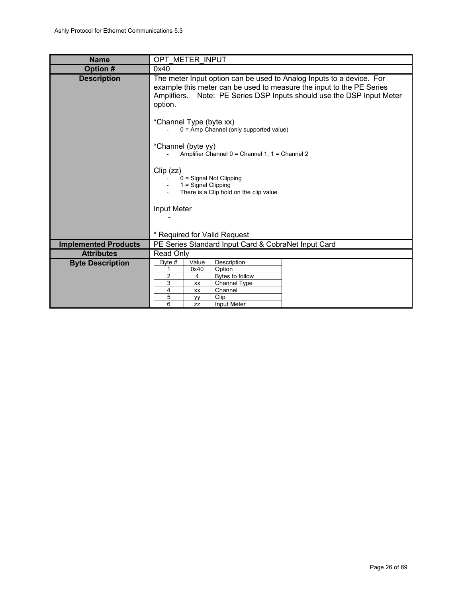<span id="page-25-0"></span>

| <b>Name</b>                 | OPT METER INPUT                                                                                                                                                                                                                  |  |  |
|-----------------------------|----------------------------------------------------------------------------------------------------------------------------------------------------------------------------------------------------------------------------------|--|--|
| Option #                    | 0x40                                                                                                                                                                                                                             |  |  |
| <b>Description</b>          | The meter Input option can be used to Analog Inputs to a device. For<br>example this meter can be used to measure the input to the PE Series<br>Amplifiers. Note: PE Series DSP Inputs should use the DSP Input Meter<br>option. |  |  |
|                             | *Channel Type (byte xx)<br>$0 =$ Amp Channel (only supported value)                                                                                                                                                              |  |  |
|                             | *Channel (byte yy)<br>Amplifier Channel 0 = Channel 1, 1 = Channel 2                                                                                                                                                             |  |  |
|                             | Clip (zz)<br>$0 =$ Signal Not Clipping<br>1 = Signal Clipping<br>There is a Clip hold on the clip value                                                                                                                          |  |  |
|                             | Input Meter                                                                                                                                                                                                                      |  |  |
|                             |                                                                                                                                                                                                                                  |  |  |
|                             | * Required for Valid Request                                                                                                                                                                                                     |  |  |
| <b>Implemented Products</b> | PE Series Standard Input Card & CobraNet Input Card                                                                                                                                                                              |  |  |
| <b>Attributes</b>           | Read Only                                                                                                                                                                                                                        |  |  |
| <b>Byte Description</b>     | Byte #<br>Value<br>Description<br>Option<br>0x40<br>1<br>2<br>Bytes to follow<br>4<br>3<br>Channel Type<br>XX<br>Channel<br>4<br>XX<br>Clip<br>5                                                                                 |  |  |
|                             | yy<br>6<br>Input Meter<br><b>ZZ</b>                                                                                                                                                                                              |  |  |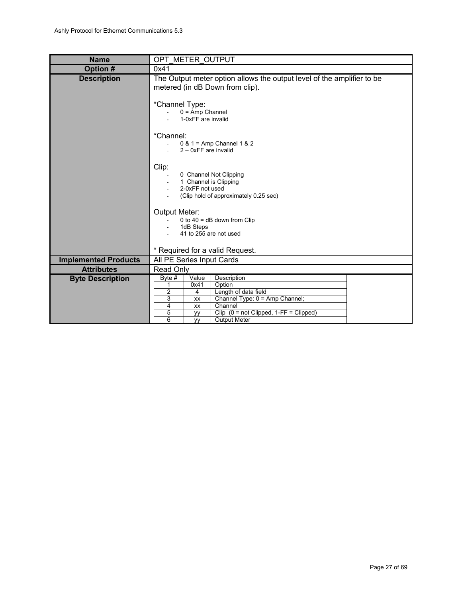<span id="page-26-0"></span>

| <b>Name</b>                 | OPT METER OUTPUT                                                                                                                                                                                                             |  |  |  |
|-----------------------------|------------------------------------------------------------------------------------------------------------------------------------------------------------------------------------------------------------------------------|--|--|--|
| Option #                    | 0x41                                                                                                                                                                                                                         |  |  |  |
| <b>Description</b>          | The Output meter option allows the output level of the amplifier to be<br>metered (in dB Down from clip).                                                                                                                    |  |  |  |
|                             | *Channel Type:<br>$0 = Amp$ Channel<br>1-0xFF are invalid                                                                                                                                                                    |  |  |  |
|                             | *Channel:<br>0 & 1 = Amp Channel 1 & 2<br>$2 - 0xFF$ are invalid                                                                                                                                                             |  |  |  |
|                             | Clip:<br>0 Channel Not Clipping<br>1 Channel is Clipping<br>2-0xFF not used<br>(Clip hold of approximately 0.25 sec)                                                                                                         |  |  |  |
|                             | <b>Output Meter:</b><br>0 to $40 = dB$ down from Clip<br>1dB Steps<br>41 to 255 are not used                                                                                                                                 |  |  |  |
|                             | * Required for a valid Request.                                                                                                                                                                                              |  |  |  |
| <b>Implemented Products</b> | All PE Series Input Cards                                                                                                                                                                                                    |  |  |  |
| <b>Attributes</b>           | <b>Read Only</b>                                                                                                                                                                                                             |  |  |  |
| <b>Byte Description</b>     | Value<br>Description<br>Byte $#$<br>Option<br>0x41<br>1<br>2<br>Length of data field<br>4<br>3<br>Channel Type: 0 = Amp Channel;<br>XX<br>Channel<br>4<br><b>XX</b><br>5<br>Clip $(0 = not Clipped, 1 - FF = Clipped)$<br>yy |  |  |  |
|                             | 6<br><b>Output Meter</b><br><b>VV</b>                                                                                                                                                                                        |  |  |  |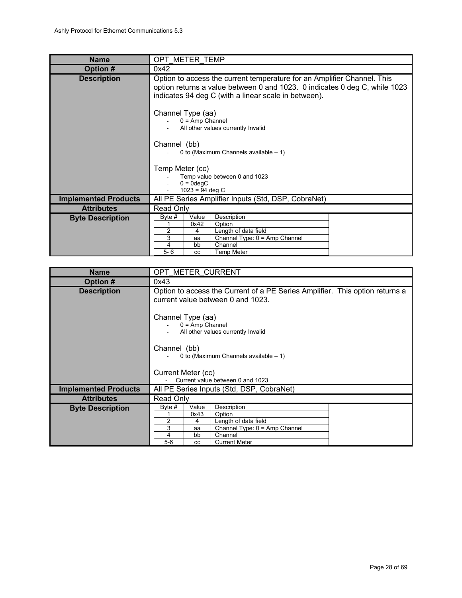<span id="page-27-1"></span>

| <b>Name</b>                 | OPT METER TEMP                                                                                                                                                                                                |           |                                |  |  |
|-----------------------------|---------------------------------------------------------------------------------------------------------------------------------------------------------------------------------------------------------------|-----------|--------------------------------|--|--|
| <b>Option#</b>              | 0x42                                                                                                                                                                                                          |           |                                |  |  |
| <b>Description</b>          | Option to access the current temperature for an Amplifier Channel. This<br>option returns a value between 0 and 1023. 0 indicates 0 deg C, while 1023<br>indicates 94 deg C (with a linear scale in between). |           |                                |  |  |
|                             | Channel Type (aa)<br>$0 = Amp$ Channel<br>All other values currently Invalid                                                                                                                                  |           |                                |  |  |
|                             | Channel (bb)<br>0 to (Maximum Channels available $-1$ )                                                                                                                                                       |           |                                |  |  |
|                             | Temp Meter (cc)                                                                                                                                                                                               |           |                                |  |  |
|                             | Temp value between 0 and 1023                                                                                                                                                                                 |           |                                |  |  |
|                             | $0 = 0$ deqC                                                                                                                                                                                                  |           |                                |  |  |
|                             | $1023 = 94$ deg C<br>All PE Series Amplifier Inputs (Std, DSP, CobraNet)                                                                                                                                      |           |                                |  |  |
| <b>Implemented Products</b> |                                                                                                                                                                                                               |           |                                |  |  |
| <b>Attributes</b>           | Read Only                                                                                                                                                                                                     |           |                                |  |  |
| <b>Byte Description</b>     | Byte #                                                                                                                                                                                                        | Value     | Description                    |  |  |
|                             | 2                                                                                                                                                                                                             | 0x42<br>4 | Option<br>Length of data field |  |  |
|                             | 3                                                                                                                                                                                                             | aa        | Channel Type: 0 = Amp Channel  |  |  |
|                             | 4                                                                                                                                                                                                             | bb        | Channel                        |  |  |
|                             | $5 - 6$                                                                                                                                                                                                       | CC        | <b>Temp Meter</b>              |  |  |

<span id="page-27-0"></span>

| <b>Name</b>                 | OPT METER CURRENT                                                                                                 |                                      |                                                                                                                   |  |  |  |
|-----------------------------|-------------------------------------------------------------------------------------------------------------------|--------------------------------------|-------------------------------------------------------------------------------------------------------------------|--|--|--|
| Option #                    | 0x43                                                                                                              |                                      |                                                                                                                   |  |  |  |
| <b>Description</b>          | Option to access the Current of a PE Series Amplifier. This option returns a<br>current value between 0 and 1023. |                                      |                                                                                                                   |  |  |  |
|                             | Channel Type (aa)<br>$0 = Amp$ Channel<br>All other values currently Invalid                                      |                                      |                                                                                                                   |  |  |  |
|                             | Channel (bb)<br>0 to (Maximum Channels available $-1$ )                                                           |                                      |                                                                                                                   |  |  |  |
|                             | Current Meter (cc)<br>Current value between 0 and 1023                                                            |                                      |                                                                                                                   |  |  |  |
| <b>Implemented Products</b> | All PE Series Inputs (Std, DSP, CobraNet)                                                                         |                                      |                                                                                                                   |  |  |  |
| <b>Attributes</b>           | Read Only                                                                                                         |                                      |                                                                                                                   |  |  |  |
| <b>Byte Description</b>     | Byte $#$<br>2<br>3<br>4<br>$5-6$                                                                                  | Value<br>0x43<br>4<br>aa<br>bb<br>CC | Description<br>Option<br>Length of data field<br>Channel Type: 0 = Amp Channel<br>Channel<br><b>Current Meter</b> |  |  |  |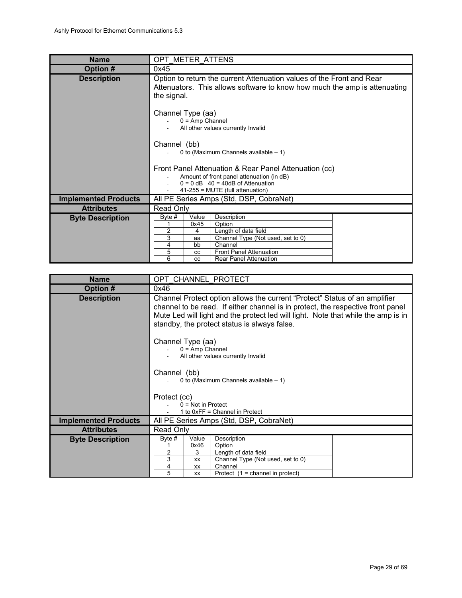<span id="page-28-1"></span>

| <b>Name</b>                 |                                                                                                                                                                                                                            | OPT METER ATTENS                                                                                                                                                 |  |  |  |  |
|-----------------------------|----------------------------------------------------------------------------------------------------------------------------------------------------------------------------------------------------------------------------|------------------------------------------------------------------------------------------------------------------------------------------------------------------|--|--|--|--|
| Option #                    | 0x45                                                                                                                                                                                                                       |                                                                                                                                                                  |  |  |  |  |
| <b>Description</b>          | Option to return the current Attenuation values of the Front and Rear<br>Attenuators. This allows software to know how much the amp is attenuating<br>the signal.                                                          |                                                                                                                                                                  |  |  |  |  |
|                             | Channel Type (aa)<br>$0 = Amp$ Channel<br>All other values currently Invalid<br>Channel (bb)                                                                                                                               |                                                                                                                                                                  |  |  |  |  |
|                             | 0 to (Maximum Channels available $-1$ )<br>Front Panel Attenuation & Rear Panel Attenuation (cc)<br>Amount of front panel attenuation (in dB)<br>$0 = 0$ dB 40 = 40dB of Attenuation<br>$41-255$ = MUTE (full attenuation) |                                                                                                                                                                  |  |  |  |  |
| <b>Implemented Products</b> | All PE Series Amps (Std, DSP, CobraNet)                                                                                                                                                                                    |                                                                                                                                                                  |  |  |  |  |
| <b>Attributes</b>           | Read Only                                                                                                                                                                                                                  |                                                                                                                                                                  |  |  |  |  |
| <b>Byte Description</b>     | Byte #<br>Value<br>0x45<br>$\overline{2}$<br>4<br>3<br>aa<br>bb<br>4<br>5<br><b>CC</b><br>6<br>CC                                                                                                                          | Description<br>Option<br>Length of data field<br>Channel Type (Not used, set to 0)<br>Channel<br><b>Front Panel Attenuation</b><br><b>Rear Panel Attenuation</b> |  |  |  |  |

<span id="page-28-0"></span>

| <b>Name</b>                 | OPT CHANNEL PROTECT                                                                                                                                                                                                                                                                                |           |                                           |  |  |
|-----------------------------|----------------------------------------------------------------------------------------------------------------------------------------------------------------------------------------------------------------------------------------------------------------------------------------------------|-----------|-------------------------------------------|--|--|
| Option #                    | 0x46                                                                                                                                                                                                                                                                                               |           |                                           |  |  |
| <b>Description</b>          | Channel Protect option allows the current "Protect" Status of an amplifier<br>channel to be read. If either channel is in protect, the respective front panel<br>Mute Led will light and the protect led will light. Note that while the amp is in<br>standby, the protect status is always false. |           |                                           |  |  |
|                             | Channel Type (aa)<br>$0 = Amp$ Channel<br>All other values currently Invalid                                                                                                                                                                                                                       |           |                                           |  |  |
|                             | Channel (bb)<br>0 to (Maximum Channels available $-1$ )                                                                                                                                                                                                                                            |           |                                           |  |  |
|                             | Protect (cc)                                                                                                                                                                                                                                                                                       |           |                                           |  |  |
|                             | $0 = Not in$ Protect<br>1 to 0xFF = Channel in Protect                                                                                                                                                                                                                                             |           |                                           |  |  |
| <b>Implemented Products</b> | All PE Series Amps (Std, DSP, CobraNet)                                                                                                                                                                                                                                                            |           |                                           |  |  |
| <b>Attributes</b>           | Read Only                                                                                                                                                                                                                                                                                          |           |                                           |  |  |
| <b>Byte Description</b>     | Description<br>Byte #<br>Value                                                                                                                                                                                                                                                                     |           |                                           |  |  |
|                             |                                                                                                                                                                                                                                                                                                    | 0x46      | Option                                    |  |  |
|                             | 2<br>Length of data field<br>3<br>3<br>Channel Type (Not used, set to 0)<br>XX                                                                                                                                                                                                                     |           |                                           |  |  |
|                             | 4                                                                                                                                                                                                                                                                                                  | <b>XX</b> | Channel                                   |  |  |
|                             | 5                                                                                                                                                                                                                                                                                                  | XX        | Protect $(1 = \text{channel in protect})$ |  |  |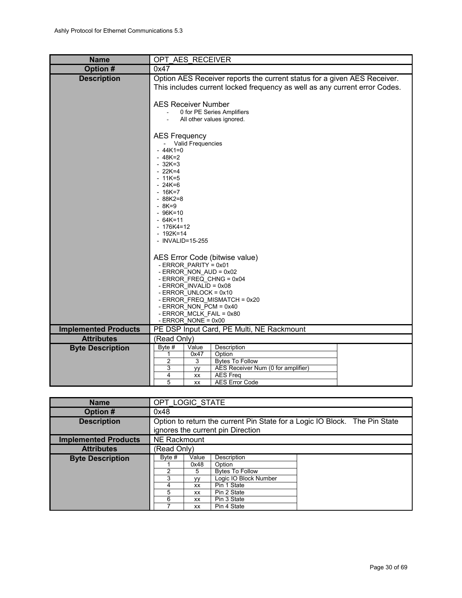<span id="page-29-1"></span>

| <b>Name</b>                 | OPT AES RECEIVER                                                                                                                                                                                                                                                                |  |  |  |  |  |  |  |
|-----------------------------|---------------------------------------------------------------------------------------------------------------------------------------------------------------------------------------------------------------------------------------------------------------------------------|--|--|--|--|--|--|--|
| Option #                    | 0x47                                                                                                                                                                                                                                                                            |  |  |  |  |  |  |  |
| <b>Description</b>          | Option AES Receiver reports the current status for a given AES Receiver.<br>This includes current locked frequency as well as any current error Codes.<br><b>AES Receiver Number</b><br>0 for PE Series Amplifiers<br>All other values ignored.                                 |  |  |  |  |  |  |  |
|                             | <b>AES Frequency</b><br>- Valid Frequencies<br>$-44K1=0$<br>$-48K=2$<br>$-32K=3$<br>$-22K=4$<br>$-11K=5$<br>$-24K=6$<br>$-16K=7$<br>$-88K2=8$<br>$-8K=9$<br>$-96K=10$<br>$-64K=11$<br>- 176K4=12<br>$-192K=14$<br>- INVALID=15-255                                              |  |  |  |  |  |  |  |
|                             | AES Error Code (bitwise value)<br>- ERROR_PARITY = 0x01<br>- ERROR_NON_AUD = 0x02<br>- ERROR_FREQ_CHNG = 0x04<br>- ERROR_INVALID = 0x08<br>- ERROR_UNLOCK = 0x10<br>- ERROR FREQ MISMATCH = 0x20<br>- ERROR NON PCM = $0x40$<br>- ERROR MCLK FAIL = 0x80<br>- ERROR_NONE = 0x00 |  |  |  |  |  |  |  |
| <b>Implemented Products</b> | PE DSP Input Card, PE Multi, NE Rackmount                                                                                                                                                                                                                                       |  |  |  |  |  |  |  |
| <b>Attributes</b>           | (Read Only)                                                                                                                                                                                                                                                                     |  |  |  |  |  |  |  |
| <b>Byte Description</b>     | Description<br>Byte #<br>Value<br>Option<br>1<br>0x47<br>$\overline{2}$<br>3<br><b>Bytes To Follow</b><br>AES Receiver Num (0 for amplifier)<br>3<br>уy<br><b>AES Freq</b><br>4<br>XX<br>5<br><b>AES Error Code</b><br>XX                                                       |  |  |  |  |  |  |  |

<span id="page-29-0"></span>

| <b>Name</b>                 | OPT LOGIC STATE                                                                                                 |                   |             |  |  |  |  |
|-----------------------------|-----------------------------------------------------------------------------------------------------------------|-------------------|-------------|--|--|--|--|
| Option #                    | 0x48                                                                                                            |                   |             |  |  |  |  |
| <b>Description</b>          | Option to return the current Pin State for a Logic IO Block. The Pin State<br>ignores the current pin Direction |                   |             |  |  |  |  |
| <b>Implemented Products</b> | NE Rackmount                                                                                                    |                   |             |  |  |  |  |
| <b>Attributes</b>           | (Read Only)                                                                                                     |                   |             |  |  |  |  |
| <b>Byte Description</b>     | Description<br>Byte #<br>Value                                                                                  |                   |             |  |  |  |  |
|                             | 0x48<br>Option                                                                                                  |                   |             |  |  |  |  |
|                             | 2<br><b>Bytes To Follow</b><br>5                                                                                |                   |             |  |  |  |  |
|                             | 3<br>Logic IO Block Number<br><b>VV</b>                                                                         |                   |             |  |  |  |  |
|                             | Pin 1 State<br>4<br>XX                                                                                          |                   |             |  |  |  |  |
|                             | 5                                                                                                               | Pin 2 State<br>XX |             |  |  |  |  |
|                             | 6                                                                                                               | XX                | Pin 3 State |  |  |  |  |
|                             |                                                                                                                 | XX                | Pin 4 State |  |  |  |  |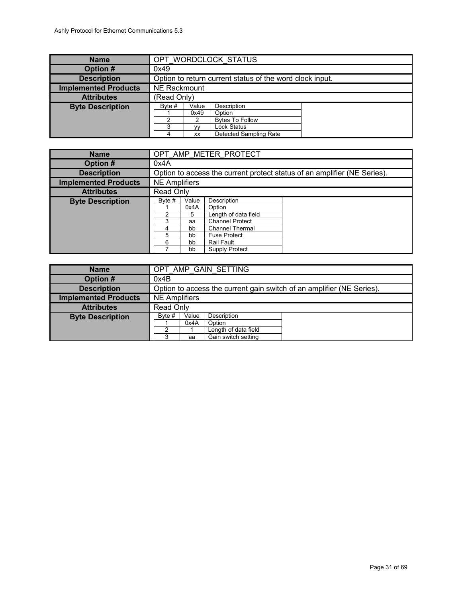<span id="page-30-2"></span>

| <b>Name</b>                 | OPT WORDCLOCK STATUS    |                                                          |                                                                                          |  |  |  |
|-----------------------------|-------------------------|----------------------------------------------------------|------------------------------------------------------------------------------------------|--|--|--|
| Option #                    | 0x49                    |                                                          |                                                                                          |  |  |  |
| <b>Description</b>          |                         | Option to return current status of the word clock input. |                                                                                          |  |  |  |
| <b>Implemented Products</b> | <b>NE Rackmount</b>     |                                                          |                                                                                          |  |  |  |
| <b>Attributes</b>           | (Read Only)             |                                                          |                                                                                          |  |  |  |
| <b>Byte Description</b>     | Byte $#$<br>ົ<br>3<br>4 | Value<br>0x49<br>2<br><b>VV</b><br>XX                    | Description<br>Option<br><b>Bytes To Follow</b><br>Lock Status<br>Detected Sampling Rate |  |  |  |

<span id="page-30-1"></span>

| <b>Name</b>                 | OPT AMP METER PROTECT             |      |                |                                                                          |  |  |
|-----------------------------|-----------------------------------|------|----------------|--------------------------------------------------------------------------|--|--|
| Option #                    | 0x4A                              |      |                |                                                                          |  |  |
| <b>Description</b>          |                                   |      |                | Option to access the current protect status of an amplifier (NE Series). |  |  |
| <b>Implemented Products</b> | <b>NE Amplifiers</b>              |      |                |                                                                          |  |  |
| <b>Attributes</b>           | Read Only                         |      |                |                                                                          |  |  |
| <b>Byte Description</b>     | Description<br>Byte #<br>Value    |      |                |                                                                          |  |  |
|                             |                                   | 0x4A | Option         |                                                                          |  |  |
|                             | Length of data field<br>າ<br>5    |      |                |                                                                          |  |  |
|                             | 3<br><b>Channel Protect</b><br>аа |      |                |                                                                          |  |  |
|                             | <b>Channel Thermal</b><br>bb<br>4 |      |                |                                                                          |  |  |
|                             | 5<br><b>Fuse Protect</b><br>bb    |      |                |                                                                          |  |  |
|                             | 6                                 | bb   | Rail Fault     |                                                                          |  |  |
|                             |                                   | bb   | Supply Protect |                                                                          |  |  |

<span id="page-30-0"></span>

| <b>Name</b>                 | OPT AMP GAIN SETTING           |    |                     |                                                                       |  |  |
|-----------------------------|--------------------------------|----|---------------------|-----------------------------------------------------------------------|--|--|
| Option #                    | 0x4B                           |    |                     |                                                                       |  |  |
| <b>Description</b>          |                                |    |                     | Option to access the current gain switch of an amplifier (NE Series). |  |  |
| <b>Implemented Products</b> | <b>NE Amplifiers</b>           |    |                     |                                                                       |  |  |
| <b>Attributes</b>           | Read Only                      |    |                     |                                                                       |  |  |
| <b>Byte Description</b>     | Description<br>Byte #<br>Value |    |                     |                                                                       |  |  |
|                             | 0x4A<br>Option                 |    |                     |                                                                       |  |  |
|                             | Length of data field<br>າ      |    |                     |                                                                       |  |  |
|                             | 3                              | aa | Gain switch setting |                                                                       |  |  |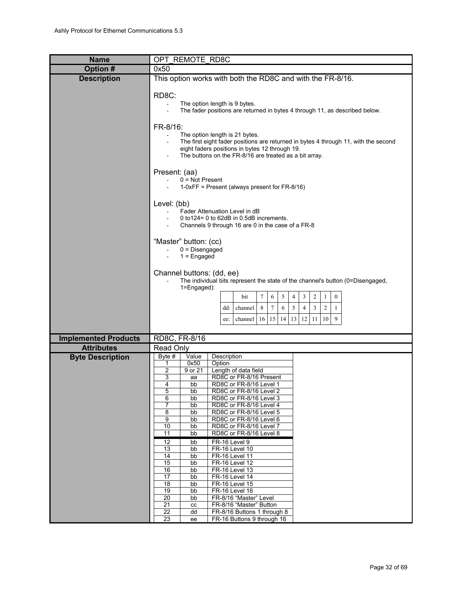<span id="page-31-0"></span>

| <b>Name</b>                 | OPT REMOTE RD8C                                                                                                                                                                                                                                                                                                                                                                                                                                                                                                                                                                                                                                                                                                                                                                                                                                                                      |  |  |  |  |  |  |
|-----------------------------|--------------------------------------------------------------------------------------------------------------------------------------------------------------------------------------------------------------------------------------------------------------------------------------------------------------------------------------------------------------------------------------------------------------------------------------------------------------------------------------------------------------------------------------------------------------------------------------------------------------------------------------------------------------------------------------------------------------------------------------------------------------------------------------------------------------------------------------------------------------------------------------|--|--|--|--|--|--|
| Option #                    | 0x50                                                                                                                                                                                                                                                                                                                                                                                                                                                                                                                                                                                                                                                                                                                                                                                                                                                                                 |  |  |  |  |  |  |
| <b>Description</b>          | This option works with both the RD8C and with the FR-8/16.                                                                                                                                                                                                                                                                                                                                                                                                                                                                                                                                                                                                                                                                                                                                                                                                                           |  |  |  |  |  |  |
|                             | RD8C:<br>The option length is 9 bytes.<br>The fader positions are returned in bytes 4 through 11, as described below.<br>FR-8/16:<br>The option length is 21 bytes.<br>The first eight fader positions are returned in bytes 4 through 11, with the second<br>eight faders positions in bytes 12 through 19.<br>The buttons on the FR-8/16 are treated as a bit array.                                                                                                                                                                                                                                                                                                                                                                                                                                                                                                               |  |  |  |  |  |  |
|                             | Present: (aa)<br>$0 = Not Present$<br>$1-0xFF$ = Present (always present for FR-8/16)                                                                                                                                                                                                                                                                                                                                                                                                                                                                                                                                                                                                                                                                                                                                                                                                |  |  |  |  |  |  |
|                             | Level: (bb)<br>Fader Attenuation Level in dB<br>0 to 124 = 0 to 62dB in 0.5dB increments.<br>Channels 9 through 16 are 0 in the case of a FR-8                                                                                                                                                                                                                                                                                                                                                                                                                                                                                                                                                                                                                                                                                                                                       |  |  |  |  |  |  |
|                             | "Master" button: (cc)<br>$0 = Disengaged$<br>$1 =$ Engaged                                                                                                                                                                                                                                                                                                                                                                                                                                                                                                                                                                                                                                                                                                                                                                                                                           |  |  |  |  |  |  |
|                             | Channel buttons: (dd, ee)<br>The individual bits represent the state of the channel's button (0=Disengaged,<br>$1 = Engaged$ :                                                                                                                                                                                                                                                                                                                                                                                                                                                                                                                                                                                                                                                                                                                                                       |  |  |  |  |  |  |
|                             | $\overline{c}$<br>$\tau$<br>5<br>3<br>$\boldsymbol{0}$<br>bit<br>6<br>4<br>1<br>$\tau$<br>5<br>$\overline{4}$<br>$\mathbf{3}$<br>8<br>6<br>$\overline{c}$<br>$\mathbf{1}$<br>dd:<br>channel<br>9<br>11<br>15 14<br>13 12 <br>10 <sup>1</sup><br>16<br>channel<br>ee:                                                                                                                                                                                                                                                                                                                                                                                                                                                                                                                                                                                                                 |  |  |  |  |  |  |
|                             |                                                                                                                                                                                                                                                                                                                                                                                                                                                                                                                                                                                                                                                                                                                                                                                                                                                                                      |  |  |  |  |  |  |
| <b>Implemented Products</b> | RD8C, FR-8/16                                                                                                                                                                                                                                                                                                                                                                                                                                                                                                                                                                                                                                                                                                                                                                                                                                                                        |  |  |  |  |  |  |
| <b>Attributes</b>           | Read Only                                                                                                                                                                                                                                                                                                                                                                                                                                                                                                                                                                                                                                                                                                                                                                                                                                                                            |  |  |  |  |  |  |
| <b>Byte Description</b>     | Byte #<br>Value<br>Description<br>0x50<br>Option<br>1<br>2<br>9 or 21<br>Length of data field<br>3<br>RD8C or FR-8/16 Present<br>aa<br>4<br>bb<br>RD8C or FR-8/16 Level 1<br>5<br>RD8C or FR-8/16 Level 2<br>bb<br>6<br>RD8C or FR-8/16 Level 3<br>bb<br>7<br>RD8C or FR-8/16 Level 4<br>bb<br>8<br>RD8C or FR-8/16 Level 5<br>bb<br>9<br>bb<br>RD8C or FR-8/16 Level 6<br>10<br>bb<br>RD8C or FR-8/16 Level 7<br>11<br>RD8C or FR-8/16 Level 8<br>bb<br>bb<br>FR-16 Level 9<br>12<br>13<br>FR-16 Level 10<br>bb<br>14<br>bb<br>FR-16 Level 11<br>15<br><b>FR-16 Level 12</b><br>bb<br>16<br><b>FR-16 Level 13</b><br>bb<br>FR-16 Level 14<br>17<br>bb<br>FR-16 Level 15<br>18<br>bb<br>19<br>FR-16 Level 16<br>bb<br>FR-8/16 "Master" Level<br>20<br>bb<br>21<br>FR-8/16 "Master" Button<br>cc<br>22<br>dd<br>FR-8/16 Buttons 1 through 8<br>23<br>FR-16 Buttons 9 through 16<br>ee |  |  |  |  |  |  |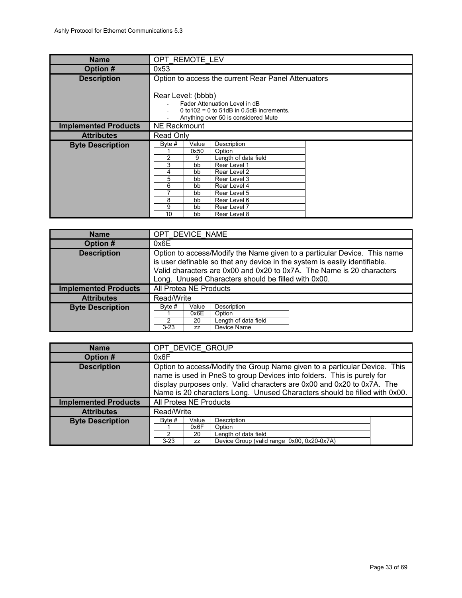<span id="page-32-2"></span>

| <b>Name</b>                 |                                                                                                                                                                                                                                                                                   | OPT REMOTE LEV                                      |  |  |  |  |
|-----------------------------|-----------------------------------------------------------------------------------------------------------------------------------------------------------------------------------------------------------------------------------------------------------------------------------|-----------------------------------------------------|--|--|--|--|
| Option #                    | 0x53                                                                                                                                                                                                                                                                              |                                                     |  |  |  |  |
| <b>Description</b>          |                                                                                                                                                                                                                                                                                   | Option to access the current Rear Panel Attenuators |  |  |  |  |
|                             | Rear Level: (bbbb)<br>Fader Attenuation Level in dB<br>0 to $102 = 0$ to $51$ dB in 0.5dB increments.<br>Anything over 50 is considered Mute                                                                                                                                      |                                                     |  |  |  |  |
| <b>Implemented Products</b> | NE Rackmount                                                                                                                                                                                                                                                                      |                                                     |  |  |  |  |
| <b>Attributes</b>           | Read Only                                                                                                                                                                                                                                                                         |                                                     |  |  |  |  |
| <b>Byte Description</b>     | Byte $#$<br>Value<br>Description<br>0x50<br>Option<br>2<br>Length of data field<br>9<br>3<br>Rear Level 1<br>bb<br>Rear Level 2<br>4<br>bb<br>5<br>Rear Level 3<br>bb<br>6<br>Rear Level 4<br>bb<br>7<br>Rear Level 5<br>bb<br>8<br>Rear Level 6<br>bb<br>9<br>bb<br>Rear Level 7 |                                                     |  |  |  |  |

<span id="page-32-1"></span>

| <b>Name</b>                 |                                                                                                                                                                                                                                                                                        | OPT DEVICE NAME |  |  |  |  |
|-----------------------------|----------------------------------------------------------------------------------------------------------------------------------------------------------------------------------------------------------------------------------------------------------------------------------------|-----------------|--|--|--|--|
| Option #                    | 0x6E                                                                                                                                                                                                                                                                                   |                 |  |  |  |  |
| <b>Description</b>          | Option to access/Modify the Name given to a particular Device. This name<br>is user definable so that any device in the system is easily identifiable.<br>Valid characters are 0x00 and 0x20 to 0x7A. The Name is 20 characters<br>Long. Unused Characters should be filled with 0x00. |                 |  |  |  |  |
| <b>Implemented Products</b> | All Protea NE Products                                                                                                                                                                                                                                                                 |                 |  |  |  |  |
| <b>Attributes</b>           | Read/Write                                                                                                                                                                                                                                                                             |                 |  |  |  |  |
| <b>Byte Description</b>     | Description<br>Byte #<br>Value<br>0x6E<br>Option<br>Length of data field<br>2<br>20<br>Device Name<br>$3 - 23$<br><b>ZZ</b>                                                                                                                                                            |                 |  |  |  |  |

<span id="page-32-0"></span>

| <b>Name</b>                 |                                                                                                                                                                                                                                                                                                            | OPT DEVICE GROUP          |                                                                                             |  |
|-----------------------------|------------------------------------------------------------------------------------------------------------------------------------------------------------------------------------------------------------------------------------------------------------------------------------------------------------|---------------------------|---------------------------------------------------------------------------------------------|--|
| Option #                    | 0x6F                                                                                                                                                                                                                                                                                                       |                           |                                                                                             |  |
| <b>Description</b>          | Option to access/Modify the Group Name given to a particular Device. This<br>name is used in PneS to group Devices into folders. This is purely for<br>display purposes only. Valid characters are 0x00 and 0x20 to 0x7A. The<br>Name is 20 characters Long. Unused Characters should be filled with 0x00. |                           |                                                                                             |  |
| <b>Implemented Products</b> | All Protea NE Products                                                                                                                                                                                                                                                                                     |                           |                                                                                             |  |
| <b>Attributes</b>           | Read/Write                                                                                                                                                                                                                                                                                                 |                           |                                                                                             |  |
| <b>Byte Description</b>     | Byte #<br>2<br>$3 - 23$                                                                                                                                                                                                                                                                                    | Value<br>0x6F<br>20<br>ZZ | Description<br>Option<br>Length of data field<br>Device Group (valid range 0x00, 0x20-0x7A) |  |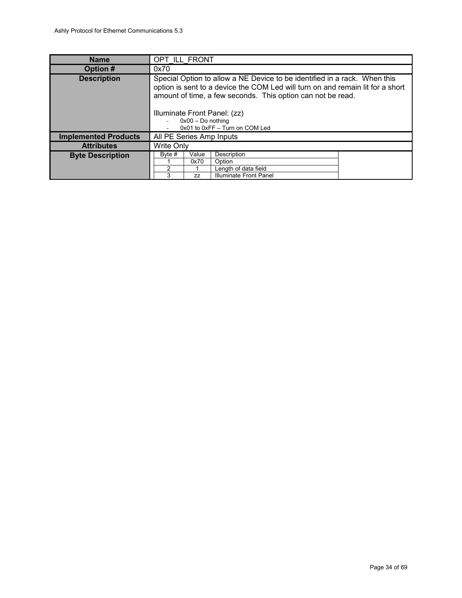<span id="page-33-0"></span>

| <b>Name</b>                 | OPT ILL FRONT                                                                                                                                                                                                                                                                                                       |                            |                                                                                |  |
|-----------------------------|---------------------------------------------------------------------------------------------------------------------------------------------------------------------------------------------------------------------------------------------------------------------------------------------------------------------|----------------------------|--------------------------------------------------------------------------------|--|
| Option #                    | 0x70                                                                                                                                                                                                                                                                                                                |                            |                                                                                |  |
| <b>Description</b>          | Special Option to allow a NE Device to be identified in a rack. When this<br>option is sent to a device the COM Led will turn on and remain lit for a short<br>amount of time, a few seconds. This option can not be read.<br>Illuminate Front Panel: (zz)<br>$0x00 - Do$ nothing<br>0x01 to 0xFF - Turn on COM Led |                            |                                                                                |  |
| <b>Implemented Products</b> | All PE Series Amp Inputs                                                                                                                                                                                                                                                                                            |                            |                                                                                |  |
| <b>Attributes</b>           | <b>Write Only</b>                                                                                                                                                                                                                                                                                                   |                            |                                                                                |  |
| <b>Byte Description</b>     | Byte #<br>2<br>3                                                                                                                                                                                                                                                                                                    | Value<br>0x70<br><b>ZZ</b> | Description<br>Option<br>Length of data field<br><b>Illuminate Front Panel</b> |  |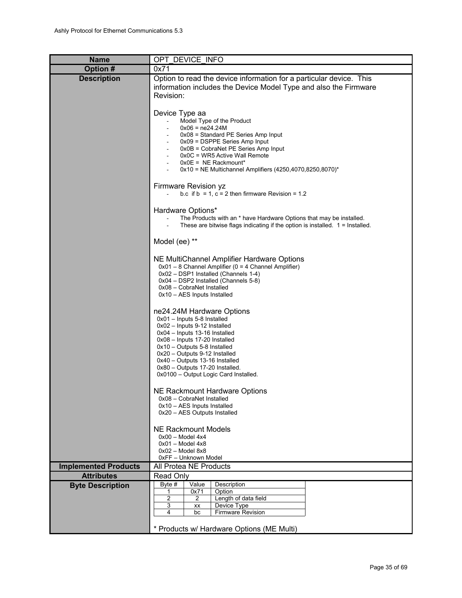<span id="page-34-0"></span>

| <b>Name</b>                 | OPT DEVICE INFO                                                                                                                                                                                                                                                                                                                             |
|-----------------------------|---------------------------------------------------------------------------------------------------------------------------------------------------------------------------------------------------------------------------------------------------------------------------------------------------------------------------------------------|
| Option #                    | 0x71                                                                                                                                                                                                                                                                                                                                        |
| <b>Description</b>          | Option to read the device information for a particular device. This<br>information includes the Device Model Type and also the Firmware<br>Revision:                                                                                                                                                                                        |
|                             | Device Type aa<br>Model Type of the Product<br>$0x06 = ne24.24M$<br>$0x08$ = Standard PE Series Amp Input<br>0x09 = DSPPE Series Amp Input<br>0x0B = CobraNet PE Series Amp Input<br>0x0C = WR5 Active Wall Remote<br>$0x0E = NE$ Rackmount*<br>0x10 = NE Multichannel Amplifiers (4250,4070,8250,8070)*                                    |
|                             | Firmware Revision yz<br>b.c if $b = 1$ , $c = 2$ then firmware Revision = 1.2                                                                                                                                                                                                                                                               |
|                             | Hardware Options*<br>The Products with an * have Hardware Options that may be installed.<br>These are bitwise flags indicating if the option is installed. $1 =$ Installed.                                                                                                                                                                 |
|                             | Model (ee) **                                                                                                                                                                                                                                                                                                                               |
|                             | NE MultiChannel Amplifier Hardware Options<br>0x01 - 8 Channel Amplifier (0 = 4 Channel Amplifier)<br>0x02 - DSP1 Installed (Channels 1-4)<br>0x04 - DSP2 Installed (Channels 5-8)<br>0x08 - CobraNet Installed<br>$0x10 - AES$ Inputs Installed                                                                                            |
|                             | ne24.24M Hardware Options<br>$0x01 -$ Inputs 5-8 Installed<br>0x02 - Inputs 9-12 Installed<br>0x04 - Inputs 13-16 Installed<br>0x08 - Inputs 17-20 Installed<br>0x10 - Outputs 5-8 Installed<br>0x20 - Outputs 9-12 Installed<br>0x40 - Outputs 13-16 Installed<br>0x80 - Outputs 17-20 Installed.<br>0x0100 - Output Logic Card Installed. |
|                             | NE Rackmount Hardware Options<br>0x08 - CobraNet Installed<br>$0x10 - AES$ Inputs Installed<br>0x20 - AES Outputs Installed                                                                                                                                                                                                                 |
|                             | <b>NE Rackmount Models</b><br>$0x00 - Model 4x4$<br>$0x01 - Model 4x8$<br>$0x02 - Model 8x8$<br>0xFF - Unknown Model                                                                                                                                                                                                                        |
| <b>Implemented Products</b> | All Protea NE Products                                                                                                                                                                                                                                                                                                                      |
| <b>Attributes</b>           | Read Only                                                                                                                                                                                                                                                                                                                                   |
| <b>Byte Description</b>     | Byte #<br>Value<br>Description<br>0x71<br>Option<br>1<br>2<br>2<br>Length of data field<br>Device Type<br>3<br>XX<br>4<br>Firmware Revision<br>bc                                                                                                                                                                                           |
|                             | * Products w/ Hardware Options (ME Multi)                                                                                                                                                                                                                                                                                                   |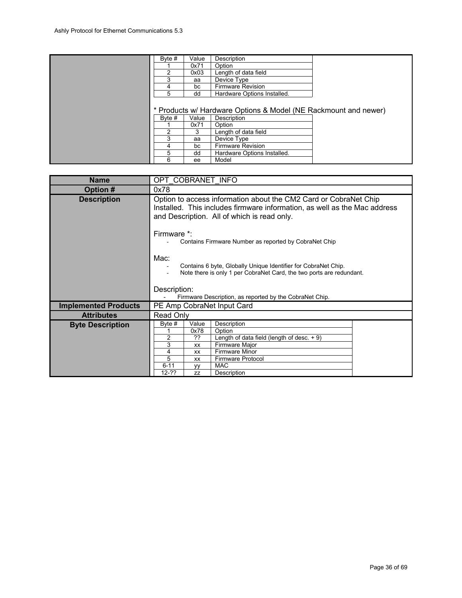| Byte # | Value | Description                                                     |  |
|--------|-------|-----------------------------------------------------------------|--|
|        | 0x71  | Option                                                          |  |
| 2      | 0x03  | Length of data field                                            |  |
| 3      | aa    | Device Type                                                     |  |
| 4      | bc    | <b>Firmware Revision</b>                                        |  |
| 5      | dd    | Hardware Options Installed.                                     |  |
|        |       |                                                                 |  |
|        |       | * Products w/ Hardware Options & Model (NE Rackmount and newer) |  |
| Byte # | Value | Description                                                     |  |
|        | 0x71  | Option                                                          |  |
| 2      | 3     | Length of data field                                            |  |
| 3      | aa    | Device Type                                                     |  |
| 4      | bc    | <b>Firmware Revision</b>                                        |  |
| 5      | dd    | Hardware Options Installed.                                     |  |
| 6      | ee    | Model                                                           |  |

<span id="page-35-0"></span>

| OPT COBRANET INFO                                                                                                                                                                                                                                                                             |  |  |  |
|-----------------------------------------------------------------------------------------------------------------------------------------------------------------------------------------------------------------------------------------------------------------------------------------------|--|--|--|
| 0x78                                                                                                                                                                                                                                                                                          |  |  |  |
| Option to access information about the CM2 Card or CobraNet Chip<br>Installed. This includes firmware information, as well as the Mac address<br>and Description. All of which is read only.                                                                                                  |  |  |  |
| Firmware *:<br>Contains Firmware Number as reported by CobraNet Chip                                                                                                                                                                                                                          |  |  |  |
| Mac:<br>Contains 6 byte, Globally Unique Identifier for CobraNet Chip.<br>Note there is only 1 per CobraNet Card, the two ports are redundant.                                                                                                                                                |  |  |  |
| Description:<br>Firmware Description, as reported by the CobraNet Chip.                                                                                                                                                                                                                       |  |  |  |
| PE Amp CobraNet Input Card                                                                                                                                                                                                                                                                    |  |  |  |
| Read Only                                                                                                                                                                                                                                                                                     |  |  |  |
| Description<br>Byte $#$<br>Value<br>0x78<br>Option<br>??<br>Length of data field (length of desc. $+9$ )<br>$\overline{2}$<br>3<br>Firmware Major<br>XX<br>Firmware Minor<br>4<br>XX<br>5<br><b>Firmware Protocol</b><br>XX<br>$6 - 11$<br><b>MAC</b><br>yy<br>$12 - ??$<br>Description<br>77 |  |  |  |
|                                                                                                                                                                                                                                                                                               |  |  |  |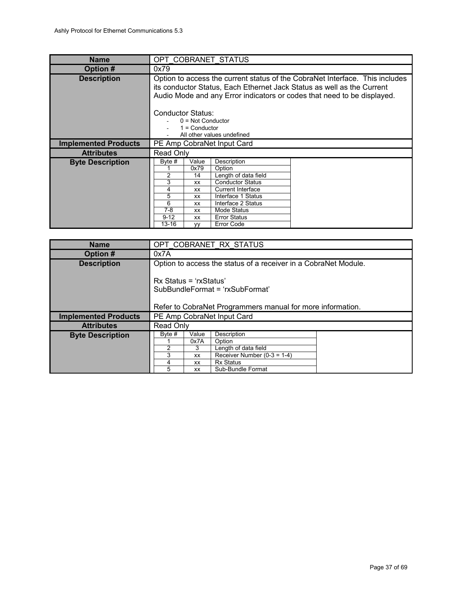<span id="page-36-1"></span>

| <b>Name</b>                 | OPT COBRANET STATUS                                                                                                                                                                                                                                                                                                                      |  |  |
|-----------------------------|------------------------------------------------------------------------------------------------------------------------------------------------------------------------------------------------------------------------------------------------------------------------------------------------------------------------------------------|--|--|
| Option #                    | 0x79                                                                                                                                                                                                                                                                                                                                     |  |  |
| <b>Description</b>          | Option to access the current status of the CobraNet Interface. This includes<br>its conductor Status, Each Ethernet Jack Status as well as the Current<br>Audio Mode and any Error indicators or codes that need to be displayed.                                                                                                        |  |  |
|                             | Conductor Status:<br>$0 = Not Conductor$<br>$1 =$ Conductor<br>All other values undefined                                                                                                                                                                                                                                                |  |  |
| <b>Implemented Products</b> | PE Amp CobraNet Input Card                                                                                                                                                                                                                                                                                                               |  |  |
| <b>Attributes</b>           | Read Only                                                                                                                                                                                                                                                                                                                                |  |  |
| <b>Byte Description</b>     | Description<br>Byte #<br>Value<br>0x79<br>Option<br>2<br>Length of data field<br>14<br>3<br><b>Conductor Status</b><br>XX<br>4<br><b>Current Interface</b><br>XX<br>5<br>Interface 1 Status<br>XX<br>6<br>Interface 2 Status<br>XX<br>7-8<br>Mode Status<br>XX<br>$9 - 12$<br><b>Error Status</b><br>XX<br>$13 - 16$<br>Error Code<br>VV |  |  |

<span id="page-36-0"></span>

| <b>Name</b>                 |                                                            | OPT COBRANET RX STATUS |                                                                 |  |  |
|-----------------------------|------------------------------------------------------------|------------------------|-----------------------------------------------------------------|--|--|
| Option #                    | 0x7A                                                       |                        |                                                                 |  |  |
| <b>Description</b>          |                                                            |                        | Option to access the status of a receiver in a CobraNet Module. |  |  |
|                             |                                                            |                        |                                                                 |  |  |
|                             | Rx Status = 'rxStatus'                                     |                        |                                                                 |  |  |
|                             |                                                            |                        | SubBundleFormat = 'rxSubFormat'                                 |  |  |
|                             |                                                            |                        |                                                                 |  |  |
|                             | Refer to CobraNet Programmers manual for more information. |                        |                                                                 |  |  |
| <b>Implemented Products</b> | PE Amp CobraNet Input Card                                 |                        |                                                                 |  |  |
| <b>Attributes</b>           | <b>Read Only</b>                                           |                        |                                                                 |  |  |
| <b>Byte Description</b>     | Byte #                                                     | Value                  | Description                                                     |  |  |
|                             |                                                            | 0x7A                   | Option                                                          |  |  |
|                             | 2                                                          | 3                      | Length of data field                                            |  |  |
|                             | 3                                                          | XX                     | Receiver Number $(0-3 = 1-4)$                                   |  |  |
|                             | 4                                                          | <b>XX</b>              | Rx Status                                                       |  |  |
|                             | 5                                                          | XX                     | Sub-Bundle Format                                               |  |  |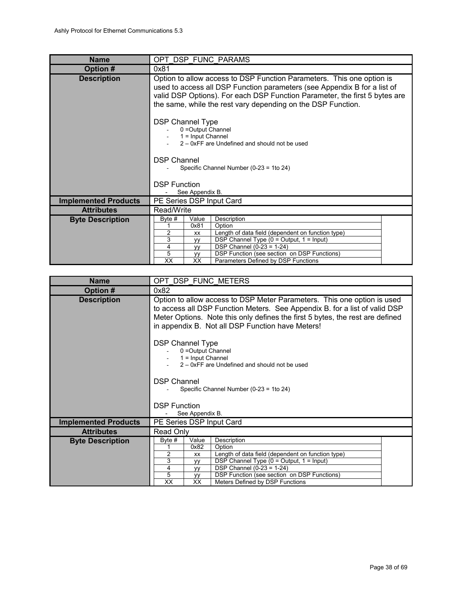<span id="page-37-1"></span>

| <b>Name</b>                 | OPT DSP FUNC PARAMS                                                                                                                                                                                                                                                                                                                                   |  |  |  |  |
|-----------------------------|-------------------------------------------------------------------------------------------------------------------------------------------------------------------------------------------------------------------------------------------------------------------------------------------------------------------------------------------------------|--|--|--|--|
| Option #                    | 0x81                                                                                                                                                                                                                                                                                                                                                  |  |  |  |  |
| <b>Description</b>          | Option to allow access to DSP Function Parameters. This one option is<br>used to access all DSP Function parameters (see Appendix B for a list of<br>valid DSP Options). For each DSP Function Parameter, the first 5 bytes are<br>the same, while the rest vary depending on the DSP Function.                                                       |  |  |  |  |
|                             | <b>DSP Channel Type</b><br>0 = Output Channel<br>$1 =$ Input Channel<br>2 – 0xFF are Undefined and should not be used                                                                                                                                                                                                                                 |  |  |  |  |
|                             | <b>DSP Channel</b><br>Specific Channel Number (0-23 = 1to 24)                                                                                                                                                                                                                                                                                         |  |  |  |  |
|                             | <b>DSP Function</b><br>See Appendix B.                                                                                                                                                                                                                                                                                                                |  |  |  |  |
| <b>Implemented Products</b> | PE Series DSP Input Card                                                                                                                                                                                                                                                                                                                              |  |  |  |  |
| <b>Attributes</b>           | Read/Write                                                                                                                                                                                                                                                                                                                                            |  |  |  |  |
| <b>Byte Description</b>     | Value<br>Byte #<br>Description<br>0x81<br>Option<br>2<br>Length of data field (dependent on function type)<br><b>XX</b><br>3<br>DSP Channel Type $(0 = Output, 1 = Input)$<br><b>VV</b><br>DSP Channel $(0-23 = 1-24)$<br>4<br><b>VV</b><br>5<br>DSP Function (see section on DSP Functions)<br>уу<br>XX<br>XX<br>Parameters Defined by DSP Functions |  |  |  |  |

<span id="page-37-0"></span>

| OPT DSP FUNC METERS                                                                                                                                                                                                                                                                        |  |  |  |  |
|--------------------------------------------------------------------------------------------------------------------------------------------------------------------------------------------------------------------------------------------------------------------------------------------|--|--|--|--|
| 0x82                                                                                                                                                                                                                                                                                       |  |  |  |  |
| Option to allow access to DSP Meter Parameters. This one option is used<br>to access all DSP Function Meters. See Appendix B. for a list of valid DSP<br>Meter Options. Note this only defines the first 5 bytes, the rest are defined<br>in appendix B. Not all DSP Function have Meters! |  |  |  |  |
| <b>DSP Channel Type</b><br>0 = Output Channel<br>$1 =$ Input Channel<br>2 – 0xFF are Undefined and should not be used                                                                                                                                                                      |  |  |  |  |
| <b>DSP Channel</b><br>Specific Channel Number (0-23 = 1to 24)                                                                                                                                                                                                                              |  |  |  |  |
| <b>DSP Function</b>                                                                                                                                                                                                                                                                        |  |  |  |  |
| See Appendix B.                                                                                                                                                                                                                                                                            |  |  |  |  |
| PE Series DSP Input Card                                                                                                                                                                                                                                                                   |  |  |  |  |
| Read Only                                                                                                                                                                                                                                                                                  |  |  |  |  |
| Description<br>Byte #<br>Value<br>0x82<br>Option<br>Length of data field (dependent on function type)<br>2<br>XX<br>3<br>DSP Channel Type $(0 = Output, 1 = Input)$<br><b>VV</b>                                                                                                           |  |  |  |  |
| $\overline{$ DSP Channel (0-23 = 1-24)<br>4<br><b>VV</b>                                                                                                                                                                                                                                   |  |  |  |  |
| 5<br>DSP Function (see section on DSP Functions)<br>уy<br>$\overline{XX}$<br>XX<br>Meters Defined by DSP Functions                                                                                                                                                                         |  |  |  |  |
|                                                                                                                                                                                                                                                                                            |  |  |  |  |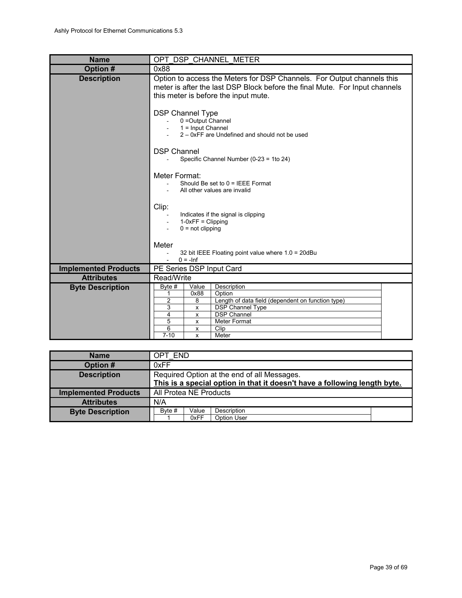<span id="page-38-1"></span>

| <b>Name</b>                 | OPT DSP CHANNEL METER                                                                                                                                                                                                          |  |  |  |  |
|-----------------------------|--------------------------------------------------------------------------------------------------------------------------------------------------------------------------------------------------------------------------------|--|--|--|--|
| Option #                    | 0x88                                                                                                                                                                                                                           |  |  |  |  |
| <b>Description</b>          | Option to access the Meters for DSP Channels. For Output channels this<br>meter is after the last DSP Block before the final Mute. For Input channels<br>this meter is before the input mute.                                  |  |  |  |  |
|                             | <b>DSP Channel Type</b><br>0 = Output Channel<br>$1 =$ Input Channel<br>2 - 0xFF are Undefined and should not be used                                                                                                          |  |  |  |  |
|                             | <b>DSP Channel</b><br>Specific Channel Number (0-23 = 1to 24)                                                                                                                                                                  |  |  |  |  |
|                             | Meter Format:<br>Should Be set to $0 =$ IEEE Format<br>All other values are invalid                                                                                                                                            |  |  |  |  |
|                             | Clip:<br>Indicates if the signal is clipping<br>$1-0xFF = Clipping$<br>$0 = not clipping$                                                                                                                                      |  |  |  |  |
|                             | Meter<br>32 bit IEEE Floating point value where 1.0 = 20dBu<br>$0 = -Inf$                                                                                                                                                      |  |  |  |  |
| <b>Implemented Products</b> | PE Series DSP Input Card                                                                                                                                                                                                       |  |  |  |  |
| <b>Attributes</b>           | Read/Write                                                                                                                                                                                                                     |  |  |  |  |
| <b>Byte Description</b>     | Description<br>Byte #<br>Value<br>Option<br>0x88<br>1<br>Length of data field (dependent on function type)<br>2<br>8<br>DSP Channel Type<br>3<br>X<br><b>DSP Channel</b><br>4<br>х<br>5<br>Meter Format<br>x<br>6<br>Clip<br>х |  |  |  |  |
|                             | $7 - 10$<br>Meter<br>X                                                                                                                                                                                                         |  |  |  |  |

<span id="page-38-0"></span>

| <b>Name</b>                 | OPT END                                                                   |
|-----------------------------|---------------------------------------------------------------------------|
| Option #                    | 0xFF                                                                      |
| <b>Description</b>          | Required Option at the end of all Messages.                               |
|                             | This is a special option in that it doesn't have a following length byte. |
| <b>Implemented Products</b> | All Protea NE Products                                                    |
| <b>Attributes</b>           | N/A                                                                       |
| <b>Byte Description</b>     | Byte #<br>Value<br>Description                                            |
|                             | Option User<br>0xFF                                                       |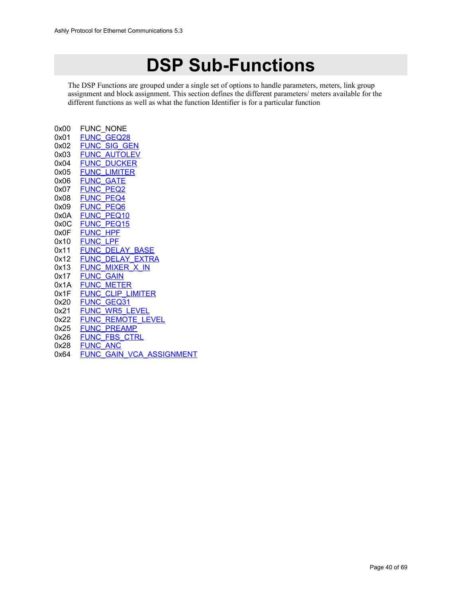# **DSP Sub-Functions**

The DSP Functions are grouped under a single set of options to handle parameters, meters, link group assignment and block assignment. This section defines the different parameters/ meters available for the different functions as well as what the function Identifier is for a particular function

| 0x00 | FUNC NONE                       |
|------|---------------------------------|
| 0x01 | <b>FUNC GEQ28</b>               |
| 0x02 | <b>FUNC SIG GEN</b>             |
| 0x03 | <b>FUNC AUTOLEV</b>             |
| 0x04 | <b>FUNC DUCKER</b>              |
| 0x05 | FUNC<br>LIMITER                 |
| 0x06 | <b>FUNC GATE</b>                |
| 0x07 | <b>FUNC PEQ2</b>                |
| 0x08 | <b>FUNC PEQ4</b>                |
| 0x09 | <b>FUNC</b><br>PEO6             |
| 0x0A | <b>FUNC PEQ10</b>               |
| 0x0C | <b>FUNC PEQ15</b>               |
| 0x0F | <b>FUNC HPF</b>                 |
| 0x10 | <b>FUNC</b><br><b>LPF</b>       |
| 0x11 | <b>FUNC DELAY BASE</b>          |
| 0x12 | <b>FUNC DELAY EXTRA</b>         |
| 0x13 | FUNC MIXER X IN                 |
| 0x17 | <b>FUNC</b><br><b>GAIN</b>      |
| 0x1A | <b>FUNC METER</b>               |
| 0x1F | <b>FUNC CLIP LIMITER</b>        |
| 0x20 | <b>FUNC GEQ31</b>               |
| 0x21 | <b>FUNC</b><br><b>WR5 LEVEL</b> |
| 0x22 | <b>FUNC REMOTE LEVEL</b>        |
| 0x25 | <b>FUNC PREAMP</b>              |
| 0x26 | <b>FUNC FBS CTRL</b>            |
| 0x28 | <b>FUNC ANC</b>                 |
| 0x64 | FUNC GAIN VCA ASSIGNMENT        |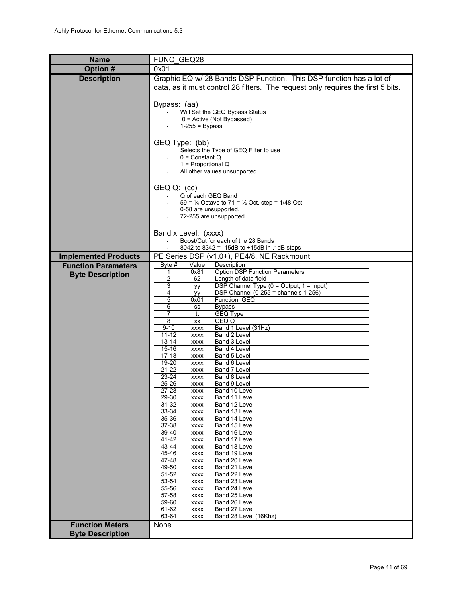<span id="page-40-0"></span>

| <b>Name</b>                 | FUNC GEQ28                                                                                 |  |  |  |  |  |  |  |
|-----------------------------|--------------------------------------------------------------------------------------------|--|--|--|--|--|--|--|
| Option #                    | 0x01                                                                                       |  |  |  |  |  |  |  |
| <b>Description</b>          | Graphic EQ w/ 28 Bands DSP Function. This DSP function has a lot of                        |  |  |  |  |  |  |  |
|                             | data, as it must control 28 filters. The request only requires the first 5 bits.           |  |  |  |  |  |  |  |
|                             |                                                                                            |  |  |  |  |  |  |  |
|                             | Bypass: (aa)                                                                               |  |  |  |  |  |  |  |
|                             | Will Set the GEQ Bypass Status<br>0 = Active (Not Bypassed)                                |  |  |  |  |  |  |  |
|                             | $1-255 = Bypass$                                                                           |  |  |  |  |  |  |  |
|                             |                                                                                            |  |  |  |  |  |  |  |
|                             | GEQ Type: (bb)                                                                             |  |  |  |  |  |  |  |
|                             | Selects the Type of GEQ Filter to use<br>$0 =$ Constant Q                                  |  |  |  |  |  |  |  |
|                             | $1$ = Proportional Q                                                                       |  |  |  |  |  |  |  |
|                             | All other values unsupported.                                                              |  |  |  |  |  |  |  |
|                             |                                                                                            |  |  |  |  |  |  |  |
|                             | GEQ Q: (cc)<br>Q of each GEQ Band<br>$\sim$                                                |  |  |  |  |  |  |  |
|                             | 59 = $\frac{1}{4}$ Octave to 71 = $\frac{1}{2}$ Oct, step = 1/48 Oct.                      |  |  |  |  |  |  |  |
|                             | 0-58 are unsupported,                                                                      |  |  |  |  |  |  |  |
|                             | 72-255 are unsupported                                                                     |  |  |  |  |  |  |  |
|                             | Band x Level: (xxxx)                                                                       |  |  |  |  |  |  |  |
|                             | Boost/Cut for each of the 28 Bands                                                         |  |  |  |  |  |  |  |
|                             | 8042 to 8342 = -15dB to +15dB in .1dB steps                                                |  |  |  |  |  |  |  |
| <b>Implemented Products</b> | PE Series DSP (v1.0+), PE4/8, NE Rackmount                                                 |  |  |  |  |  |  |  |
| <b>Function Parameters</b>  | Byte $#$<br>Value<br>Description<br><b>Option DSP Function Parameters</b><br>0x81<br>1     |  |  |  |  |  |  |  |
| <b>Byte Description</b>     | 2<br>62<br>Length of data field                                                            |  |  |  |  |  |  |  |
|                             | 3<br>DSP Channel Type (0 = Output, 1 = Input)<br>yу                                        |  |  |  |  |  |  |  |
|                             | DSP Channel (0-255 = channels $1-256$ )<br>4<br>уу<br>Function: GEQ                        |  |  |  |  |  |  |  |
|                             | 5<br>0x01<br>6<br><b>Bypass</b><br>SS                                                      |  |  |  |  |  |  |  |
|                             | 7<br>GEQ Type<br>tt                                                                        |  |  |  |  |  |  |  |
|                             | 8<br>GEQ Q<br>XX                                                                           |  |  |  |  |  |  |  |
|                             | $9 - 10$<br>Band 1 Level (31Hz)<br><b>XXXX</b><br>$11 - 12$<br>Band 2 Level<br><b>XXXX</b> |  |  |  |  |  |  |  |
|                             | $13 - 14$<br>Band 3 Level<br><b>XXXX</b>                                                   |  |  |  |  |  |  |  |
|                             | $15 - 16$<br>Band 4 Level<br><b>XXXX</b>                                                   |  |  |  |  |  |  |  |
|                             | $17 - 18$<br>Band 5 Level<br><b>XXXX</b><br>19-20<br>Band 6 Level<br><b>XXXX</b>           |  |  |  |  |  |  |  |
|                             | $21 - 22$<br>Band 7 Level<br><b>XXXX</b>                                                   |  |  |  |  |  |  |  |
|                             | 23-24<br>Band 8 Level<br>XXXX                                                              |  |  |  |  |  |  |  |
|                             | 25-26<br>Band 9 Level<br><b>XXXX</b><br>27-28<br>Band 10 Level<br><b>XXXX</b>              |  |  |  |  |  |  |  |
|                             | 29-30<br>Band 11 Level<br><b>XXXX</b>                                                      |  |  |  |  |  |  |  |
|                             | 31-32<br>Band 12 Level<br><b>XXXX</b>                                                      |  |  |  |  |  |  |  |
|                             | 33-34<br>Band 13 Level<br><b>XXXX</b><br>35-36<br>Band 14 Level<br><b>XXXX</b>             |  |  |  |  |  |  |  |
|                             | 37-38<br>Band 15 Level<br><b>XXXX</b>                                                      |  |  |  |  |  |  |  |
|                             | 39-40<br>Band 16 Level<br><b>XXXX</b>                                                      |  |  |  |  |  |  |  |
|                             | 41-42<br>Band 17 Level<br><b>XXXX</b><br>43-44<br>Band 18 Level<br><b>XXXX</b>             |  |  |  |  |  |  |  |
|                             | 45-46<br>Band 19 Level<br><b>XXXX</b>                                                      |  |  |  |  |  |  |  |
|                             | 47-48<br>Band 20 Level<br><b>XXXX</b>                                                      |  |  |  |  |  |  |  |
|                             | 49-50<br>Band 21 Level<br><b>XXXX</b><br>51-52<br>Band 22 Level<br><b>XXXX</b>             |  |  |  |  |  |  |  |
|                             | 53-54<br>Band 23 Level<br><b>XXXX</b>                                                      |  |  |  |  |  |  |  |
|                             | 55-56<br>Band 24 Level<br><b>XXXX</b>                                                      |  |  |  |  |  |  |  |
|                             | 57-58<br>Band 25 Level<br><b>XXXX</b><br>59-60<br>Band 26 Level<br><b>XXXX</b>             |  |  |  |  |  |  |  |
|                             | 61-62<br>Band 27 Level<br><b>XXXX</b>                                                      |  |  |  |  |  |  |  |
|                             | 63-64<br>Band 28 Level (16Khz)<br>XXXX                                                     |  |  |  |  |  |  |  |
| <b>Function Meters</b>      | None                                                                                       |  |  |  |  |  |  |  |
| <b>Byte Description</b>     |                                                                                            |  |  |  |  |  |  |  |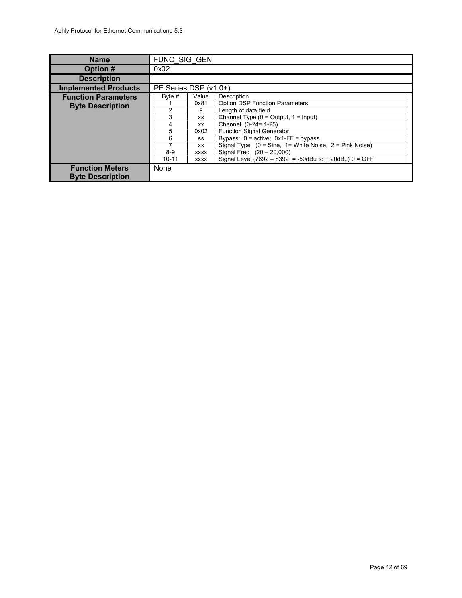<span id="page-41-0"></span>

| <b>Name</b>                 |                       | FUNC SIG GEN |                                                           |  |  |  |
|-----------------------------|-----------------------|--------------|-----------------------------------------------------------|--|--|--|
| Option #                    | 0x02                  |              |                                                           |  |  |  |
| <b>Description</b>          |                       |              |                                                           |  |  |  |
| <b>Implemented Products</b> | PE Series DSP (v1.0+) |              |                                                           |  |  |  |
| <b>Function Parameters</b>  | Byte #                | Value        | Description                                               |  |  |  |
| <b>Byte Description</b>     |                       | 0x81         | <b>Option DSP Function Parameters</b>                     |  |  |  |
|                             | 2                     | 9            | Length of data field                                      |  |  |  |
|                             | 3                     | <b>XX</b>    | Channel Type $(0 = Output, 1 = Input)$                    |  |  |  |
|                             | 4                     | XX           | Channel (0-24= 1-25)                                      |  |  |  |
|                             | 5                     | 0x02         | <b>Function Signal Generator</b>                          |  |  |  |
|                             | 6                     | SS           | Bypass: $0 = active$ : $0x1$ -FF = bypass                 |  |  |  |
|                             |                       | XX           | Signal Type $(0 = Sine, 1 = White Noise, 2 = Pink Noise)$ |  |  |  |
|                             | $8-9$                 | <b>XXXX</b>  | Signal Freq $(20 - 20,000)$                               |  |  |  |
|                             | $10 - 11$             | <b>XXXX</b>  | Signal Level (7692 - 8392 = -50dBu to + 20dBu) $0 =$ OFF  |  |  |  |
| <b>Function Meters</b>      | None                  |              |                                                           |  |  |  |
| <b>Byte Description</b>     |                       |              |                                                           |  |  |  |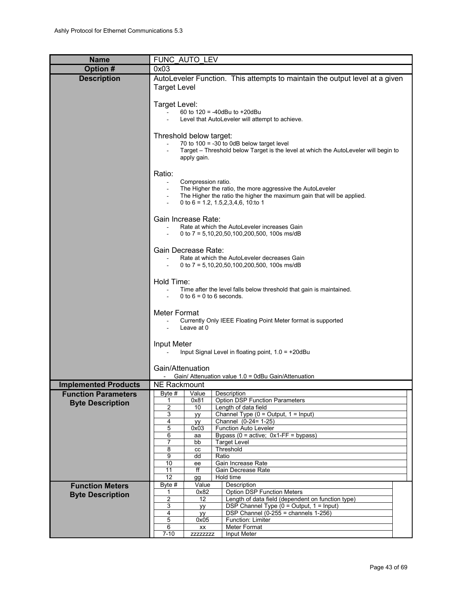<span id="page-42-0"></span>

| <b>Name</b>                 |                                                                                                   | FUNC AUTO LEV           |                                                                                                                   |  |  |  |  |  |
|-----------------------------|---------------------------------------------------------------------------------------------------|-------------------------|-------------------------------------------------------------------------------------------------------------------|--|--|--|--|--|
| Option #                    | 0x03                                                                                              |                         |                                                                                                                   |  |  |  |  |  |
| <b>Description</b>          |                                                                                                   |                         | AutoLeveler Function. This attempts to maintain the output level at a given                                       |  |  |  |  |  |
|                             | <b>Target Level</b>                                                                               |                         |                                                                                                                   |  |  |  |  |  |
|                             |                                                                                                   |                         |                                                                                                                   |  |  |  |  |  |
|                             | Target Level:                                                                                     |                         | 60 to $120 = -40$ dBu to $+20$ dBu                                                                                |  |  |  |  |  |
|                             |                                                                                                   |                         | Level that AutoLeveler will attempt to achieve.                                                                   |  |  |  |  |  |
|                             |                                                                                                   |                         |                                                                                                                   |  |  |  |  |  |
|                             |                                                                                                   | Threshold below target: | 70 to $100 = -30$ to 0dB below target level                                                                       |  |  |  |  |  |
|                             |                                                                                                   |                         | Target - Threshold below Target is the level at which the AutoLeveler will begin to                               |  |  |  |  |  |
|                             |                                                                                                   | apply gain.             |                                                                                                                   |  |  |  |  |  |
|                             | Ratio:                                                                                            |                         |                                                                                                                   |  |  |  |  |  |
|                             | $\blacksquare$                                                                                    | Compression ratio.      |                                                                                                                   |  |  |  |  |  |
|                             |                                                                                                   |                         | The Higher the ratio, the more aggressive the AutoLeveler                                                         |  |  |  |  |  |
|                             |                                                                                                   |                         | The Higher the ratio the higher the maximum gain that will be applied.<br>0 to 6 = 1.2, 1.5, 2, 3, 4, 6, 10: to 1 |  |  |  |  |  |
|                             |                                                                                                   |                         |                                                                                                                   |  |  |  |  |  |
|                             |                                                                                                   | Gain Increase Rate:     |                                                                                                                   |  |  |  |  |  |
|                             |                                                                                                   |                         | Rate at which the AutoLeveler increases Gain<br>0 to 7 = $5,10,20,50,100,200,500,100$ s ms/dB                     |  |  |  |  |  |
|                             |                                                                                                   |                         |                                                                                                                   |  |  |  |  |  |
|                             |                                                                                                   | Gain Decrease Rate:     |                                                                                                                   |  |  |  |  |  |
|                             | $\sim$                                                                                            |                         | Rate at which the AutoLeveler decreases Gain<br>0 to 7 = $5,10,20,50,100,200,500,100$ s ms/dB                     |  |  |  |  |  |
|                             |                                                                                                   |                         |                                                                                                                   |  |  |  |  |  |
|                             | Hold Time:                                                                                        |                         |                                                                                                                   |  |  |  |  |  |
|                             | Time after the level falls below threshold that gain is maintained.<br>0 to $6 = 0$ to 6 seconds. |                         |                                                                                                                   |  |  |  |  |  |
|                             |                                                                                                   |                         |                                                                                                                   |  |  |  |  |  |
|                             | Meter Format                                                                                      |                         |                                                                                                                   |  |  |  |  |  |
|                             |                                                                                                   |                         | Currently Only IEEE Floating Point Meter format is supported                                                      |  |  |  |  |  |
|                             |                                                                                                   | Leave at 0              |                                                                                                                   |  |  |  |  |  |
|                             | Input Meter                                                                                       |                         |                                                                                                                   |  |  |  |  |  |
|                             |                                                                                                   |                         | Input Signal Level in floating point, $1.0 = +20$ dBu                                                             |  |  |  |  |  |
|                             | Gain/Attenuation                                                                                  |                         |                                                                                                                   |  |  |  |  |  |
|                             |                                                                                                   |                         | Gain/ Attenuation value 1.0 = 0dBu Gain/Attenuation                                                               |  |  |  |  |  |
| <b>Implemented Products</b> | <b>NE Rackmount</b>                                                                               |                         |                                                                                                                   |  |  |  |  |  |
| <b>Function Parameters</b>  | Byte #                                                                                            | Value                   | Description                                                                                                       |  |  |  |  |  |
| <b>Byte Description</b>     | 1<br>2                                                                                            | 0x81<br>10              | <b>Option DSP Function Parameters</b><br>Length of data field                                                     |  |  |  |  |  |
|                             | 3                                                                                                 | уу                      | Channel Type $(0 = Output, 1 = Input)$                                                                            |  |  |  |  |  |
|                             | 4<br>5                                                                                            | yy<br>0x03              | Channel (0-24= 1-25)<br>Function Auto Leveler                                                                     |  |  |  |  |  |
|                             | 6                                                                                                 | aa                      | Bypass ( $0 =$ active; $0x1$ -FF = bypass)                                                                        |  |  |  |  |  |
|                             | 7<br>8                                                                                            | bb                      | <b>Target Level</b><br>Threshold                                                                                  |  |  |  |  |  |
|                             | 9                                                                                                 | cc<br>dd                | Ratio                                                                                                             |  |  |  |  |  |
|                             | 10                                                                                                | ee                      | Gain Increase Rate                                                                                                |  |  |  |  |  |
|                             | 11<br>12                                                                                          | ff<br>gg                | Gain Decrease Rate<br>Hold time                                                                                   |  |  |  |  |  |
| <b>Function Meters</b>      | Byte #                                                                                            | Value                   | Description                                                                                                       |  |  |  |  |  |
| <b>Byte Description</b>     | 1<br>$\overline{2}$                                                                               | 0x82<br>12              | <b>Option DSP Function Meters</b><br>Length of data field (dependent on function type)                            |  |  |  |  |  |
|                             | 3                                                                                                 | yу                      | DSP Channel Type (0 = Output, 1 = Input)                                                                          |  |  |  |  |  |
|                             | 4                                                                                                 | yу                      | DSP Channel $(0-255)$ = channels 1-256)                                                                           |  |  |  |  |  |
|                             | 5<br>6                                                                                            | 0x05<br>XX              | Function: Limiter<br>Meter Format                                                                                 |  |  |  |  |  |
|                             | $7 - 10$                                                                                          | <b>ZZZZZZZZZ</b>        | <b>Input Meter</b>                                                                                                |  |  |  |  |  |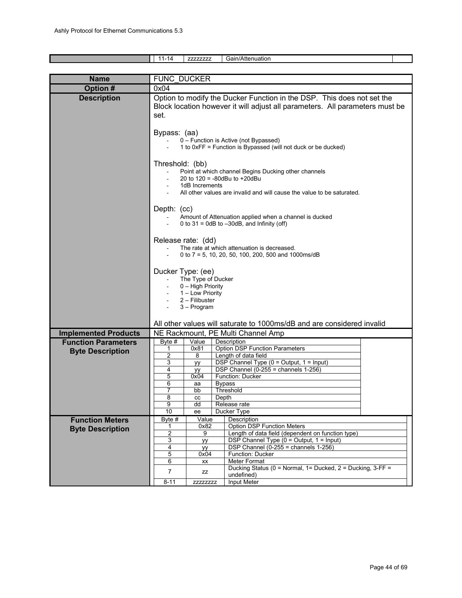<span id="page-43-0"></span>

|                             | $11 - 14$                                                              | ZZZZZZZZZ                             |       | Gain/Attenuation                                                                           |  |  |  |  |  |
|-----------------------------|------------------------------------------------------------------------|---------------------------------------|-------|--------------------------------------------------------------------------------------------|--|--|--|--|--|
|                             |                                                                        |                                       |       |                                                                                            |  |  |  |  |  |
| <b>Name</b>                 | FUNC DUCKER                                                            |                                       |       |                                                                                            |  |  |  |  |  |
| Option #                    | 0x04                                                                   |                                       |       |                                                                                            |  |  |  |  |  |
| <b>Description</b>          |                                                                        |                                       |       | Option to modify the Ducker Function in the DSP. This does not set the                     |  |  |  |  |  |
|                             |                                                                        |                                       |       | Block location however it will adjust all parameters. All parameters must be               |  |  |  |  |  |
|                             | set.                                                                   |                                       |       |                                                                                            |  |  |  |  |  |
|                             |                                                                        |                                       |       |                                                                                            |  |  |  |  |  |
|                             | Bypass: (aa)                                                           |                                       |       |                                                                                            |  |  |  |  |  |
|                             |                                                                        | 0 - Function is Active (not Bypassed) |       |                                                                                            |  |  |  |  |  |
|                             | 1 to 0xFF = Function is Bypassed (will not duck or be ducked)          |                                       |       |                                                                                            |  |  |  |  |  |
|                             |                                                                        |                                       |       |                                                                                            |  |  |  |  |  |
|                             | Threshold: (bb)                                                        |                                       |       |                                                                                            |  |  |  |  |  |
|                             |                                                                        |                                       |       | Point at which channel Begins Ducking other channels<br>20 to $120 = -80$ dBu to $+20$ dBu |  |  |  |  |  |
|                             |                                                                        | 1dB Increments                        |       |                                                                                            |  |  |  |  |  |
|                             |                                                                        |                                       |       | All other values are invalid and will cause the value to be saturated.                     |  |  |  |  |  |
|                             |                                                                        |                                       |       |                                                                                            |  |  |  |  |  |
|                             | Depth: (cc)                                                            |                                       |       |                                                                                            |  |  |  |  |  |
|                             |                                                                        |                                       |       | Amount of Attenuation applied when a channel is ducked                                     |  |  |  |  |  |
|                             |                                                                        |                                       |       | 0 to 31 = 0dB to $-30$ dB, and Infinity (off)                                              |  |  |  |  |  |
|                             |                                                                        |                                       |       |                                                                                            |  |  |  |  |  |
|                             |                                                                        | Release rate: (dd)                    |       | The rate at which attenuation is decreased.                                                |  |  |  |  |  |
|                             |                                                                        |                                       |       | 0 to 7 = 5, 10, 20, 50, 100, 200, 500 and 1000ms/dB                                        |  |  |  |  |  |
|                             |                                                                        |                                       |       |                                                                                            |  |  |  |  |  |
|                             | Ducker Type: (ee)                                                      |                                       |       |                                                                                            |  |  |  |  |  |
|                             | The Type of Ducker                                                     |                                       |       |                                                                                            |  |  |  |  |  |
|                             |                                                                        | 0 - High Priority<br>1 - Low Priority |       |                                                                                            |  |  |  |  |  |
|                             |                                                                        | 2 – Filibuster                        |       |                                                                                            |  |  |  |  |  |
|                             |                                                                        | 3 - Program                           |       |                                                                                            |  |  |  |  |  |
|                             |                                                                        |                                       |       |                                                                                            |  |  |  |  |  |
|                             | All other values will saturate to 1000ms/dB and are considered invalid |                                       |       |                                                                                            |  |  |  |  |  |
| <b>Implemented Products</b> |                                                                        |                                       |       | NE Rackmount, PE Multi Channel Amp                                                         |  |  |  |  |  |
| <b>Function Parameters</b>  | Byte #                                                                 | Value                                 |       | Description                                                                                |  |  |  |  |  |
| <b>Byte Description</b>     | 1<br>2                                                                 | 0x81<br>8                             |       | <b>Option DSP Function Parameters</b><br>Length of data field                              |  |  |  |  |  |
|                             | 3                                                                      | yy                                    |       | DSP Channel Type $(0 = Output, 1 = Input)$                                                 |  |  |  |  |  |
|                             | 4                                                                      | <b>yy</b>                             |       | DSP Channel (0-255 = channels $1-256$ )                                                    |  |  |  |  |  |
|                             | 5                                                                      | 0x04                                  |       | Function: Ducker                                                                           |  |  |  |  |  |
|                             | 6<br>$\overline{7}$                                                    | aa<br>bb                              |       | <b>Bypass</b><br>Threshold                                                                 |  |  |  |  |  |
|                             | 8                                                                      | cc                                    | Depth |                                                                                            |  |  |  |  |  |
|                             | 9                                                                      | dd                                    |       | Release rate                                                                               |  |  |  |  |  |
|                             | 10                                                                     | ee                                    |       | Ducker Type                                                                                |  |  |  |  |  |
| <b>Function Meters</b>      | $B$ yte #                                                              | Value<br>0x82                         |       | Description<br><b>Option DSP Function Meters</b>                                           |  |  |  |  |  |
| <b>Byte Description</b>     | 2                                                                      | 9                                     |       | Length of data field (dependent on function type)                                          |  |  |  |  |  |
|                             | 3                                                                      | yy                                    |       | DSP Channel Type (0 = Output, 1 = Input)                                                   |  |  |  |  |  |
|                             | $\overline{4}$<br>5                                                    | yy<br>0x04                            |       | DSP Channel (0-255 = channels $1-256$ )<br>Function: Ducker                                |  |  |  |  |  |
|                             | 6                                                                      | XX                                    |       | Meter Format                                                                               |  |  |  |  |  |
|                             |                                                                        |                                       |       | Ducking Status (0 = Normal, 1= Ducked, 2 = Ducking, 3-FF =                                 |  |  |  |  |  |
|                             | 7                                                                      | ZZ                                    |       | undefined)                                                                                 |  |  |  |  |  |
|                             | $8 - 11$                                                               | ZZZZZZZZZ                             |       | Input Meter                                                                                |  |  |  |  |  |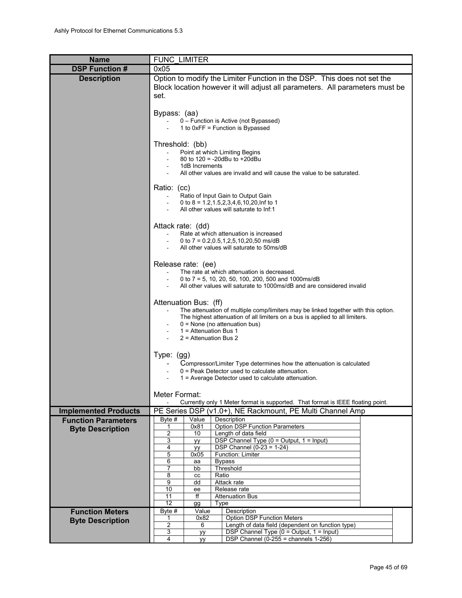<span id="page-44-0"></span>

| <b>Name</b>                                           | <b>FUNC LIMITER</b>                                                                                                                                                                                                                                                                  |
|-------------------------------------------------------|--------------------------------------------------------------------------------------------------------------------------------------------------------------------------------------------------------------------------------------------------------------------------------------|
| <b>DSP Function #</b>                                 | 0x05                                                                                                                                                                                                                                                                                 |
| <b>Description</b>                                    | Option to modify the Limiter Function in the DSP. This does not set the<br>Block location however it will adjust all parameters. All parameters must be<br>set.                                                                                                                      |
|                                                       | Bypass: (aa)<br>0 - Function is Active (not Bypassed)<br>1 to 0xFF = Function is Bypassed                                                                                                                                                                                            |
|                                                       | Threshold: (bb)<br>Point at which Limiting Begins<br>80 to 120 = -20dBu to +20dBu<br>1dB Increments<br>All other values are invalid and will cause the value to be saturated.                                                                                                        |
|                                                       | Ratio: (cc)<br>Ratio of Input Gain to Output Gain<br>$\sim$<br>0 to 8 = $1.2, 1.5, 2, 3, 4, 6, 10, 20$ , Inf to 1<br>All other values will saturate to Inf:1                                                                                                                         |
|                                                       | Attack rate: (dd)<br>Rate at which attenuation is increased<br>0 to 7 = $0.2, 0.5, 1, 2, 5, 10, 20, 50$ ms/dB<br>All other values will saturate to 50ms/dB                                                                                                                           |
|                                                       | Release rate: (ee)<br>The rate at which attenuation is decreased.<br>0 to 7 = 5, 10, 20, 50, 100, 200, 500 and 1000ms/dB<br>All other values will saturate to 1000ms/dB and are considered invalid                                                                                   |
|                                                       | Attenuation Bus: (ff)<br>The attenuation of multiple comp/limiters may be linked together with this option.<br>The highest attenuation of all limiters on a bus is applied to all limiters.<br>$0 =$ None (no attenuation bus)<br>$1$ = Attenuation Bus 1<br>$2$ = Attenuation Bus 2 |
|                                                       | Type: $(gg)$<br>Compressor/Limiter Type determines how the attenuation is calculated<br>$0 =$ Peak Detector used to calculate attenuation.<br>1 = Average Detector used to calculate attenuation.                                                                                    |
|                                                       | Meter Format:<br>Currently only 1 Meter format is supported. That format is IEEE floating point.                                                                                                                                                                                     |
| <b>Implemented Products</b>                           | PE Series DSP (v1.0+), NE Rackmount, PE Multi Channel Amp                                                                                                                                                                                                                            |
| <b>Function Parameters</b><br><b>Byte Description</b> | Value<br>Description<br>Byte #<br><b>Option DSP Function Parameters</b><br>0x81<br>1<br>2<br>Length of data field<br>10<br>DSP Channel Type (0 = Output, 1 = Input)<br>3<br><b>yy</b><br>DSP Channel $(0-23 = 1-24)$<br>4<br>уу                                                      |
|                                                       | 5<br>Function: Limiter<br>0x05<br>6<br><b>Bypass</b><br>аа<br>7<br>Threshold<br>bb<br>8<br>Ratio<br>cc<br>9<br>Attack rate<br>dd<br>10<br>Release rate<br>ee                                                                                                                         |
|                                                       | 11<br><b>Attenuation Bus</b><br>ff<br>$\overline{12}$<br>Type<br>gg                                                                                                                                                                                                                  |
| <b>Function Meters</b>                                | Description<br>Byte #<br>Value                                                                                                                                                                                                                                                       |
| <b>Byte Description</b>                               | <b>Option DSP Function Meters</b><br>0x82<br>1<br>2<br>Length of data field (dependent on function type)<br>6                                                                                                                                                                        |
|                                                       | 3<br>DSP Channel Type (0 = Output, 1 = Input)<br><b>yy</b>                                                                                                                                                                                                                           |
|                                                       | DSP Channel $(0-255)$ = channels $1-256$ )<br>4<br>yy                                                                                                                                                                                                                                |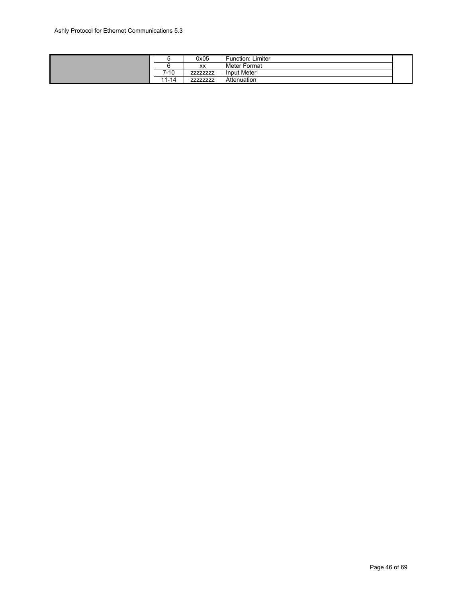|            | 0x05  | <b>Function: Limiter</b> |  |
|------------|-------|--------------------------|--|
|            | XX    | Meter Format             |  |
| 7-10       | 77777 | Input Meter              |  |
| .14<br>ı — | ----  | Attenuation              |  |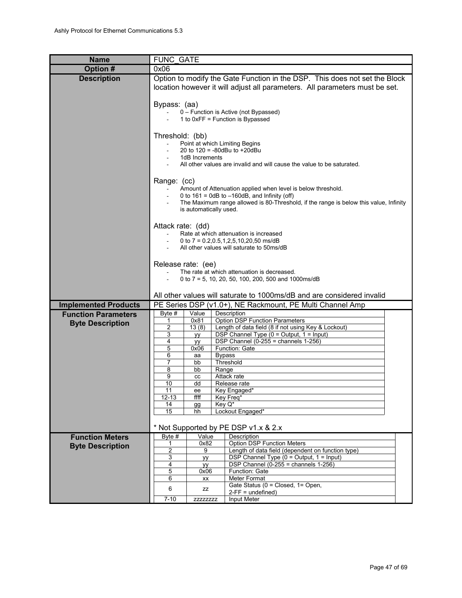<span id="page-46-0"></span>

| <b>Name</b>                 | <b>FUNC GATE</b>                                                                                                                                                                                   |                                                                                                                                                                                                                                                     |                                                                                                                                                           |  |  |  |  |  |  |
|-----------------------------|----------------------------------------------------------------------------------------------------------------------------------------------------------------------------------------------------|-----------------------------------------------------------------------------------------------------------------------------------------------------------------------------------------------------------------------------------------------------|-----------------------------------------------------------------------------------------------------------------------------------------------------------|--|--|--|--|--|--|
| Option #                    | 0x06                                                                                                                                                                                               |                                                                                                                                                                                                                                                     |                                                                                                                                                           |  |  |  |  |  |  |
| <b>Description</b>          |                                                                                                                                                                                                    |                                                                                                                                                                                                                                                     | Option to modify the Gate Function in the DSP. This does not set the Block<br>location however it will adjust all parameters. All parameters must be set. |  |  |  |  |  |  |
|                             | Bypass: (aa)                                                                                                                                                                                       |                                                                                                                                                                                                                                                     | 0 - Function is Active (not Bypassed)<br>1 to 0xFF = Function is Bypassed                                                                                 |  |  |  |  |  |  |
|                             |                                                                                                                                                                                                    | Threshold: (bb)<br>Point at which Limiting Begins<br>20 to 120 = -80dBu to +20dBu<br>1dB Increments<br>All other values are invalid and will cause the value to be saturated.                                                                       |                                                                                                                                                           |  |  |  |  |  |  |
|                             |                                                                                                                                                                                                    | Range: (cc)<br>Amount of Attenuation applied when level is below threshold.<br>0 to $161 = 0dB$ to $-160dB$ , and Infinity (off)<br>The Maximum range allowed is 80-Threshold, if the range is below this value, Infinity<br>is automatically used. |                                                                                                                                                           |  |  |  |  |  |  |
|                             |                                                                                                                                                                                                    | Attack rate: (dd)<br>Rate at which attenuation is increased<br>0 to 7 = $0.2, 0.5, 1, 2, 5, 10, 20, 50$ ms/dB<br>All other values will saturate to 50ms/dB                                                                                          |                                                                                                                                                           |  |  |  |  |  |  |
|                             | Release rate: (ee)<br>The rate at which attenuation is decreased.<br>0 to 7 = 5, 10, 20, 50, 100, 200, 500 and 1000ms/dB<br>All other values will saturate to 1000ms/dB and are considered invalid |                                                                                                                                                                                                                                                     |                                                                                                                                                           |  |  |  |  |  |  |
| <b>Implemented Products</b> |                                                                                                                                                                                                    |                                                                                                                                                                                                                                                     |                                                                                                                                                           |  |  |  |  |  |  |
| <b>Function Parameters</b>  | Byte $#$                                                                                                                                                                                           | Value                                                                                                                                                                                                                                               | PE Series DSP (v1.0+), NE Rackmount, PE Multi Channel Amp<br>Description                                                                                  |  |  |  |  |  |  |
|                             | 1                                                                                                                                                                                                  | 0x81                                                                                                                                                                                                                                                | <b>Option DSP Function Parameters</b>                                                                                                                     |  |  |  |  |  |  |
| <b>Byte Description</b>     | 2                                                                                                                                                                                                  | Length of data field (8 if not using Key & Lockout)<br>13(8)                                                                                                                                                                                        |                                                                                                                                                           |  |  |  |  |  |  |
|                             | 3                                                                                                                                                                                                  | уу                                                                                                                                                                                                                                                  | DSP Channel Type $(0 =$ Output, $1 =$ Input)                                                                                                              |  |  |  |  |  |  |
|                             | 4<br>5                                                                                                                                                                                             | yy<br>0x06                                                                                                                                                                                                                                          | DSP Channel $(0-255)$ = channels 1-256)<br>Function: Gate                                                                                                 |  |  |  |  |  |  |
|                             | 6<br><b>Bypass</b><br>aa                                                                                                                                                                           |                                                                                                                                                                                                                                                     |                                                                                                                                                           |  |  |  |  |  |  |
|                             | 7                                                                                                                                                                                                  | bb                                                                                                                                                                                                                                                  | Threshold                                                                                                                                                 |  |  |  |  |  |  |
|                             | 8<br>9                                                                                                                                                                                             | Range<br>bb<br>cc                                                                                                                                                                                                                                   | Attack rate                                                                                                                                               |  |  |  |  |  |  |
|                             | 10                                                                                                                                                                                                 | dd                                                                                                                                                                                                                                                  | Release rate                                                                                                                                              |  |  |  |  |  |  |
|                             | 11                                                                                                                                                                                                 | ee                                                                                                                                                                                                                                                  | Key Engaged*                                                                                                                                              |  |  |  |  |  |  |
|                             | $12 - 13$<br>14                                                                                                                                                                                    | ffff<br>gg                                                                                                                                                                                                                                          | Key Freq*<br>Key Q*                                                                                                                                       |  |  |  |  |  |  |
|                             | 15                                                                                                                                                                                                 | hh                                                                                                                                                                                                                                                  | Lockout Engaged*                                                                                                                                          |  |  |  |  |  |  |
|                             |                                                                                                                                                                                                    |                                                                                                                                                                                                                                                     |                                                                                                                                                           |  |  |  |  |  |  |
|                             |                                                                                                                                                                                                    |                                                                                                                                                                                                                                                     | * Not Supported by PE DSP v1.x & 2.x                                                                                                                      |  |  |  |  |  |  |
| <b>Function Meters</b>      | Byte $#$                                                                                                                                                                                           | Value<br>0x82                                                                                                                                                                                                                                       | Description<br><b>Option DSP Function Meters</b>                                                                                                          |  |  |  |  |  |  |
| <b>Byte Description</b>     | $\overline{2}$                                                                                                                                                                                     | 9                                                                                                                                                                                                                                                   | Length of data field (dependent on function type)                                                                                                         |  |  |  |  |  |  |
|                             | 3                                                                                                                                                                                                  | yy                                                                                                                                                                                                                                                  | DSP Channel Type $(0 = Output, 1 = Input)$                                                                                                                |  |  |  |  |  |  |
|                             | $\overline{4}$                                                                                                                                                                                     | уу                                                                                                                                                                                                                                                  | DSP Channel (0-255 = channels $1-256$ )                                                                                                                   |  |  |  |  |  |  |
|                             | 5<br>6                                                                                                                                                                                             | 0x06<br>XX                                                                                                                                                                                                                                          | Function: Gate<br><b>Meter Format</b>                                                                                                                     |  |  |  |  |  |  |
|                             |                                                                                                                                                                                                    |                                                                                                                                                                                                                                                     | Gate Status (0 = Closed, 1= Open,                                                                                                                         |  |  |  |  |  |  |
|                             | 6                                                                                                                                                                                                  | ZZ                                                                                                                                                                                                                                                  | $2-FF =$ undefined)                                                                                                                                       |  |  |  |  |  |  |
|                             | $7 - 10$                                                                                                                                                                                           | ZZZZZZZZZ                                                                                                                                                                                                                                           | Input Meter                                                                                                                                               |  |  |  |  |  |  |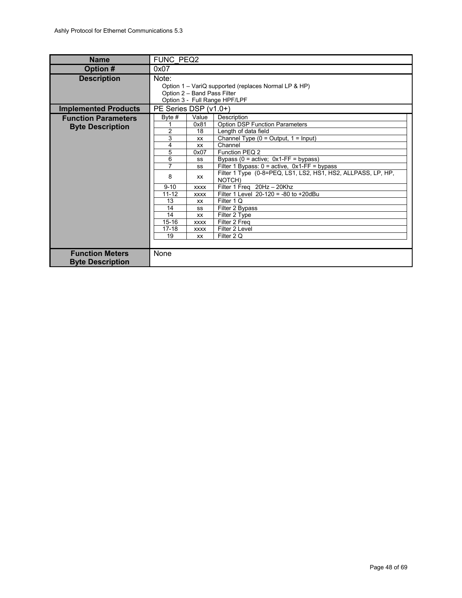<span id="page-47-0"></span>

| <b>Name</b>                                           | FUNC PEQ2                                                                                                                           |                                                                                                                                                      |                                                                                                                                                                                                                                                                                                                                                                                                                                                                                                                             |  |  |  |
|-------------------------------------------------------|-------------------------------------------------------------------------------------------------------------------------------------|------------------------------------------------------------------------------------------------------------------------------------------------------|-----------------------------------------------------------------------------------------------------------------------------------------------------------------------------------------------------------------------------------------------------------------------------------------------------------------------------------------------------------------------------------------------------------------------------------------------------------------------------------------------------------------------------|--|--|--|
| Option #                                              | 0x07                                                                                                                                |                                                                                                                                                      |                                                                                                                                                                                                                                                                                                                                                                                                                                                                                                                             |  |  |  |
| <b>Description</b>                                    | Note:<br>Option 1 - VariQ supported (replaces Normal LP & HP)<br>Option 2 - Band Pass Filter<br>Option 3 - Full Range HPF/LPF       |                                                                                                                                                      |                                                                                                                                                                                                                                                                                                                                                                                                                                                                                                                             |  |  |  |
| <b>Implemented Products</b>                           | PE Series DSP (v1.0+)                                                                                                               |                                                                                                                                                      |                                                                                                                                                                                                                                                                                                                                                                                                                                                                                                                             |  |  |  |
| <b>Function Parameters</b><br><b>Byte Description</b> | Byte $#$<br>$\overline{2}$<br>3<br>4<br>5<br>6<br>7<br>8<br>$9 - 10$<br>$11 - 12$<br>13<br>14<br>14<br>$15 - 16$<br>$17 - 18$<br>19 | Value<br>0x81<br>18<br>XX<br><b>XX</b><br>0x07<br>SS<br>SS<br>XX<br><b>XXXX</b><br><b>XXXX</b><br>XX<br>SS<br>XX<br><b>XXXX</b><br><b>XXXX</b><br>XX | Description<br><b>Option DSP Function Parameters</b><br>Length of data field<br>Channel Type $(0 = Output, 1 = Input)$<br>Channel<br>Function PEQ 2<br>Bypass ( $0 =$ active; $0x1$ -FF = bypass)<br>Filter 1 Bypass: $0 = \text{active}, \space 0x1$ -FF = bypass<br>Filter 1 Type (0-8=PEQ, LS1, LS2, HS1, HS2, ALLPASS, LP, HP,<br>NOTCH)<br>Filter 1 Freg 20Hz - 20Khz<br>Filter 1 Level $20-120 = -80$ to $+20$ dBu<br>Filter 1 Q<br>Filter 2 Bypass<br>Filter 2 Type<br>Filter 2 Freq<br>Filter 2 Level<br>Filter 2 Q |  |  |  |
| <b>Function Meters</b><br><b>Byte Description</b>     | None                                                                                                                                |                                                                                                                                                      |                                                                                                                                                                                                                                                                                                                                                                                                                                                                                                                             |  |  |  |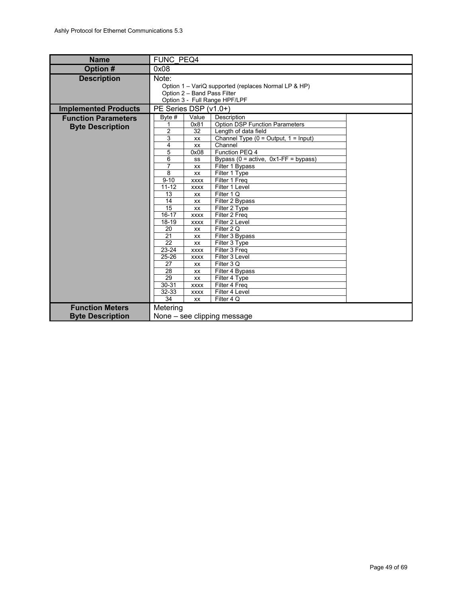<span id="page-48-0"></span>

| <b>Name</b>                 | FUNC PEQ4                   |                                                      |                                            |  |  |  |  |
|-----------------------------|-----------------------------|------------------------------------------------------|--------------------------------------------|--|--|--|--|
| Option #                    | 0x08                        |                                                      |                                            |  |  |  |  |
| <b>Description</b>          | Note:                       |                                                      |                                            |  |  |  |  |
|                             |                             | Option 1 – VariQ supported (replaces Normal LP & HP) |                                            |  |  |  |  |
|                             |                             |                                                      | Option 2 - Band Pass Filter                |  |  |  |  |
|                             |                             |                                                      | Option 3 - Full Range HPF/LPF              |  |  |  |  |
| <b>Implemented Products</b> | PE Series DSP (v1.0+)       |                                                      |                                            |  |  |  |  |
| <b>Function Parameters</b>  | Byte $#$                    | Value                                                | Description                                |  |  |  |  |
| <b>Byte Description</b>     | 1                           | 0x81                                                 | <b>Option DSP Function Parameters</b>      |  |  |  |  |
|                             | 2                           | 32                                                   | Length of data field                       |  |  |  |  |
|                             | 3                           | XX                                                   | Channel Type $(0 = Output, 1 = Input)$     |  |  |  |  |
|                             | 4                           | XX                                                   | Channel                                    |  |  |  |  |
|                             | 5                           | 0x08                                                 | Function PEQ 4                             |  |  |  |  |
|                             | 6                           | SS                                                   | Bypass ( $0 =$ active, $0x1$ -FF = bypass) |  |  |  |  |
|                             | 7                           | XX                                                   | Filter 1 Bypass                            |  |  |  |  |
|                             | 8<br>$9 - 10$               | XX                                                   | Filter 1 Type<br>Filter 1 Freg             |  |  |  |  |
|                             | $11 - 12$                   | <b>XXXX</b><br><b>XXXX</b>                           | Filter 1 Level                             |  |  |  |  |
|                             | 13                          | XX                                                   | Filter 1 Q                                 |  |  |  |  |
|                             | 14                          | XX                                                   | Filter 2 Bypass                            |  |  |  |  |
|                             | $\overline{15}$             | XX                                                   | Filter 2 Type                              |  |  |  |  |
|                             | $16 - 17$                   | <b>XXXX</b>                                          | Filter 2 Freg                              |  |  |  |  |
|                             | $18 - 19$                   | <b>XXXX</b>                                          | Filter 2 Level                             |  |  |  |  |
|                             | 20                          | XX                                                   | Filter 2 Q                                 |  |  |  |  |
|                             | 21                          | XX                                                   | Filter 3 Bypass                            |  |  |  |  |
|                             | 22                          | <b>XX</b>                                            | Filter 3 Type                              |  |  |  |  |
|                             | 23-24                       | <b>XXXX</b>                                          | Filter 3 Freq                              |  |  |  |  |
|                             | $25 - 26$                   | <b>XXXX</b>                                          | Filter 3 Level                             |  |  |  |  |
|                             | 27                          | XX                                                   | Filter 3 Q                                 |  |  |  |  |
|                             | 28                          | XX                                                   | Filter 4 Bypass                            |  |  |  |  |
|                             | 29                          | XX                                                   | Filter 4 Type                              |  |  |  |  |
|                             | $30 - 31$                   | <b>XXXX</b>                                          | Filter 4 Freq                              |  |  |  |  |
|                             | 32-33                       | <b>XXXX</b>                                          | Filter 4 Level                             |  |  |  |  |
|                             | 34                          | XX                                                   | Filter 4 Q                                 |  |  |  |  |
| <b>Function Meters</b>      | Metering                    |                                                      |                                            |  |  |  |  |
| <b>Byte Description</b>     | None – see clipping message |                                                      |                                            |  |  |  |  |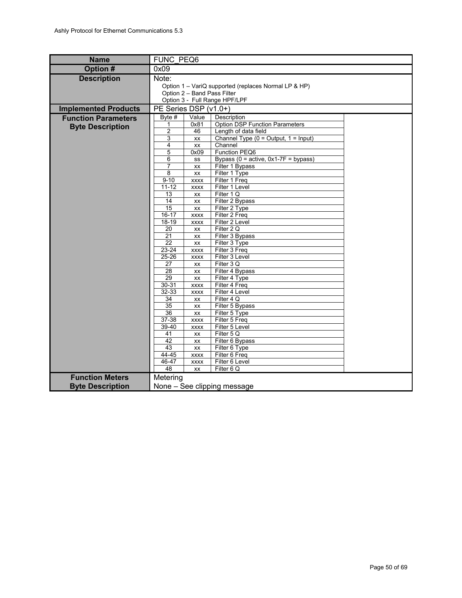<span id="page-49-0"></span>

| <b>Name</b>                 | <b>FUNC PEQ6</b>            |                              |                                                              |  |  |  |  |
|-----------------------------|-----------------------------|------------------------------|--------------------------------------------------------------|--|--|--|--|
| Option #                    | 0x09                        |                              |                                                              |  |  |  |  |
| <b>Description</b>          | Note:                       |                              |                                                              |  |  |  |  |
|                             |                             |                              | Option 1 - VariQ supported (replaces Normal LP & HP)         |  |  |  |  |
|                             |                             |                              | Option 2 - Band Pass Filter<br>Option 3 - Full Range HPF/LPF |  |  |  |  |
|                             |                             |                              |                                                              |  |  |  |  |
| <b>Implemented Products</b> |                             | PE Series DSP (v1.0+)        |                                                              |  |  |  |  |
| <b>Function Parameters</b>  | Byte $#$<br>1               | Value<br>0x81                | Description<br><b>Option DSP Function Parameters</b>         |  |  |  |  |
| <b>Byte Description</b>     | $\overline{c}$              | 46                           | Length of data field                                         |  |  |  |  |
|                             | 3                           | XX                           | Channel Type $(0 = Output, 1 = Input)$                       |  |  |  |  |
|                             | 4                           | XX                           | Channel                                                      |  |  |  |  |
|                             | 5                           | 0x09                         | Function PEQ6                                                |  |  |  |  |
|                             | 6                           | SS                           | Bypass ( $0 =$ active, $0 \times 1 - 7F =$ bypass)           |  |  |  |  |
|                             | 7                           | XX                           | Filter 1 Bypass                                              |  |  |  |  |
|                             | 8                           | XX                           | Filter 1 Type                                                |  |  |  |  |
|                             | $9 - 10$                    | <b>XXXX</b>                  | Filter 1 Freq                                                |  |  |  |  |
|                             | $11 - 12$<br>13             | <b>XXXX</b>                  | Filter 1 Level                                               |  |  |  |  |
|                             | 14                          | XX<br>$\mathsf{X}\mathsf{X}$ | Filter 1 Q<br>Filter 2 Bypass                                |  |  |  |  |
|                             | 15                          | XX                           | Filter 2 Type                                                |  |  |  |  |
|                             | $16 - 17$                   | <b>XXXX</b>                  | Filter 2 Freq                                                |  |  |  |  |
|                             | $18 - 19$                   | <b>XXXX</b>                  | Filter 2 Level                                               |  |  |  |  |
|                             | 20                          | XX                           | Filter 2 Q                                                   |  |  |  |  |
|                             | $\overline{21}$             | XX                           | Filter 3 Bypass                                              |  |  |  |  |
|                             | $\overline{22}$             | XX                           | Filter 3 Type                                                |  |  |  |  |
|                             | $23 - 24$                   | <b>XXXX</b>                  | Filter 3 Freq                                                |  |  |  |  |
|                             | $25 - 26$                   | <b>XXXX</b>                  | Filter 3 Level                                               |  |  |  |  |
|                             | 27                          | XX                           | Filter 3Q                                                    |  |  |  |  |
|                             | 28<br>$\overline{29}$       | XX<br>XX                     | Filter 4 Bypass<br>Filter 4 Type                             |  |  |  |  |
|                             | $30 - 31$                   | <b>XXXX</b>                  | Filter 4 Freq                                                |  |  |  |  |
|                             | $32 - 33$                   | <b>XXXX</b>                  | Filter 4 Level                                               |  |  |  |  |
|                             | 34                          | XX                           | Filter 4 Q                                                   |  |  |  |  |
|                             | 35                          | XX                           | Filter 5 Bypass                                              |  |  |  |  |
|                             | 36                          | XX                           | Filter 5 Type                                                |  |  |  |  |
|                             | $37 - 38$                   | <b>XXXX</b>                  | Filter 5 Freq                                                |  |  |  |  |
|                             | 39-40                       | <b>XXXX</b>                  | Filter 5 Level                                               |  |  |  |  |
|                             | 41                          | XX                           | Filter 5 Q                                                   |  |  |  |  |
|                             | 42                          | XX                           | Filter 6 Bypass                                              |  |  |  |  |
|                             | 43                          | XX                           | Filter 6 Type                                                |  |  |  |  |
|                             | 44-45<br>46-47              | <b>XXXX</b><br><b>XXXX</b>   | Filter 6 Freq<br>Filter 6 Level                              |  |  |  |  |
|                             | 48                          | XX                           | Filter 6 Q                                                   |  |  |  |  |
| <b>Function Meters</b>      | Metering                    |                              |                                                              |  |  |  |  |
|                             |                             |                              |                                                              |  |  |  |  |
| <b>Byte Description</b>     | None - See clipping message |                              |                                                              |  |  |  |  |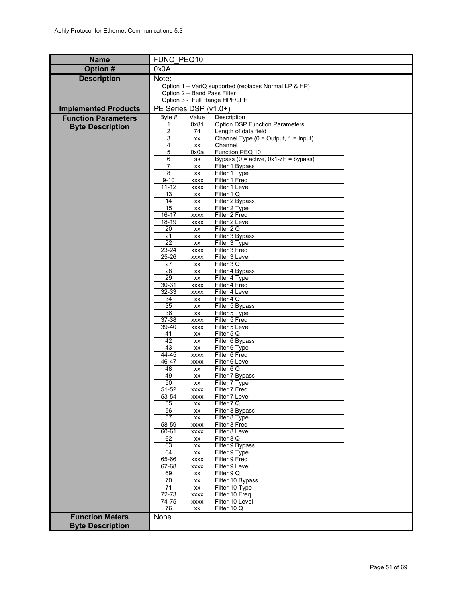<span id="page-50-0"></span>

| <b>Name</b>                 | FUNC PEQ10            |                             |                                                      |  |  |  |
|-----------------------------|-----------------------|-----------------------------|------------------------------------------------------|--|--|--|
| <b>Option#</b>              | 0x0A                  |                             |                                                      |  |  |  |
| <b>Description</b>          | Note:                 |                             |                                                      |  |  |  |
|                             |                       |                             | Option 1 - VariQ supported (replaces Normal LP & HP) |  |  |  |
|                             |                       | Option 2 - Band Pass Filter | Option 3 - Full Range HPF/LPF                        |  |  |  |
|                             | PE Series DSP (v1.0+) |                             |                                                      |  |  |  |
| <b>Implemented Products</b> | Byte #                | Value                       | Description                                          |  |  |  |
| <b>Function Parameters</b>  | 1                     | 0x81                        | <b>Option DSP Function Parameters</b>                |  |  |  |
| <b>Byte Description</b>     | $\overline{2}$        | 74                          | Length of data field                                 |  |  |  |
|                             | 3                     | XX                          | Channel Type $(0 = Output, 1 = Input)$               |  |  |  |
|                             | 4<br>5                | XX<br>0x0a                  | Channel<br>Function PEQ 10                           |  |  |  |
|                             | 6                     | SS                          | Bypass ( $0 =$ active, $0 \times 1 - 7F =$ bypass)   |  |  |  |
|                             | 7                     | XX                          | Filter 1 Bypass                                      |  |  |  |
|                             | 8                     | XX                          | Filter 1 Type                                        |  |  |  |
|                             | $9 - 10$<br>$11 - 12$ | <b>XXXX</b>                 | Filter 1 Freq<br>Filter 1 Level                      |  |  |  |
|                             | 13                    | <b>XXXX</b><br>XX           | Filter 1 Q                                           |  |  |  |
|                             | 14                    | XX                          | Filter 2 Bypass                                      |  |  |  |
|                             | 15                    | XX                          | Filter 2 Type                                        |  |  |  |
|                             | $16 - 17$             | <b>XXXX</b>                 | Filter 2 Freq                                        |  |  |  |
|                             | 18-19<br>20           | <b>XXXX</b><br>XX           | Filter 2 Level<br>Filter 2 Q                         |  |  |  |
|                             | 21                    | XX                          | Filter 3 Bypass                                      |  |  |  |
|                             | 22                    | XX                          | Filter 3 Type                                        |  |  |  |
|                             | $23 - 24$             | <b>XXXX</b>                 | Filter 3 Freq                                        |  |  |  |
|                             | $25 - 26$<br>27       | <b>XXXX</b><br>XX           | Filter 3 Level<br>Filter 3 Q                         |  |  |  |
|                             | 28                    | XX                          | Filter 4 Bypass                                      |  |  |  |
|                             | 29                    | XX                          | Filter 4 Type                                        |  |  |  |
|                             | $30 - 31$             | <b>XXXX</b>                 | Filter 4 Freq                                        |  |  |  |
|                             | 32-33<br>34           | <b>XXXX</b><br>XX           | Filter 4 Level<br>Filter 4 Q                         |  |  |  |
|                             | $\overline{35}$       | XX                          | Filter 5 Bypass                                      |  |  |  |
|                             | 36                    | XX                          | Filter 5 Type                                        |  |  |  |
|                             | $37 - 38$             | <b>XXXX</b>                 | Filter 5 Freq                                        |  |  |  |
|                             | 39-40<br>41           | <b>XXXX</b>                 | Filter 5 Level<br>Filter 5 Q                         |  |  |  |
|                             | 42                    | XX<br>XX                    | Filter 6 Bypass                                      |  |  |  |
|                             | 43                    | XX                          | Filter 6 Type                                        |  |  |  |
|                             | 44-45                 | <b>XXXX</b>                 | Filter 6 Freq                                        |  |  |  |
|                             | 46-47<br>48           | <b>XXXX</b>                 | Filter 6 Level<br>Filter 6 Q                         |  |  |  |
|                             | 49                    | XX<br>XX                    | Filter 7 Bypass                                      |  |  |  |
|                             | 50                    | XX                          | Filter 7 Type                                        |  |  |  |
|                             | $51 - 52$             | <b>XXXX</b>                 | Filter 7 Freg                                        |  |  |  |
|                             | 53-54<br>55           | <b>XXXX</b>                 | Filter 7 Level<br>Filter 7 Q                         |  |  |  |
|                             | 56                    | XX<br>XX                    | Filter 8 Bypass                                      |  |  |  |
|                             | 57                    | XX                          | Filter 8 Type                                        |  |  |  |
|                             | 58-59                 | <b>XXXX</b>                 | Filter 8 Freq                                        |  |  |  |
|                             | 60-61                 | <b>XXXX</b>                 | Filter 8 Level<br>Filter 8 Q                         |  |  |  |
|                             | 62<br>63              | XX<br>XX                    | Filter 9 Bypass                                      |  |  |  |
|                             | 64                    | XX                          | Filter 9 Type                                        |  |  |  |
|                             | 65-66                 | <b>XXXX</b>                 | Filter 9 Freq                                        |  |  |  |
|                             | 67-68                 | <b>XXXX</b>                 | Filter 9 Level                                       |  |  |  |
|                             | 69<br>70              | XX<br>XX                    | Filter 9 Q<br>Filter 10 Bypass                       |  |  |  |
|                             | 71                    | XX                          | Filter 10 Type                                       |  |  |  |
|                             | $72 - 73$             | <b>XXXX</b>                 | Filter 10 Freq                                       |  |  |  |
|                             | 74-75                 | <b>XXXX</b>                 | Filter 10 Level                                      |  |  |  |
| <b>Function Meters</b>      | 76                    | XX                          | Filter 10 Q                                          |  |  |  |
|                             | None                  |                             |                                                      |  |  |  |
| <b>Byte Description</b>     |                       |                             |                                                      |  |  |  |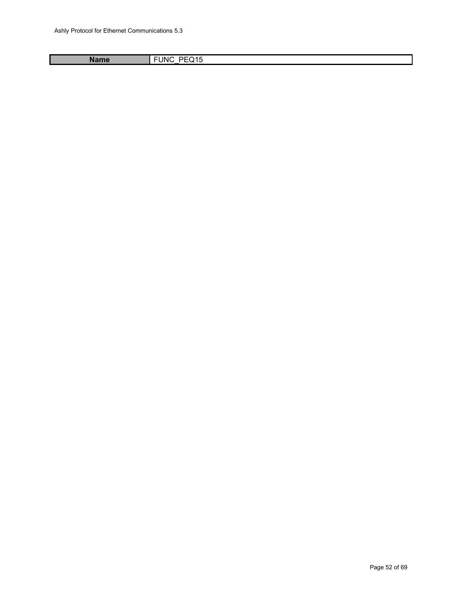<span id="page-51-0"></span>Name FUNC\_PEQ15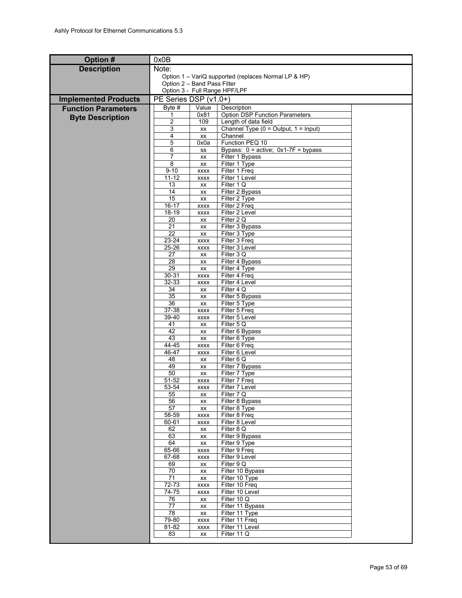| Option #                    | 0x0B                          |                            |                                                              |  |  |  |
|-----------------------------|-------------------------------|----------------------------|--------------------------------------------------------------|--|--|--|
| <b>Description</b>          | Note:                         |                            |                                                              |  |  |  |
|                             |                               |                            | Option 1 – VariQ supported (replaces Normal LP & HP)         |  |  |  |
|                             | Option 2 - Band Pass Filter   |                            |                                                              |  |  |  |
|                             | Option 3 - Full Range HPF/LPF |                            |                                                              |  |  |  |
| <b>Implemented Products</b> | PE Series DSP (v1.0+)         |                            |                                                              |  |  |  |
| <b>Function Parameters</b>  | Byte $#$                      | Value                      | Description                                                  |  |  |  |
| <b>Byte Description</b>     | 1<br>$\overline{2}$           | 0x81<br>109                | <b>Option DSP Function Parameters</b>                        |  |  |  |
|                             | 3                             | XX                         | Length of data field<br>Channel Type (0 = Output, 1 = Input) |  |  |  |
|                             | 4                             | XX                         | Channel                                                      |  |  |  |
|                             | 5                             | 0x0a                       | Function PEQ 10                                              |  |  |  |
|                             | 6                             | SS                         | Bypass: $0 = active$ ; $0x1-7F = bypass$                     |  |  |  |
|                             | 7                             | XX                         | Filter 1 Bypass                                              |  |  |  |
|                             | 8                             | XX                         | Filter 1 Type                                                |  |  |  |
|                             | $9 - 10$<br>$11 - 12$         | <b>XXXX</b><br><b>XXXX</b> | Filter 1 Freq<br>Filter 1 Level                              |  |  |  |
|                             | 13                            | XX                         | Filter 1 Q                                                   |  |  |  |
|                             | 14                            | XX                         | Filter 2 Bypass                                              |  |  |  |
|                             | 15                            | XX                         | Filter 2 Type                                                |  |  |  |
|                             | $16 - 17$                     | <b>XXXX</b>                | Filter 2 Freq                                                |  |  |  |
|                             | 18-19                         | <b>XXXX</b>                | Filter 2 Level                                               |  |  |  |
|                             | 20<br>21                      | XX                         | Filter 2 Q                                                   |  |  |  |
|                             | 22                            | XX<br>XX                   | Filter 3 Bypass<br>Filter 3 Type                             |  |  |  |
|                             | 23-24                         | <b>XXXX</b>                | Filter 3 Freq                                                |  |  |  |
|                             | $25 - 26$                     | <b>XXXX</b>                | Filter 3 Level                                               |  |  |  |
|                             | 27                            | XX                         | Filter 3 Q                                                   |  |  |  |
|                             | 28                            | XX                         | Filter 4 Bypass                                              |  |  |  |
|                             | 29                            | XX                         | Filter 4 Type                                                |  |  |  |
|                             | $30 - 31$<br>32-33            | <b>XXXX</b><br><b>XXXX</b> | Filter 4 Freq<br>Filter 4 Level                              |  |  |  |
|                             | 34                            | XX                         | Filter 4 Q                                                   |  |  |  |
|                             | 35                            | XX                         | Filter 5 Bypass                                              |  |  |  |
|                             | 36                            | XX                         | Filter 5 Type                                                |  |  |  |
|                             | 37-38                         | <b>XXXX</b>                | Filter 5 Freq                                                |  |  |  |
|                             | 39-40<br>41                   | <b>XXXX</b>                | Filter 5 Level                                               |  |  |  |
|                             | 42                            | XX<br>XX                   | Filter 5 Q<br>Filter 6 Bypass                                |  |  |  |
|                             | 43                            | XX                         | Filter 6 Type                                                |  |  |  |
|                             | 44-45                         | <b>XXXX</b>                | Filter 6 Freq                                                |  |  |  |
|                             | 46-47                         | <b>XXXX</b>                | Filter 6 Level                                               |  |  |  |
|                             | 48                            | XX                         | Filter 6 Q                                                   |  |  |  |
|                             | 49                            | XX                         | Filter 7 Bypass                                              |  |  |  |
|                             | 50<br>51-52                   | XX<br><b>XXXX</b>          | Filter 7 Type<br>Filter 7 Freq                               |  |  |  |
|                             | 53-54                         | <b>XXXX</b>                | Filter 7 Level                                               |  |  |  |
|                             | 55                            | ХX                         | Filter / Q                                                   |  |  |  |
|                             | 56                            | XX                         | Filter 8 Bypass                                              |  |  |  |
|                             | 57                            | XX                         | Filter 8 Type                                                |  |  |  |
|                             | 58-59                         | <b>XXXX</b>                | Filter 8 Freq                                                |  |  |  |
|                             | 60-61<br>62                   | <b>XXXX</b>                | Filter 8 Level<br>Filter 8 Q                                 |  |  |  |
|                             | 63                            | XX<br>XX                   | Filter 9 Bypass                                              |  |  |  |
|                             | 64                            | XX                         | Filter 9 Type                                                |  |  |  |
|                             | 65-66                         | <b>XXXX</b>                | Filter 9 Freq                                                |  |  |  |
|                             | $67 - 68$                     | <b>XXXX</b>                | Filter 9 Level                                               |  |  |  |
|                             | 69                            | XX                         | Filter 9 Q                                                   |  |  |  |
|                             | 70<br>71                      | XX                         | Filter 10 Bypass<br>Filter 10 Type                           |  |  |  |
|                             | 72-73                         | XX<br><b>XXXX</b>          | Filter 10 Freq                                               |  |  |  |
|                             | 74-75                         | <b>XXXX</b>                | Filter 10 Level                                              |  |  |  |
|                             | 76                            | XX                         | Filter 10 Q                                                  |  |  |  |
|                             | $\overline{77}$               | XX                         | Filter 11 Bypass                                             |  |  |  |
|                             | 78                            | XX                         | Filter 11 Type                                               |  |  |  |
|                             | 79-80                         | <b>XXXX</b>                | Filter 11 Freq                                               |  |  |  |
|                             | 81-82<br>83                   | <b>XXXX</b><br>XX          | Filter 11 Level<br>Filter 11 Q                               |  |  |  |
|                             |                               |                            |                                                              |  |  |  |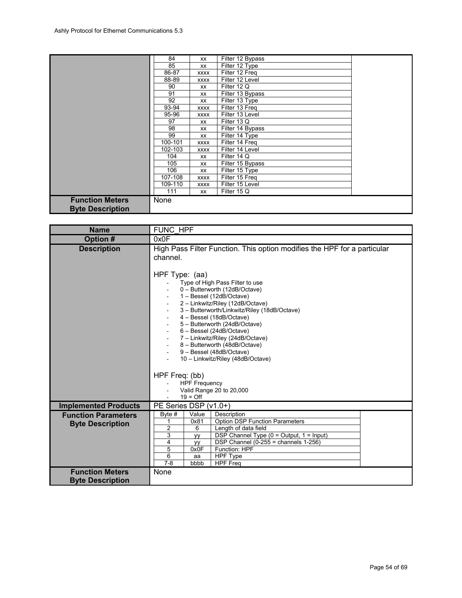|                         | 84      | XX          | Filter 12 Bypass |  |
|-------------------------|---------|-------------|------------------|--|
|                         | 85      | XX          | Filter 12 Type   |  |
|                         | 86-87   | <b>XXXX</b> | Filter 12 Freq   |  |
|                         | 88-89   | <b>XXXX</b> | Filter 12 Level  |  |
|                         | 90      | <b>XX</b>   | Filter 12 Q      |  |
|                         | 91      | XX          | Filter 13 Bypass |  |
|                         | 92      | XX          | Filter 13 Type   |  |
|                         | 93-94   | <b>XXXX</b> | Filter 13 Freq   |  |
|                         | 95-96   | XXXX        | Filter 13 Level  |  |
|                         | 97      | XX          | Filter 13 Q      |  |
|                         | 98      | <b>XX</b>   | Filter 14 Bypass |  |
|                         | 99      | XX          | Filter 14 Type   |  |
|                         | 100-101 | <b>XXXX</b> | Filter 14 Freg   |  |
|                         | 102-103 | <b>XXXX</b> | Filter 14 Level  |  |
|                         | 104     | XX          | Filter 14 Q      |  |
|                         | 105     | XX          | Filter 15 Bypass |  |
|                         | 106     | XX          | Filter 15 Type   |  |
|                         | 107-108 | <b>XXXX</b> | Filter 15 Freq   |  |
|                         | 109-110 | <b>XXXX</b> | Filter 15 Level  |  |
|                         | 111     | XX          | Filter 15 Q      |  |
| <b>Function Meters</b>  | None    |             |                  |  |
| <b>Byte Description</b> |         |             |                  |  |

<span id="page-53-0"></span>

| <b>Name</b>                                           | <b>FUNC HPF</b>                                                                                                                                                                                                                                                                                                                                                                                                                                                                                                                                                                                                      |  |  |  |
|-------------------------------------------------------|----------------------------------------------------------------------------------------------------------------------------------------------------------------------------------------------------------------------------------------------------------------------------------------------------------------------------------------------------------------------------------------------------------------------------------------------------------------------------------------------------------------------------------------------------------------------------------------------------------------------|--|--|--|
| Option #                                              | 0x0F                                                                                                                                                                                                                                                                                                                                                                                                                                                                                                                                                                                                                 |  |  |  |
| <b>Description</b>                                    | High Pass Filter Function. This option modifies the HPF for a particular<br>channel.<br>HPF Type: (aa)<br>Type of High Pass Filter to use<br>0 - Butterworth (12dB/Octave)<br>1 - Bessel (12dB/Octave)<br>2 - Linkwitz/Riley (12dB/Octave)<br>3 - Butterworth/Linkwitz/Riley (18dB/Octave)<br>4 - Bessel (18dB/Octave)<br>5 - Butterworth (24dB/Octave)<br>6 - Bessel (24dB/Octave)<br>7 - Linkwitz/Riley (24dB/Octave)<br>8 - Butterworth (48dB/Octave)<br>9 - Bessel (48dB/Octave)<br>10 - Linkwitz/Riley (48dB/Octave)<br>HPF Freq: (bb)<br><b>HPF Frequency</b><br>Valid Range 20 to 20,000<br>$19 = \text{Off}$ |  |  |  |
| <b>Implemented Products</b>                           | PE Series DSP (v1.0+)                                                                                                                                                                                                                                                                                                                                                                                                                                                                                                                                                                                                |  |  |  |
| <b>Function Parameters</b><br><b>Byte Description</b> | Value<br>Byte #<br>Description<br><b>Option DSP Function Parameters</b><br>0x81<br>1<br>2<br>6<br>Length of data field<br>3<br>DSP Channel Type (0 = Output, 1 = Input)<br>yy<br>4<br>DSP Channel $(0-255)$ = channels 1-256)<br>yу<br>5<br>Function: HPF<br>0x0F<br>6<br><b>HPF Type</b><br>aa<br>$7 - 8$<br>bbbb<br><b>HPF Freq</b>                                                                                                                                                                                                                                                                                |  |  |  |
| <b>Function Meters</b><br><b>Byte Description</b>     | None                                                                                                                                                                                                                                                                                                                                                                                                                                                                                                                                                                                                                 |  |  |  |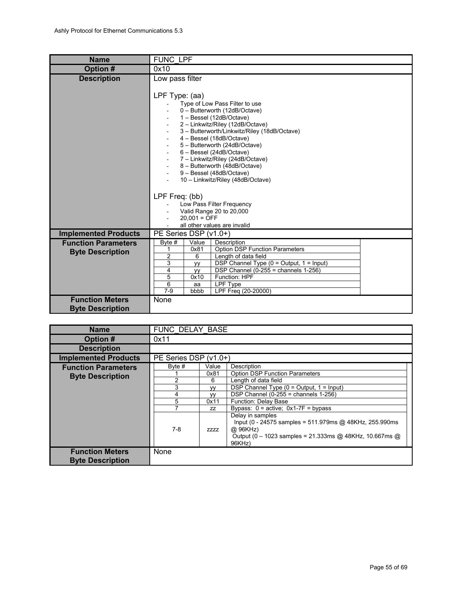<span id="page-54-1"></span>

| <b>Name</b>                                           | FUNC LPF                                                                                                                                                                                                                                                                                                                                                                                                                                            |  |  |  |  |
|-------------------------------------------------------|-----------------------------------------------------------------------------------------------------------------------------------------------------------------------------------------------------------------------------------------------------------------------------------------------------------------------------------------------------------------------------------------------------------------------------------------------------|--|--|--|--|
| Option #                                              | 0x10                                                                                                                                                                                                                                                                                                                                                                                                                                                |  |  |  |  |
| <b>Description</b>                                    | Low pass filter<br>LPF Type: (aa)<br>Type of Low Pass Filter to use<br>0 - Butterworth (12dB/Octave)<br>1 - Bessel (12dB/Octave)<br>2 - Linkwitz/Riley (12dB/Octave)<br>3 - Butterworth/Linkwitz/Riley (18dB/Octave)<br>4 - Bessel (18dB/Octave)<br>5 - Butterworth (24dB/Octave)<br>6 - Bessel (24dB/Octave)<br>7 - Linkwitz/Riley (24dB/Octave)<br>8 - Butterworth (48dB/Octave)<br>9 - Bessel (48dB/Octave)<br>10 - Linkwitz/Riley (48dB/Octave) |  |  |  |  |
|                                                       | LPF Freq: (bb)<br>Low Pass Filter Frequency<br>Valid Range 20 to 20,000<br>$20,001 = \overline{OFF}$<br>all other values are invalid                                                                                                                                                                                                                                                                                                                |  |  |  |  |
| <b>Implemented Products</b>                           | PE Series DSP (v1.0+)                                                                                                                                                                                                                                                                                                                                                                                                                               |  |  |  |  |
| <b>Function Parameters</b><br><b>Byte Description</b> | Byte #<br>Value<br>Description<br><b>Option DSP Function Parameters</b><br>0x81<br>1<br>$\overline{2}$<br>6<br>Length of data field<br>3<br>DSP Channel Type ( $0 =$ Output, $1 =$ Input)<br>yy<br>4<br>DSP Channel (0-255 = channels $1-256$ )<br>уy<br>5<br>Function: HPF<br>0x10<br>6<br>LPF Type<br>aa<br>$7 - 9$<br>LPF Freq (20-20000)<br>bbbb                                                                                                |  |  |  |  |
| <b>Function Meters</b><br><b>Byte Description</b>     | None                                                                                                                                                                                                                                                                                                                                                                                                                                                |  |  |  |  |

<span id="page-54-0"></span>

| <b>Name</b>                                       |                       | FUNC DELAY BASE |                                                                                                                                                              |  |
|---------------------------------------------------|-----------------------|-----------------|--------------------------------------------------------------------------------------------------------------------------------------------------------------|--|
| Option #                                          | 0x11                  |                 |                                                                                                                                                              |  |
| <b>Description</b>                                |                       |                 |                                                                                                                                                              |  |
| <b>Implemented Products</b>                       | PE Series DSP (v1.0+) |                 |                                                                                                                                                              |  |
| <b>Function Parameters</b>                        | Byte $#$              | Value           | Description                                                                                                                                                  |  |
| <b>Byte Description</b>                           |                       | 0x81            | <b>Option DSP Function Parameters</b>                                                                                                                        |  |
|                                                   | 2                     | 6               | Length of data field                                                                                                                                         |  |
|                                                   | 3                     | VV              | DSP Channel Type $(0 = Output, 1 = Input)$                                                                                                                   |  |
|                                                   | 4                     | <b>VV</b>       | DSP Channel $(0-255)$ = channels 1-256)                                                                                                                      |  |
|                                                   | 5                     | 0x11            | Function: Delay Base                                                                                                                                         |  |
|                                                   |                       | ZZ              | Bypass: $0 =$ active: $0x1-7F =$ bypass                                                                                                                      |  |
|                                                   | 7-8                   | <b>ZZZZ</b>     | Delay in samples<br>Input (0 - 24575 samples = 511.979ms @ 48KHz, 255.990ms<br>@ 96KHz)<br>Output (0 - 1023 samples = 21.333ms @ 48KHz, 10.667ms @<br>96KHz) |  |
| <b>Function Meters</b><br><b>Byte Description</b> | None                  |                 |                                                                                                                                                              |  |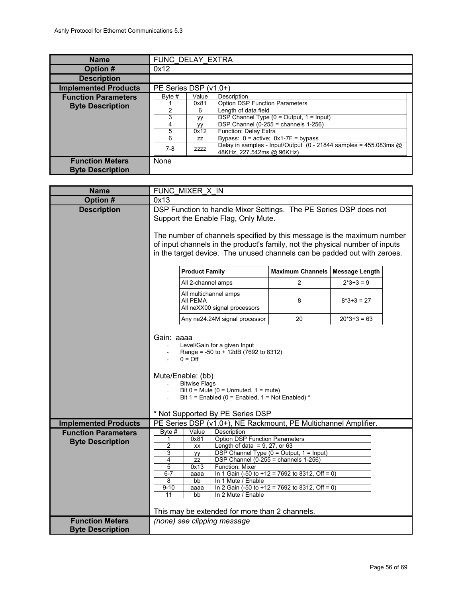<span id="page-55-1"></span>

| <b>Name</b>                 | FUNC DELAY EXTRA                                                |             |                                                                                               |  |
|-----------------------------|-----------------------------------------------------------------|-------------|-----------------------------------------------------------------------------------------------|--|
| Option #                    | 0x12                                                            |             |                                                                                               |  |
| <b>Description</b>          |                                                                 |             |                                                                                               |  |
| <b>Implemented Products</b> | PE Series DSP (v1.0+)                                           |             |                                                                                               |  |
| <b>Function Parameters</b>  | Byte #                                                          | Value       | Description                                                                                   |  |
| <b>Byte Description</b>     |                                                                 | 0x81        | <b>Option DSP Function Parameters</b>                                                         |  |
|                             | 2                                                               | 6           | Length of data field                                                                          |  |
|                             | 3<br>DSP Channel Type ( $0 =$ Output, $1 =$ Input)<br><b>VV</b> |             |                                                                                               |  |
|                             | 4                                                               | <b>VV</b>   | DSP Channel $(0-255)$ = channels 1-256)                                                       |  |
|                             | 5                                                               | 0x12        | Function: Delay Extra                                                                         |  |
|                             | 6                                                               | ZZ          | Bypass: $0 =$ active: $0x1-7F =$ bypass                                                       |  |
|                             | $7-8$                                                           | <b>ZZZZ</b> | Delay in samples - Input/Output (0 - 21844 samples = 455.083ms @<br>48KHz, 227.542ms @ 96KHz) |  |
| <b>Function Meters</b>      | None                                                            |             |                                                                                               |  |
| <b>Byte Description</b>     |                                                                 |             |                                                                                               |  |

<span id="page-55-0"></span>

| <b>Name</b>                                           | FUNC MIXER X IN                                                                                                                                                                                                                                                                                                                                                                                                                                                                                                                                                                                                                            |  |  |  |  |
|-------------------------------------------------------|--------------------------------------------------------------------------------------------------------------------------------------------------------------------------------------------------------------------------------------------------------------------------------------------------------------------------------------------------------------------------------------------------------------------------------------------------------------------------------------------------------------------------------------------------------------------------------------------------------------------------------------------|--|--|--|--|
| Option #                                              | 0x13                                                                                                                                                                                                                                                                                                                                                                                                                                                                                                                                                                                                                                       |  |  |  |  |
| <b>Description</b>                                    | DSP Function to handle Mixer Settings. The PE Series DSP does not<br>Support the Enable Flag, Only Mute.<br>The number of channels specified by this message is the maximum number<br>of input channels in the product's family, not the physical number of inputs<br>in the target device. The unused channels can be padded out with zeroes.                                                                                                                                                                                                                                                                                             |  |  |  |  |
|                                                       | <b>Maximum Channels</b><br><b>Product Family</b><br><b>Message Length</b>                                                                                                                                                                                                                                                                                                                                                                                                                                                                                                                                                                  |  |  |  |  |
|                                                       | $\overline{2}$<br>$2*3+3=9$<br>All 2-channel amps                                                                                                                                                                                                                                                                                                                                                                                                                                                                                                                                                                                          |  |  |  |  |
|                                                       | All multichannel amps<br>AII PEMA<br>8<br>$8*3+3=27$<br>All neXX00 signal processors                                                                                                                                                                                                                                                                                                                                                                                                                                                                                                                                                       |  |  |  |  |
|                                                       | 20<br>Any ne24.24M signal processor<br>$20*3+3=63$                                                                                                                                                                                                                                                                                                                                                                                                                                                                                                                                                                                         |  |  |  |  |
|                                                       | Gain: aaaa<br>Level/Gain for a given Input<br>Range = -50 to + 12dB (7692 to 8312)<br>$0 = \text{Off}$<br>Mute/Enable: (bb)<br><b>Bitwise Flags</b><br>Bit $0 =$ Mute $(0 =$ Unmuted, $1 =$ mute)<br>Bit 1 = Enabled (0 = Enabled, 1 = Not Enabled) $*$                                                                                                                                                                                                                                                                                                                                                                                    |  |  |  |  |
| <b>Implemented Products</b>                           | * Not Supported By PE Series DSP                                                                                                                                                                                                                                                                                                                                                                                                                                                                                                                                                                                                           |  |  |  |  |
| <b>Function Parameters</b><br><b>Byte Description</b> | PE Series DSP (v1.0+), NE Rackmount, PE Multichannel Amplifier.<br>Byte $#$<br>Value<br>Description<br><b>Option DSP Function Parameters</b><br>0x81<br>1<br>$\overline{c}$<br>Length of data = $9, 27,$ or 63<br>XX<br>3<br>DSP Channel Type (0 = Output, 1 = Input)<br>уу<br>DSP Channel (0-255 = channels $1-256$ )<br>4<br><b>ZZ</b><br>5<br>Function: Mixer<br>0x13<br>In 1 Gain (-50 to +12 = $7692$ to 8312, Off = 0)<br>$6 - 7$<br>aaaa<br>In 1 Mute / Enable<br>8<br>bb<br>In 2 Gain (-50 to +12 = 7692 to 8312, Off = 0)<br>$9 - 10$<br>aaaa<br>11<br>In 2 Mute / Enable<br>bb<br>This may be extended for more than 2 channels. |  |  |  |  |
| <b>Function Meters</b><br><b>Byte Description</b>     | (none) see clipping message                                                                                                                                                                                                                                                                                                                                                                                                                                                                                                                                                                                                                |  |  |  |  |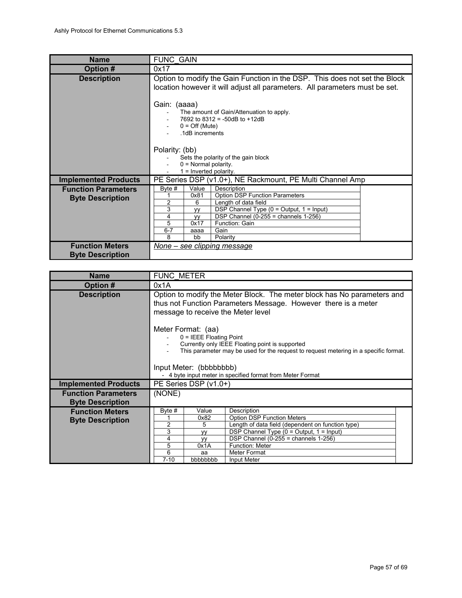<span id="page-56-1"></span>

| <b>Name</b>                                           | <b>FUNC GAIN</b>                                                                                                                                                                                                                                                                                                                |  |  |  |
|-------------------------------------------------------|---------------------------------------------------------------------------------------------------------------------------------------------------------------------------------------------------------------------------------------------------------------------------------------------------------------------------------|--|--|--|
| Option #                                              | 0x17                                                                                                                                                                                                                                                                                                                            |  |  |  |
| <b>Description</b>                                    | Option to modify the Gain Function in the DSP. This does not set the Block<br>location however it will adjust all parameters. All parameters must be set.                                                                                                                                                                       |  |  |  |
|                                                       | Gain: (aaaa)<br>The amount of Gain/Attenuation to apply.<br>7692 to 8312 = -50dB to +12dB<br>$0 = \text{Off (Mute)}$<br>.1dB increments                                                                                                                                                                                         |  |  |  |
|                                                       | Polarity: (bb)<br>Sets the polarity of the gain block                                                                                                                                                                                                                                                                           |  |  |  |
|                                                       | $0 =$ Normal polarity.<br>$1 =$ Inverted polarity.                                                                                                                                                                                                                                                                              |  |  |  |
| <b>Implemented Products</b>                           | PE Series DSP (v1.0+), NE Rackmount, PE Multi Channel Amp                                                                                                                                                                                                                                                                       |  |  |  |
| <b>Function Parameters</b><br><b>Byte Description</b> | Byte #<br>Value<br>Description<br><b>Option DSP Function Parameters</b><br>0x81<br>2<br>Length of data field<br>6<br>3<br>DSP Channel Type $(0 = Output, 1 = Input)$<br><b>VV</b><br>DSP Channel $(0-255)$ = channels 1-256)<br>4<br><b>VV</b><br>5<br>0x17<br>Function: Gain<br>$6 - 7$<br>Gain<br>aaaa<br>8<br>Polarity<br>bb |  |  |  |
| <b>Function Meters</b><br><b>Byte Description</b>     | None – see clipping message                                                                                                                                                                                                                                                                                                     |  |  |  |

<span id="page-56-0"></span>

| <b>Name</b>                                           | <b>FUNC METER</b>                                                                                                                                                                                                                                                                   |                                                                 |                                                                                                                                                                                                                                                         |  |
|-------------------------------------------------------|-------------------------------------------------------------------------------------------------------------------------------------------------------------------------------------------------------------------------------------------------------------------------------------|-----------------------------------------------------------------|---------------------------------------------------------------------------------------------------------------------------------------------------------------------------------------------------------------------------------------------------------|--|
| <b>Option#</b>                                        | 0x1A                                                                                                                                                                                                                                                                                |                                                                 |                                                                                                                                                                                                                                                         |  |
| <b>Description</b>                                    | Option to modify the Meter Block. The meter block has No parameters and<br>thus not Function Parameters Message. However there is a meter<br>message to receive the Meter level                                                                                                     |                                                                 |                                                                                                                                                                                                                                                         |  |
|                                                       | Meter Format: (aa)<br>$0 = IEEE$ Floating Point<br>Currently only IEEE Floating point is supported<br>This parameter may be used for the request to request metering in a specific format.<br>Input Meter: (bbbbbbbb)<br>- 4 byte input meter in specified format from Meter Format |                                                                 |                                                                                                                                                                                                                                                         |  |
| <b>Implemented Products</b>                           |                                                                                                                                                                                                                                                                                     | $PE$ Series DSP $(v1.0+)$                                       |                                                                                                                                                                                                                                                         |  |
| <b>Function Parameters</b><br><b>Byte Description</b> | (NONE)                                                                                                                                                                                                                                                                              |                                                                 |                                                                                                                                                                                                                                                         |  |
| <b>Function Meters</b><br><b>Byte Description</b>     | Byte $#$<br>2<br>3<br>4<br>5<br>6<br>$7 - 10$                                                                                                                                                                                                                                       | Value<br>0x82<br>5<br>VV<br><b>VV</b><br>0x1A<br>aa<br>bbbbbbbb | Description<br><b>Option DSP Function Meters</b><br>Length of data field (dependent on function type)<br>DSP Channel Type $(0 = Output, 1 = Input)$<br>DSP Channel $(0-255)$ = channels 1-256)<br><b>Function: Meter</b><br>Meter Format<br>Input Meter |  |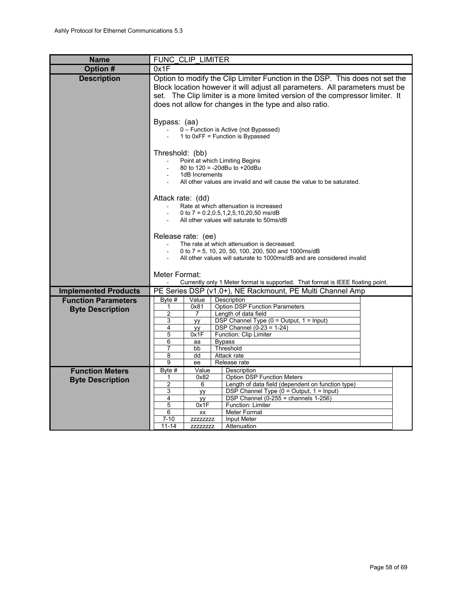<span id="page-57-0"></span>

| <b>Name</b>                 | FUNC CLIP LIMITER                                                                                                                                                                                                                                                                                       |                |                                                                                 |
|-----------------------------|---------------------------------------------------------------------------------------------------------------------------------------------------------------------------------------------------------------------------------------------------------------------------------------------------------|----------------|---------------------------------------------------------------------------------|
| Option #                    | 0x1F                                                                                                                                                                                                                                                                                                    |                |                                                                                 |
| <b>Description</b>          | Option to modify the Clip Limiter Function in the DSP. This does not set the<br>Block location however it will adjust all parameters. All parameters must be<br>set. The Clip limiter is a more limited version of the compressor limiter. It<br>does not allow for changes in the type and also ratio. |                |                                                                                 |
|                             | Bypass: (aa)<br>0 - Function is Active (not Bypassed)<br>1 to 0xFF = Function is Bypassed                                                                                                                                                                                                               |                |                                                                                 |
|                             | Threshold: (bb)<br>Point at which Limiting Begins<br>$\mathcal{L}_{\mathcal{A}}$<br>80 to 120 = -20dBu to +20dBu<br>1dB Increments<br>All other values are invalid and will cause the value to be saturated.                                                                                            |                |                                                                                 |
|                             | Attack rate: (dd)<br>Rate at which attenuation is increased<br>0 to 7 = $0.2, 0.5, 1, 2, 5, 10, 20, 50$ ms/dB<br>All other values will saturate to 50ms/dB                                                                                                                                              |                |                                                                                 |
|                             | Release rate: (ee)<br>The rate at which attenuation is decreased.<br>0 to 7 = 5, 10, 20, 50, 100, 200, 500 and 1000ms/dB<br>All other values will saturate to 1000ms/dB and are considered invalid<br>Meter Format:                                                                                     |                |                                                                                 |
|                             |                                                                                                                                                                                                                                                                                                         |                | Currently only 1 Meter format is supported. That format is IEEE floating point. |
| <b>Implemented Products</b> |                                                                                                                                                                                                                                                                                                         |                | PE Series DSP (v1.0+), NE Rackmount, PE Multi Channel Amp                       |
| <b>Function Parameters</b>  | $B$ yte #                                                                                                                                                                                                                                                                                               | Value          | Description                                                                     |
| <b>Byte Description</b>     | 1                                                                                                                                                                                                                                                                                                       | 0x81           | <b>Option DSP Function Parameters</b>                                           |
|                             | $\overline{2}$                                                                                                                                                                                                                                                                                          | $\overline{7}$ | Length of data field                                                            |
|                             | 3<br>4                                                                                                                                                                                                                                                                                                  | yy             | DSP Channel Type (0 = Output, 1 = Input)<br><b>DSP Channel (0-23 = 1-24)</b>    |
|                             | 5                                                                                                                                                                                                                                                                                                       | yy<br>0x1F     | Function: Clip Limiter                                                          |
|                             | 6                                                                                                                                                                                                                                                                                                       | aa             | <b>Bypass</b>                                                                   |
|                             | 7                                                                                                                                                                                                                                                                                                       | bb             | Threshold                                                                       |
|                             | 8<br>9                                                                                                                                                                                                                                                                                                  | dd<br>ee       | Attack rate<br>Release rate                                                     |
| <b>Function Meters</b>      | Byte #                                                                                                                                                                                                                                                                                                  | Value          | Description                                                                     |
| <b>Byte Description</b>     | 1                                                                                                                                                                                                                                                                                                       | 0x82           | <b>Option DSP Function Meters</b>                                               |
|                             | $\overline{2}$                                                                                                                                                                                                                                                                                          | 6              | Length of data field (dependent on function type)                               |
|                             | 3                                                                                                                                                                                                                                                                                                       | yy             | DSP Channel Type (0 = Output, 1 = Input)                                        |
|                             | $\overline{4}$<br>5                                                                                                                                                                                                                                                                                     | уy<br>0x1F     | DSP Channel $(0-255)$ = channels 1-256)<br>Function: Limiter                    |
|                             | 6                                                                                                                                                                                                                                                                                                       | XX             | Meter Format                                                                    |
|                             | $7 - 10$                                                                                                                                                                                                                                                                                                | ZZZZZZZZZ      | Input Meter                                                                     |
|                             | $11 - 14$                                                                                                                                                                                                                                                                                               | ZZZZZZZZZ      | Attenuation                                                                     |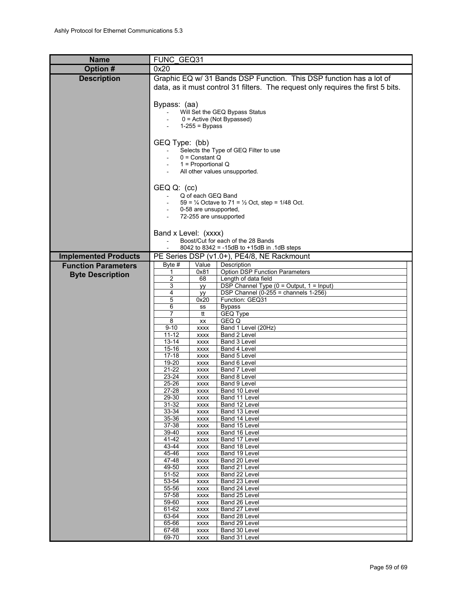<span id="page-58-0"></span>

| <b>Name</b>                 | FUNC GEQ31                                                              |                            |                                                                                  |  |
|-----------------------------|-------------------------------------------------------------------------|----------------------------|----------------------------------------------------------------------------------|--|
| Option #                    | 0x20                                                                    |                            |                                                                                  |  |
| <b>Description</b>          |                                                                         |                            | Graphic EQ w/ 31 Bands DSP Function. This DSP function has a lot of              |  |
|                             |                                                                         |                            | data, as it must control 31 filters. The request only requires the first 5 bits. |  |
|                             |                                                                         |                            |                                                                                  |  |
|                             | Bypass: (aa)                                                            |                            |                                                                                  |  |
|                             |                                                                         |                            | Will Set the GEQ Bypass Status                                                   |  |
|                             |                                                                         | $1-255 = Bypass$           | $0 =$ Active (Not Bypassed)                                                      |  |
|                             |                                                                         |                            |                                                                                  |  |
|                             | GEQ Type: (bb)                                                          |                            |                                                                                  |  |
|                             |                                                                         |                            | Selects the Type of GEQ Filter to use                                            |  |
|                             | $0 =$ Constant Q<br>1 = Proportional Q<br>All other values unsupported. |                            |                                                                                  |  |
|                             |                                                                         |                            |                                                                                  |  |
|                             |                                                                         |                            |                                                                                  |  |
|                             | GEQ Q: (cc)                                                             |                            |                                                                                  |  |
|                             |                                                                         | Q of each GEQ Band         |                                                                                  |  |
|                             |                                                                         |                            | $59 = \frac{1}{4}$ Octave to 71 = $\frac{1}{2}$ Oct, step = 1/48 Oct.            |  |
|                             |                                                                         | 0-58 are unsupported,      | 72-255 are unsupported                                                           |  |
|                             |                                                                         |                            |                                                                                  |  |
|                             | Band x Level: (xxxx)                                                    |                            |                                                                                  |  |
|                             |                                                                         |                            | Boost/Cut for each of the 28 Bands                                               |  |
|                             |                                                                         |                            | 8042 to 8342 = -15dB to +15dB in .1dB steps                                      |  |
| <b>Implemented Products</b> | Byte $#$                                                                | Value                      | PE Series DSP (v1.0+), PE4/8, NE Rackmount<br>Description                        |  |
| <b>Function Parameters</b>  | 1                                                                       | 0x81                       | <b>Option DSP Function Parameters</b>                                            |  |
| <b>Byte Description</b>     | $\overline{c}$                                                          | 68                         | Length of data field                                                             |  |
|                             | 3                                                                       | yy                         | DSP Channel Type (0 = Output, 1 = Input)                                         |  |
|                             | 4<br>5                                                                  | уу<br>0x20                 | DSP Channel $(0-255)$ = channels $1-256$ )<br>Function: GEQ31                    |  |
|                             | 6                                                                       | SS                         | <b>Bypass</b>                                                                    |  |
|                             | 7                                                                       | tt                         | <b>GEQ Type</b>                                                                  |  |
|                             | 8<br>$9 - 10$                                                           | XX                         | GEQ Q<br>Band 1 Level (20Hz)                                                     |  |
|                             | $11 - 12$                                                               | <b>XXXX</b><br><b>XXXX</b> | Band 2 Level                                                                     |  |
|                             | $13 - 14$                                                               | <b>XXXX</b>                | Band 3 Level                                                                     |  |
|                             | $15 - 16$                                                               | <b>XXXX</b>                | Band 4 Level                                                                     |  |
|                             | $17 - 18$<br>19-20                                                      | <b>XXXX</b><br><b>XXXX</b> | Band 5 Level<br>Band 6 Level                                                     |  |
|                             | $21 - 22$                                                               | <b>XXXX</b>                | Band 7 Level                                                                     |  |
|                             | 23-24                                                                   | XXXX                       | Band 8 Level                                                                     |  |
|                             | 25-26<br>27-28                                                          | <b>XXXX</b>                | Band 9 Level                                                                     |  |
|                             | 29-30                                                                   | <b>XXXX</b><br><b>XXXX</b> | Band 10 Level<br>Band 11 Level                                                   |  |
|                             | $31 - 32$                                                               | <b>XXXX</b>                | Band 12 Level                                                                    |  |
|                             | 33-34                                                                   | <b>XXXX</b>                | Band 13 Level                                                                    |  |
|                             | 35-36<br>37-38                                                          | <b>XXXX</b><br><b>XXXX</b> | Band 14 Level<br>Band 15 Level                                                   |  |
|                             | 39-40                                                                   | <b>XXXX</b>                | Band 16 Level                                                                    |  |
|                             | 41-42                                                                   | <b>XXXX</b>                | Band 17 Level                                                                    |  |
|                             | 43-44<br>45-46                                                          | <b>XXXX</b>                | Band 18 Level<br>Band 19 Level                                                   |  |
|                             | 47-48                                                                   | <b>XXXX</b><br><b>XXXX</b> | Band 20 Level                                                                    |  |
|                             | 49-50                                                                   | <b>XXXX</b>                | Band 21 Level                                                                    |  |
|                             | 51-52                                                                   | <b>XXXX</b>                | Band 22 Level                                                                    |  |
|                             | 53-54<br>55-56                                                          | <b>XXXX</b><br><b>XXXX</b> | Band 23 Level<br>Band 24 Level                                                   |  |
|                             | 57-58                                                                   | <b>XXXX</b>                | Band 25 Level                                                                    |  |
|                             | 59-60                                                                   | <b>XXXX</b>                | Band 26 Level                                                                    |  |
|                             | 61-62                                                                   | <b>XXXX</b>                | Band 27 Level                                                                    |  |
|                             | 63-64<br>65-66                                                          | <b>XXXX</b><br><b>XXXX</b> | Band 28 Level<br>Band 29 Level                                                   |  |
|                             | 67-68                                                                   | <b>XXXX</b>                | Band 30 Level                                                                    |  |
|                             | 69-70                                                                   | <b>XXXX</b>                | Band 31 Level                                                                    |  |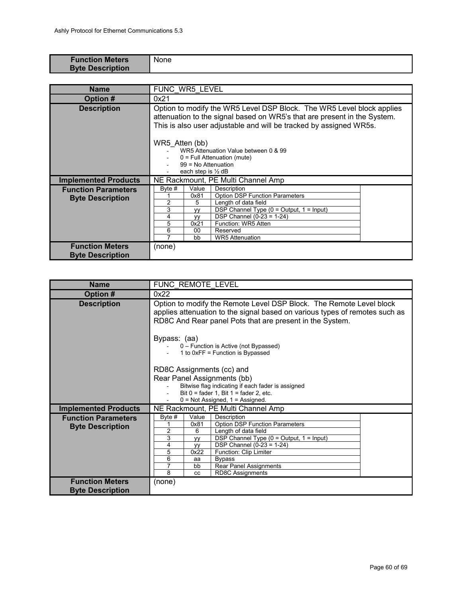| <b>Function Meters</b><br><b>Byte Description</b> | <b>None</b> |
|---------------------------------------------------|-------------|
|                                                   |             |

<span id="page-59-1"></span>

| <b>Name</b>                                           | FUNC WR5 LEVEL                                                                                                                                                                                                                                                                                                                                                             |  |  |  |
|-------------------------------------------------------|----------------------------------------------------------------------------------------------------------------------------------------------------------------------------------------------------------------------------------------------------------------------------------------------------------------------------------------------------------------------------|--|--|--|
| Option #                                              | 0x21                                                                                                                                                                                                                                                                                                                                                                       |  |  |  |
| <b>Description</b>                                    | Option to modify the WR5 Level DSP Block. The WR5 Level block applies<br>attenuation to the signal based on WR5's that are present in the System.<br>This is also user adjustable and will be tracked by assigned WR5s.<br>WR5 Atten (bb)<br>WR5 Attenuation Value between 0 & 99<br>$0 =$ Full Attenuation (mute)<br>99 = No Attenuation<br>each step is $\frac{1}{2}$ dB |  |  |  |
| <b>Implemented Products</b>                           | NE Rackmount, PE Multi Channel Amp                                                                                                                                                                                                                                                                                                                                         |  |  |  |
| <b>Function Parameters</b><br><b>Byte Description</b> | Byte #<br>Value<br>Description<br><b>Option DSP Function Parameters</b><br>0x81<br>$\overline{2}$<br>Length of data field<br>5<br>3<br>DSP Channel Type ( $0 =$ Output, $1 =$ Input)<br>۷V<br>DSP Channel $(0-23 = 1-24)$<br>4<br><b>VV</b><br>5<br>Function: WR5 Atten<br>0x21<br>6<br>00<br>Reserved<br>7<br><b>WR5</b> Attenuation<br>bb                                |  |  |  |
| <b>Function Meters</b><br><b>Byte Description</b>     | (none)                                                                                                                                                                                                                                                                                                                                                                     |  |  |  |

<span id="page-59-0"></span>

| <b>Name</b>                                           | FUNC REMOTE LEVEL                                                                                                                                                                                              |                                                                                                                                                                                                                                                                                                                             |                                    |  |  |  |  |  |  |  |
|-------------------------------------------------------|----------------------------------------------------------------------------------------------------------------------------------------------------------------------------------------------------------------|-----------------------------------------------------------------------------------------------------------------------------------------------------------------------------------------------------------------------------------------------------------------------------------------------------------------------------|------------------------------------|--|--|--|--|--|--|--|
| Option #                                              | 0x22                                                                                                                                                                                                           |                                                                                                                                                                                                                                                                                                                             |                                    |  |  |  |  |  |  |  |
| <b>Description</b>                                    | Option to modify the Remote Level DSP Block. The Remote Level block<br>applies attenuation to the signal based on various types of remotes such as<br>RD8C And Rear panel Pots that are present in the System. |                                                                                                                                                                                                                                                                                                                             |                                    |  |  |  |  |  |  |  |
|                                                       | Bypass: (aa)<br>0 – Function is Active (not Bypassed)<br>1 to 0xFF = Function is Bypassed                                                                                                                      |                                                                                                                                                                                                                                                                                                                             |                                    |  |  |  |  |  |  |  |
|                                                       | RD8C Assignments (cc) and<br>Rear Panel Assignments (bb)<br>Bitwise flag indicating if each fader is assigned<br>Bit $0 =$ fader 1, Bit $1 =$ fader 2, etc.<br>$0 = Not$ Assigned, $1 =$ Assigned.             |                                                                                                                                                                                                                                                                                                                             |                                    |  |  |  |  |  |  |  |
| <b>Implemented Products</b>                           |                                                                                                                                                                                                                |                                                                                                                                                                                                                                                                                                                             | NE Rackmount, PE Multi Channel Amp |  |  |  |  |  |  |  |
| <b>Function Parameters</b><br><b>Byte Description</b> | Byte #<br>1<br>2<br>3<br>4<br>5<br>6<br>7<br>8                                                                                                                                                                 | Value<br>Description<br><b>Option DSP Function Parameters</b><br>0x81<br>6<br>Length of data field<br>DSP Channel Type (0 = Output, 1 = Input)<br><b>VV</b><br>DSP Channel $(0-23 = 1-24)$<br><b>VV</b><br>Function: Clip Limiter<br>0x22<br><b>Bypass</b><br>aa<br>Rear Panel Assignments<br>bb<br><b>RD8C Assignments</b> |                                    |  |  |  |  |  |  |  |
| <b>Function Meters</b><br><b>Byte Description</b>     | (none)                                                                                                                                                                                                         |                                                                                                                                                                                                                                                                                                                             |                                    |  |  |  |  |  |  |  |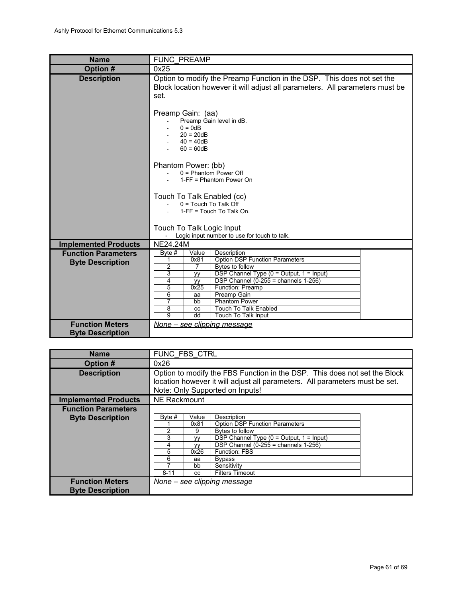<span id="page-60-1"></span>

| <b>Name</b>                                       | <b>FUNC PREAMP</b>                                                                                                                                             |  |  |  |  |  |  |  |  |
|---------------------------------------------------|----------------------------------------------------------------------------------------------------------------------------------------------------------------|--|--|--|--|--|--|--|--|
| Option #                                          | 0x25                                                                                                                                                           |  |  |  |  |  |  |  |  |
| <b>Description</b>                                | Option to modify the Preamp Function in the DSP. This does not set the<br>Block location however it will adjust all parameters. All parameters must be<br>set. |  |  |  |  |  |  |  |  |
|                                                   | Preamp Gain: (aa)<br>Preamp Gain level in dB.<br>$0 = 0$ d $B$<br>$20 = 20dB$<br>$40 = 40dB$<br>$60 = 60dB$                                                    |  |  |  |  |  |  |  |  |
|                                                   | Phantom Power: (bb)<br>$0 =$ Phantom Power Off<br>1-FF = Phantom Power On                                                                                      |  |  |  |  |  |  |  |  |
|                                                   | Touch To Talk Enabled (cc)<br>$0 =$ Touch To Talk Off<br>1-FF = Touch To Talk On.                                                                              |  |  |  |  |  |  |  |  |
|                                                   | Touch To Talk Logic Input<br>Logic input number to use for touch to talk.                                                                                      |  |  |  |  |  |  |  |  |
| <b>Implemented Products</b>                       | <b>NE24.24M</b>                                                                                                                                                |  |  |  |  |  |  |  |  |
| <b>Function Parameters</b>                        | Value<br>Description<br>Byte $#$                                                                                                                               |  |  |  |  |  |  |  |  |
| <b>Byte Description</b>                           | <b>Option DSP Function Parameters</b><br>0x81<br>1                                                                                                             |  |  |  |  |  |  |  |  |
|                                                   | 2<br>Bytes to follow<br>7<br>DSP Channel Type (0 = Output, 1 = Input)<br>3<br>yу                                                                               |  |  |  |  |  |  |  |  |
|                                                   | DSP Channel (0-255 = channels $1-256$ )<br>4<br><b>VV</b>                                                                                                      |  |  |  |  |  |  |  |  |
|                                                   | 0x25<br>5<br>Function: Preamp                                                                                                                                  |  |  |  |  |  |  |  |  |
|                                                   | 6<br>Preamp Gain<br>aa                                                                                                                                         |  |  |  |  |  |  |  |  |
|                                                   | 7<br><b>Phantom Power</b><br>bb                                                                                                                                |  |  |  |  |  |  |  |  |
|                                                   | 8<br><b>Touch To Talk Enabled</b><br>cc<br>9<br>dd<br>Touch To Talk Input                                                                                      |  |  |  |  |  |  |  |  |
| <b>Function Meters</b><br><b>Byte Description</b> | None - see clipping message                                                                                                                                    |  |  |  |  |  |  |  |  |

<span id="page-60-0"></span>

| <b>Name</b>                                           | FUNC FBS CTRL                                            |                                                                                                                                                                                             |                                                                                                                                                                                                                                             |  |  |  |  |  |  |  |
|-------------------------------------------------------|----------------------------------------------------------|---------------------------------------------------------------------------------------------------------------------------------------------------------------------------------------------|---------------------------------------------------------------------------------------------------------------------------------------------------------------------------------------------------------------------------------------------|--|--|--|--|--|--|--|
| Option #                                              | 0x26                                                     |                                                                                                                                                                                             |                                                                                                                                                                                                                                             |  |  |  |  |  |  |  |
| <b>Description</b>                                    |                                                          | Option to modify the FBS Function in the DSP. This does not set the Block<br>location however it will adjust all parameters. All parameters must be set.<br>Note: Only Supported on Inputs! |                                                                                                                                                                                                                                             |  |  |  |  |  |  |  |
| <b>Implemented Products</b>                           | <b>NE Rackmount</b>                                      |                                                                                                                                                                                             |                                                                                                                                                                                                                                             |  |  |  |  |  |  |  |
| <b>Function Parameters</b><br><b>Byte Description</b> | Byte #<br>$\mathfrak{p}$<br>3<br>4<br>5<br>6<br>$8 - 11$ | Value<br>0x81<br>9<br><b>VV</b><br><b>VV</b><br>0x26<br>aa<br>bb<br><b>CC</b>                                                                                                               | Description<br><b>Option DSP Function Parameters</b><br>Bytes to follow<br>DSP Channel Type $(0 = Output, 1 = Input)$<br>DSP Channel $(0-255)$ = channels 1-256)<br>Function: FBS<br><b>Bypass</b><br>Sensitivity<br><b>Filters Timeout</b> |  |  |  |  |  |  |  |
| <b>Function Meters</b><br><b>Byte Description</b>     | None – see clipping message                              |                                                                                                                                                                                             |                                                                                                                                                                                                                                             |  |  |  |  |  |  |  |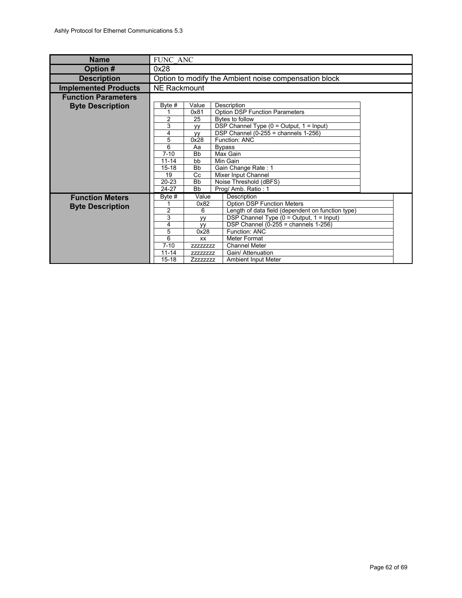<span id="page-61-0"></span>

| <b>Name</b>                 | FUNC ANC                                                   |                                                      |                                                       |  |  |  |  |  |
|-----------------------------|------------------------------------------------------------|------------------------------------------------------|-------------------------------------------------------|--|--|--|--|--|
| Option #                    | 0x28                                                       |                                                      |                                                       |  |  |  |  |  |
| <b>Description</b>          |                                                            |                                                      | Option to modify the Ambient noise compensation block |  |  |  |  |  |
| <b>Implemented Products</b> | <b>NE Rackmount</b>                                        |                                                      |                                                       |  |  |  |  |  |
| <b>Function Parameters</b>  |                                                            |                                                      |                                                       |  |  |  |  |  |
| <b>Byte Description</b>     | Byte #                                                     | Value<br>Description                                 |                                                       |  |  |  |  |  |
|                             |                                                            | 0x81<br><b>Option DSP Function Parameters</b>        |                                                       |  |  |  |  |  |
|                             | $\overline{2}$                                             | Bytes to follow<br>25                                |                                                       |  |  |  |  |  |
|                             | 3<br>DSP Channel Type (0 = Output, 1 = Input)<br><b>VV</b> |                                                      |                                                       |  |  |  |  |  |
|                             | 4                                                          | DSP Channel (0-255 = channels $1-256$ )<br><b>VV</b> |                                                       |  |  |  |  |  |
|                             | 5                                                          | 0x28<br>Function: ANC                                |                                                       |  |  |  |  |  |
|                             | 6                                                          | Aa<br><b>Bypass</b>                                  |                                                       |  |  |  |  |  |
|                             | $7 - 10$                                                   | <b>Bb</b>                                            | Max Gain                                              |  |  |  |  |  |
|                             | $11 - 14$                                                  | bb                                                   | Min Gain                                              |  |  |  |  |  |
|                             | $15 - 18$                                                  | <b>Bb</b>                                            | Gain Change Rate: 1                                   |  |  |  |  |  |
|                             | 19                                                         | Cc                                                   | Mixer Input Channel                                   |  |  |  |  |  |
|                             | $20 - 23$                                                  | <b>Bb</b>                                            | Noise Threshold (dBFS)                                |  |  |  |  |  |
|                             | 24-27                                                      | <b>Bb</b>                                            | Prog/ Amb. Ratio: 1                                   |  |  |  |  |  |
| <b>Function Meters</b>      | Byte $#$                                                   | Value                                                | Description                                           |  |  |  |  |  |
| <b>Byte Description</b>     |                                                            | 0x82                                                 | <b>Option DSP Function Meters</b>                     |  |  |  |  |  |
|                             | 2                                                          | 6                                                    | Length of data field (dependent on function type)     |  |  |  |  |  |
|                             | 3                                                          | VV                                                   | DSP Channel Type $(0 = Output, 1 = Input)$            |  |  |  |  |  |
|                             | 4                                                          | VV                                                   | DSP Channel $(0-255)$ = channels 1-256)               |  |  |  |  |  |
|                             | 5                                                          | 0x28                                                 | Function: ANC                                         |  |  |  |  |  |
|                             | 6                                                          | <b>XX</b>                                            | Meter Format                                          |  |  |  |  |  |
|                             | $7 - 10$                                                   | <b>ZZZZZZZZZ</b>                                     | <b>Channel Meter</b>                                  |  |  |  |  |  |
|                             | $11 - 14$                                                  | <b>ZZZZZZZZZ</b>                                     | Gain/ Attenuation                                     |  |  |  |  |  |
|                             | $15 - 18$                                                  | <b>Zzzzzzzzz</b>                                     | Ambient Input Meter                                   |  |  |  |  |  |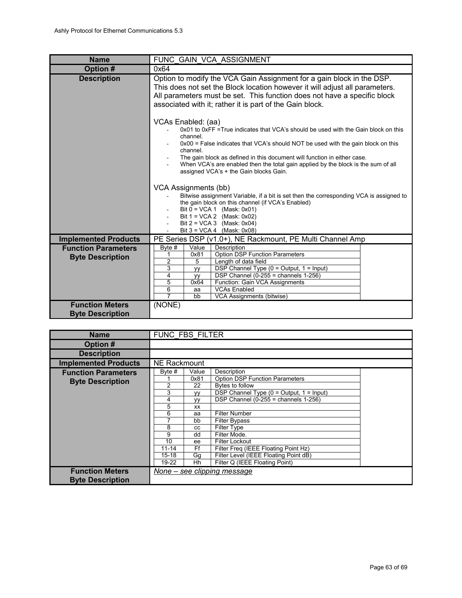<span id="page-62-0"></span>

| <b>Name</b>                                           | FUNC GAIN VCA ASSIGNMENT                                                                                                                                                                                                                                                                                                                                                                                                          |  |  |  |  |  |  |  |  |
|-------------------------------------------------------|-----------------------------------------------------------------------------------------------------------------------------------------------------------------------------------------------------------------------------------------------------------------------------------------------------------------------------------------------------------------------------------------------------------------------------------|--|--|--|--|--|--|--|--|
| Option #                                              | 0x64                                                                                                                                                                                                                                                                                                                                                                                                                              |  |  |  |  |  |  |  |  |
| <b>Description</b>                                    | Option to modify the VCA Gain Assignment for a gain block in the DSP.<br>This does not set the Block location however it will adjust all parameters.<br>All parameters must be set. This function does not have a specific block<br>associated with it; rather it is part of the Gain block.                                                                                                                                      |  |  |  |  |  |  |  |  |
|                                                       | VCAs Enabled: (aa)<br>0x01 to 0xFF = True indicates that VCA's should be used with the Gain block on this<br>channel<br>$0x00$ = False indicates that VCA's should NOT be used with the gain block on this<br>channel.<br>The gain block as defined in this document will function in either case.<br>When VCA's are enabled then the total gain applied by the block is the sum of all<br>assigned VCA's + the Gain blocks Gain. |  |  |  |  |  |  |  |  |
|                                                       | VCA Assignments (bb)<br>Bitwise assignment Variable, if a bit is set then the corresponding VCA is assigned to<br>the gain block on this channel (if VCA's Enabled)<br>Bit $0 = VCA 1$ (Mask: 0x01)<br>Bit $1 = VCA2$ (Mask: 0x02)<br>Bit $2 = VCA3$ (Mask: 0x04)<br>Bit $3 = VCA 4$ (Mask: 0x08)                                                                                                                                 |  |  |  |  |  |  |  |  |
| <b>Implemented Products</b>                           | PE Series DSP (v1.0+), NE Rackmount, PE Multi Channel Amp                                                                                                                                                                                                                                                                                                                                                                         |  |  |  |  |  |  |  |  |
| <b>Function Parameters</b><br><b>Byte Description</b> | Value<br>Description<br>Byte #<br><b>Option DSP Function Parameters</b><br>0x81<br>1<br>2<br>Length of data field<br>5<br>3<br>DSP Channel Type ( $0 =$ Output, $1 =$ Input)<br>yy<br>DSP Channel $(0-255)$ = channels 1-256)<br>4<br><b>VV</b><br>5<br>Function: Gain VCA Assignments<br>0x64<br><b>VCAs Enabled</b><br>6<br>aa<br>7<br>VCA Assignments (bitwise)<br>bb                                                          |  |  |  |  |  |  |  |  |
| <b>Function Meters</b><br><b>Byte Description</b>     | (NONE)                                                                                                                                                                                                                                                                                                                                                                                                                            |  |  |  |  |  |  |  |  |

| <b>Name</b>                                           | FUNC FBS FILTER                                                                    |                                                                                                     |                                                                                                                                                                                                                                                                                                                                                                                             |  |  |  |  |  |  |
|-------------------------------------------------------|------------------------------------------------------------------------------------|-----------------------------------------------------------------------------------------------------|---------------------------------------------------------------------------------------------------------------------------------------------------------------------------------------------------------------------------------------------------------------------------------------------------------------------------------------------------------------------------------------------|--|--|--|--|--|--|
| Option #                                              |                                                                                    |                                                                                                     |                                                                                                                                                                                                                                                                                                                                                                                             |  |  |  |  |  |  |
| <b>Description</b>                                    |                                                                                    |                                                                                                     |                                                                                                                                                                                                                                                                                                                                                                                             |  |  |  |  |  |  |
| <b>Implemented Products</b>                           | NE Rackmount                                                                       |                                                                                                     |                                                                                                                                                                                                                                                                                                                                                                                             |  |  |  |  |  |  |
| <b>Function Parameters</b><br><b>Byte Description</b> | Byte #<br>2<br>3<br>4<br>5<br>6<br>8<br>9<br>10<br>$11 - 14$<br>$15 - 18$<br>19-22 | Value<br>0x81<br>22<br><b>VV</b><br><b>VV</b><br>XX<br>aa<br>bb<br>CC<br>dd<br>ee<br>Ff<br>Gg<br>Hh | Description<br><b>Option DSP Function Parameters</b><br>Bytes to follow<br>DSP Channel Type $(0 = Output, 1 = Input)$<br>DSP Channel $(0-255)$ = channels 1-256)<br><b>Filter Number</b><br><b>Filter Bypass</b><br><b>Filter Type</b><br>Filter Mode.<br>Filter Lockout<br>Filter Freg (IEEE Floating Point Hz)<br>Filter Level (IEEE Floating Point dB)<br>Filter Q (IEEE Floating Point) |  |  |  |  |  |  |
| <b>Function Meters</b><br><b>Byte Description</b>     | None – see clipping message                                                        |                                                                                                     |                                                                                                                                                                                                                                                                                                                                                                                             |  |  |  |  |  |  |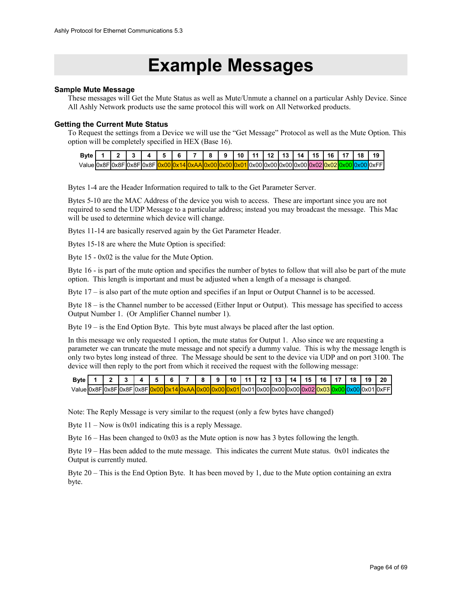## **Example Messages**

#### **Sample Mute Message**

These messages will Get the Mute Status as well as Mute/Unmute a channel on a particular Ashly Device. Since All Ashly Network products use the same protocol this will work on All Networked products.

#### **Getting the Current Mute Status**

To Request the settings from a Device we will use the "Get Message" Protocol as well as the Mute Option. This option will be completely specified in HEX (Base 16).

| Byte $1 \mid 2 \mid 3 \mid 4 \mid 5 \mid 6$ |  |  |  |  | 8 9 10 11 12 13 14 15 16 17 18 19 |  |  |  |  |                                                                        |
|---------------------------------------------|--|--|--|--|-----------------------------------|--|--|--|--|------------------------------------------------------------------------|
| ValueI0x8FI0x8FI0x8FI0x8FI <mark>0</mark> ; |  |  |  |  |                                   |  |  |  |  | <u>\1 </u> 0x00 0x00 0x00 0x00 0x02  <mark>0x02 0x00 </mark> 0x00 0xFF |

Bytes 1-4 are the Header Information required to talk to the Get Parameter Server.

Bytes 5-10 are the MAC Address of the device you wish to access. These are important since you are not required to send the UDP Message to a particular address; instead you may broadcast the message. This Mac will be used to determine which device will change.

Bytes 11-14 are basically reserved again by the Get Parameter Header.

Bytes 15-18 are where the Mute Option is specified:

Byte 15 - 0x02 is the value for the Mute Option.

Byte 16 - is part of the mute option and specifies the number of bytes to follow that will also be part of the mute option. This length is important and must be adjusted when a length of a message is changed.

Byte 17 – is also part of the mute option and specifies if an Input or Output Channel is to be accessed.

Byte 18 – is the Channel number to be accessed (Either Input or Output). This message has specified to access Output Number 1. (Or Amplifier Channel number 1).

Byte 19 – is the End Option Byte. This byte must always be placed after the last option.

In this message we only requested 1 option, the mute status for Output 1. Also since we are requesting a parameter we can truncate the mute message and not specify a dummy value. This is why the message length is only two bytes long instead of three. The Message should be sent to the device via UDP and on port 3100. The device will then reply to the port from which it received the request with the following message:

| <b>B</b> vte              |  |  |  | $\mathbf{R}$ | . 91 | ່ 10   11   12   13   . |  | 14115      | 16   17 | 18 | 19  | $\frac{1}{20}$ |
|---------------------------|--|--|--|--------------|------|-------------------------|--|------------|---------|----|-----|----------------|
| ValueI0x8FI0x8FI0x8FI0x8F |  |  |  |              |      |                         |  | า⊽กก∣∩⊽กว⊩ |         |    | NXU | 01l0xFFI       |

Note: The Reply Message is very similar to the request (only a few bytes have changed)

Byte 11 – Now is 0x01 indicating this is a reply Message.

Byte 16 – Has been changed to 0x03 as the Mute option is now has 3 bytes following the length.

Byte 19 – Has been added to the mute message. This indicates the current Mute status. 0x01 indicates the Output is currently muted.

Byte 20 – This is the End Option Byte. It has been moved by 1, due to the Mute option containing an extra byte.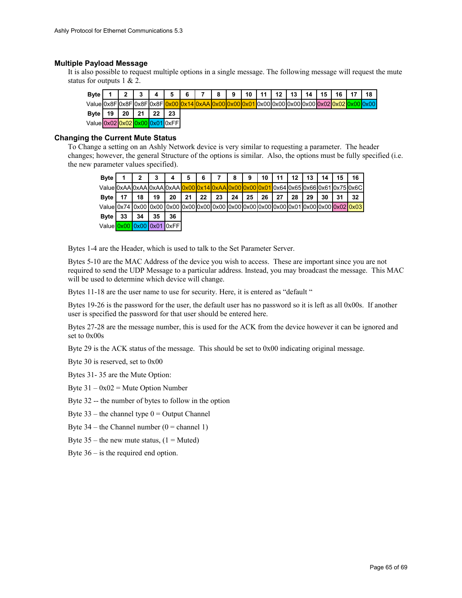#### **Multiple Payload Message**

It is also possible to request multiple options in a single message. The following message will request the mute status for outputs 1 & 2.

| <b>Byte</b>                    |    |    | $\bullet$ |    | 5  | 6 | $\rightarrow$ | 8 | <b>Q</b> | 10 <sub>1</sub> | 44 <sub>1</sub> | 12 | 13 | 14 | 15 | 16 | 18 |
|--------------------------------|----|----|-----------|----|----|---|---------------|---|----------|-----------------|-----------------|----|----|----|----|----|----|
|                                |    |    |           |    |    |   |               |   |          |                 |                 |    |    |    |    |    |    |
| Byte                           | 19 | 20 | 21        | 22 | 23 |   |               |   |          |                 |                 |    |    |    |    |    |    |
| Value 0x02 0x02 0x00 0x01 0xFF |    |    |           |    |    |   |               |   |          |                 |                 |    |    |    |    |    |    |

#### **Changing the Current Mute Status**

To Change a setting on an Ashly Network device is very similar to requesting a parameter. The header changes; however, the general Structure of the options is similar. Also, the options must be fully specified (i.e. the new parameter values specified).

| <b>Byte</b>                                                                                                  |    | 2  | 3  | 4  | 5  | 6  |    | 8  | 9  | 10 | 11 | 12 <sup>12</sup> | 13 | 14 | 15 | 16 |
|--------------------------------------------------------------------------------------------------------------|----|----|----|----|----|----|----|----|----|----|----|------------------|----|----|----|----|
| ValueI0xAAI0xAAI0xAAI0xAAI0x00I0x14I0xAAI0xA0I0x00I0x01I0x64I0x65I0x66I0x61I0x75I0x6CI                       |    |    |    |    |    |    |    |    |    |    |    |                  |    |    |    |    |
| Byte                                                                                                         | 17 | 18 | 19 | 20 | 21 | 22 | 23 | 24 | 25 | 26 | 27 | 28               | 29 | 30 | 31 | 32 |
| Value 0x74   0x00   0x00   0x00   0x00   0x00   0x00   0x00   0x00   0x00   0x00   0x00   0x00   0x00   0x00 |    |    |    |    |    |    |    |    |    |    |    |                  |    |    |    |    |
| <b>Byte</b>                                                                                                  | 33 | 34 | 35 | 36 |    |    |    |    |    |    |    |                  |    |    |    |    |
| Value 0x00 0x00 0x01 0xFFI                                                                                   |    |    |    |    |    |    |    |    |    |    |    |                  |    |    |    |    |

Bytes 1-4 are the Header, which is used to talk to the Set Parameter Server.

Bytes 5-10 are the MAC Address of the device you wish to access. These are important since you are not required to send the UDP Message to a particular address. Instead, you may broadcast the message. This MAC will be used to determine which device will change.

Bytes 11-18 are the user name to use for security. Here, it is entered as "default "

Bytes 19-26 is the password for the user, the default user has no password so it is left as all 0x00s. If another user is specified the password for that user should be entered here.

Bytes 27-28 are the message number, this is used for the ACK from the device however it can be ignored and set to 0x00s

Byte 29 is the ACK status of the message. This should be set to 0x00 indicating original message.

Byte 30 is reserved, set to 0x00

Bytes 31- 35 are the Mute Option:

Byte  $31 - 0x02$  = Mute Option Number

Byte 32 -- the number of bytes to follow in the option

Byte  $33$  – the channel type  $0 =$  Output Channel

Byte  $34$  – the Channel number  $(0)$  = channel 1)

Byte  $35$  – the new mute status,  $(1)$  = Muted)

Byte 36 – is the required end option.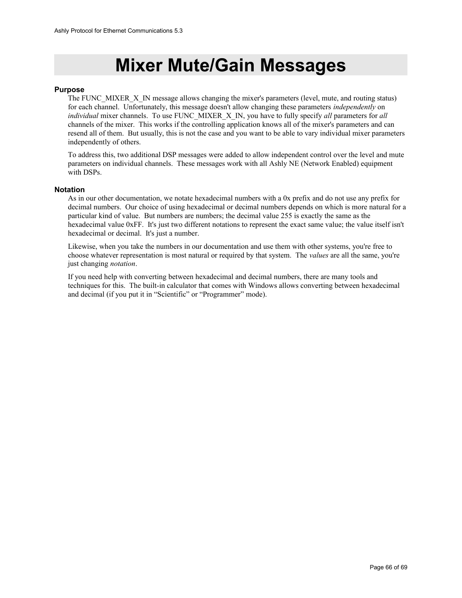## **Mixer Mute/Gain Messages**

#### **Purpose**

The FUNC\_MIXER\_X\_IN message allows changing the mixer's parameters (level, mute, and routing status) for each channel. Unfortunately, this message doesn't allow changing these parameters *independently* on *individual* mixer channels. To use FUNC\_MIXER\_X\_IN, you have to fully specify *all* parameters for *all* channels of the mixer. This works if the controlling application knows all of the mixer's parameters and can resend all of them. But usually, this is not the case and you want to be able to vary individual mixer parameters independently of others.

To address this, two additional DSP messages were added to allow independent control over the level and mute parameters on individual channels. These messages work with all Ashly NE (Network Enabled) equipment with DSPs.

#### **Notation**

As in our other documentation, we notate hexadecimal numbers with a 0x prefix and do not use any prefix for decimal numbers. Our choice of using hexadecimal or decimal numbers depends on which is more natural for a particular kind of value. But numbers are numbers; the decimal value 255 is exactly the same as the hexadecimal value 0xFF. It's just two different notations to represent the exact same value; the value itself isn't hexadecimal or decimal. It's just a number.

Likewise, when you take the numbers in our documentation and use them with other systems, you're free to choose whatever representation is most natural or required by that system. The *values* are all the same, you're just changing *notation*.

If you need help with converting between hexadecimal and decimal numbers, there are many tools and techniques for this. The built-in calculator that comes with Windows allows converting between hexadecimal and decimal (if you put it in "Scientific" or "Programmer" mode).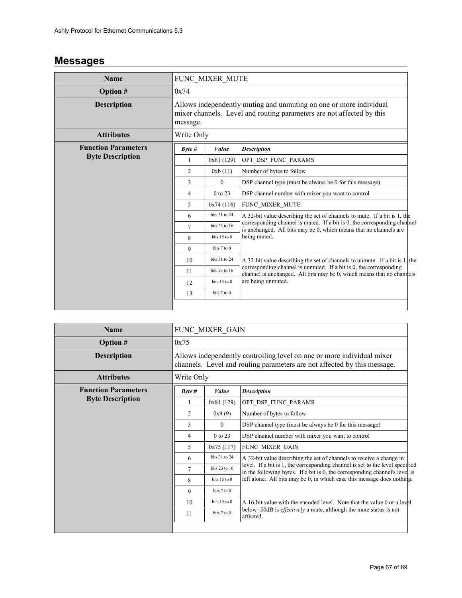### **Messages**

| <b>Name</b>                |                                                                                                                                                         | FUNC_MIXER_MUTE  |                                                                                                                                               |  |  |  |  |  |  |  |  |
|----------------------------|---------------------------------------------------------------------------------------------------------------------------------------------------------|------------------|-----------------------------------------------------------------------------------------------------------------------------------------------|--|--|--|--|--|--|--|--|
| <b>Option #</b>            | 0x74                                                                                                                                                    |                  |                                                                                                                                               |  |  |  |  |  |  |  |  |
| <b>Description</b>         | Allows independently muting and unmuting on one or more individual<br>mixer channels. Level and routing parameters are not affected by this<br>message. |                  |                                                                                                                                               |  |  |  |  |  |  |  |  |
| <b>Attributes</b>          | Write Only                                                                                                                                              |                  |                                                                                                                                               |  |  |  |  |  |  |  |  |
| <b>Function Parameters</b> | $B$ <i>yte</i> #                                                                                                                                        | Value            | <b>Description</b>                                                                                                                            |  |  |  |  |  |  |  |  |
| <b>Byte Description</b>    | 1                                                                                                                                                       | 0x81(129)        | OPT_DSP_FUNC_PARAMS                                                                                                                           |  |  |  |  |  |  |  |  |
|                            | $\overline{c}$                                                                                                                                          | 0xb(11)          | Number of bytes to follow                                                                                                                     |  |  |  |  |  |  |  |  |
|                            | 3                                                                                                                                                       | $\theta$         | DSP channel type (must be always be 0 for this message)                                                                                       |  |  |  |  |  |  |  |  |
|                            | 4                                                                                                                                                       | 0 to 23          | DSP channel number with mixer you want to control                                                                                             |  |  |  |  |  |  |  |  |
|                            | 5                                                                                                                                                       | 0x74(116)        | FUNC_MIXER_MUTE                                                                                                                               |  |  |  |  |  |  |  |  |
|                            | 6                                                                                                                                                       | bits 31 to 24    | A 32-bit value describing the set of channels to mute. If a bit is 1, the                                                                     |  |  |  |  |  |  |  |  |
|                            | 7                                                                                                                                                       | bits 23 to 16    | corresponding channel is muted. If a bit is 0, the corresponding channel<br>is unchanged. All bits may be 0, which means that no channels are |  |  |  |  |  |  |  |  |
|                            | 8                                                                                                                                                       | bits $15$ to $8$ | being muted.                                                                                                                                  |  |  |  |  |  |  |  |  |
|                            | 9                                                                                                                                                       | bits 7 to 0      |                                                                                                                                               |  |  |  |  |  |  |  |  |
|                            | 10                                                                                                                                                      | bits 31 to 24    | A 32-bit value describing the set of channels to unmute. If a bit is 1, the                                                                   |  |  |  |  |  |  |  |  |
|                            | 11                                                                                                                                                      | bits 23 to 16    | corresponding channel is unmuted. If a bit is 0, the corresponding<br>channel is unchanged. All bits may be 0, which means that no channels   |  |  |  |  |  |  |  |  |
|                            | 12                                                                                                                                                      | bits 15 to 8     | are being unmuted.                                                                                                                            |  |  |  |  |  |  |  |  |
|                            | 13                                                                                                                                                      | bits 7 to 0      |                                                                                                                                               |  |  |  |  |  |  |  |  |
|                            |                                                                                                                                                         |                  |                                                                                                                                               |  |  |  |  |  |  |  |  |

| <b>Name</b>                |                | FUNC MIXER GAIN                                                                                                                                    |                                                                                                                                                              |  |  |  |  |  |  |  |  |  |
|----------------------------|----------------|----------------------------------------------------------------------------------------------------------------------------------------------------|--------------------------------------------------------------------------------------------------------------------------------------------------------------|--|--|--|--|--|--|--|--|--|
| <b>Option #</b>            | 0x75           |                                                                                                                                                    |                                                                                                                                                              |  |  |  |  |  |  |  |  |  |
| <b>Description</b>         |                | Allows independently controlling level on one or more individual mixer<br>channels. Level and routing parameters are not affected by this message. |                                                                                                                                                              |  |  |  |  |  |  |  |  |  |
| <b>Attributes</b>          |                | Write Only                                                                                                                                         |                                                                                                                                                              |  |  |  |  |  |  |  |  |  |
| <b>Function Parameters</b> | Byte#          | Value                                                                                                                                              | <b>Description</b>                                                                                                                                           |  |  |  |  |  |  |  |  |  |
| <b>Byte Description</b>    | 1              | 0x81(129)                                                                                                                                          | OPT DSP FUNC PARAMS                                                                                                                                          |  |  |  |  |  |  |  |  |  |
|                            | 2              | 0x9(9)                                                                                                                                             | Number of bytes to follow                                                                                                                                    |  |  |  |  |  |  |  |  |  |
|                            | 3              | $\theta$                                                                                                                                           | DSP channel type (must be always be 0 for this message)                                                                                                      |  |  |  |  |  |  |  |  |  |
|                            | $\overline{4}$ | DSP channel number with mixer you want to control                                                                                                  |                                                                                                                                                              |  |  |  |  |  |  |  |  |  |
|                            | 5              | FUNC MIXER GAIN                                                                                                                                    |                                                                                                                                                              |  |  |  |  |  |  |  |  |  |
|                            | 6              | bits 31 to 24                                                                                                                                      | A 32-bit value describing the set of channels to receive a change in                                                                                         |  |  |  |  |  |  |  |  |  |
|                            | 7              | bits 23 to 16                                                                                                                                      | level. If a bit is 1, the corresponding channel is set to the level specified<br>in the following bytes. If a bit is 0, the corresponding channel's level is |  |  |  |  |  |  |  |  |  |
|                            | 8              | bits $15$ to $8$                                                                                                                                   | left alone. All bits may be 0, in which case this message does nothing.                                                                                      |  |  |  |  |  |  |  |  |  |
|                            | 9              | bits 7 to 0                                                                                                                                        |                                                                                                                                                              |  |  |  |  |  |  |  |  |  |
|                            | 10             | bits 15 to 8                                                                                                                                       | A 16-bit value with the encoded level. Note that the value 0 or a level                                                                                      |  |  |  |  |  |  |  |  |  |
|                            | 11             | bits 7 to 0                                                                                                                                        | below -50dB is <i>effectively</i> a mute, although the mute status is not<br>affected.                                                                       |  |  |  |  |  |  |  |  |  |
|                            |                |                                                                                                                                                    |                                                                                                                                                              |  |  |  |  |  |  |  |  |  |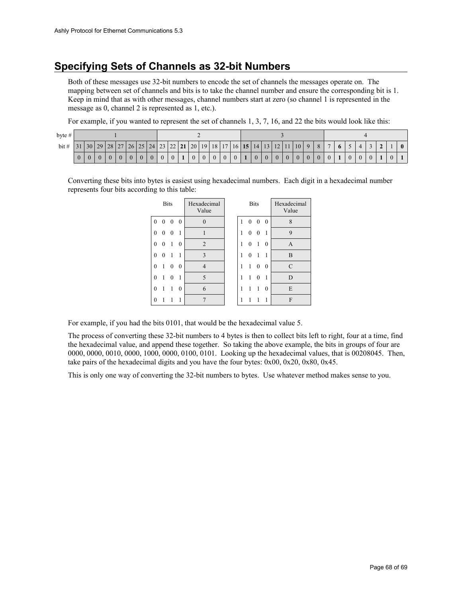### **Specifying Sets of Channels as 32-bit Numbers**

Both of these messages use 32-bit numbers to encode the set of channels the messages operate on. The mapping between set of channels and bits is to take the channel number and ensure the corresponding bit is 1. Keep in mind that as with other messages, channel numbers start at zero (so channel 1 is represented in the message as 0, channel 2 is represented as 1, etc.).

For example, if you wanted to represent the set of channels 1, 3, 7, 16, and 22 the bits would look like this:

| bvte # |  |                                                                                                                                                                                                                                         |  |          |                |                |          |                |                |                |  |          |              |                |                |                |  |                |                |                |                |                |                |                |                |   |                |  |                |  |  |
|--------|--|-----------------------------------------------------------------------------------------------------------------------------------------------------------------------------------------------------------------------------------------|--|----------|----------------|----------------|----------|----------------|----------------|----------------|--|----------|--------------|----------------|----------------|----------------|--|----------------|----------------|----------------|----------------|----------------|----------------|----------------|----------------|---|----------------|--|----------------|--|--|
| bit#   |  | $\vert 31 \vert 30 \vert 29 \vert 28 \vert 27 \vert 26 \vert 25 \vert 24 \vert 23 \vert 22 \vert 21 \vert 20 \vert 19 \vert 18 \vert 17 \vert 16 \vert 15 \vert 14 \vert 13 \vert 12 \vert 11 \vert 10 \vert 9 \vert 8 \vert 7 \vert 1$ |  |          |                |                |          |                |                |                |  |          |              |                |                |                |  |                |                |                |                |                |                |                |                | 6 |                |  | $\sim$         |  |  |
|        |  |                                                                                                                                                                                                                                         |  | $\theta$ | $\overline{0}$ | $\overline{0}$ | $\theta$ | $\overline{0}$ | $\overline{0}$ | $\overline{0}$ |  | $\theta$ | $\mathbf{0}$ | $\overline{0}$ | $\overline{0}$ | $\overline{0}$ |  | $\overline{0}$ | $\overline{0}$ | 0 <sup>1</sup> | $\overline{0}$ | $\overline{0}$ | $\overline{0}$ | $\overline{0}$ | 0 <sup>1</sup> |   | $\overline{0}$ |  | $\overline{0}$ |  |  |

Converting these bits into bytes is easiest using hexadecimal numbers. Each digit in a hexadecimal number represents four bits according to this table:

|              | <b>Bits</b> |          |   | Hexadecimal<br>Value |   | <b>Bits</b> |          | Hexadecimal<br>Value |               |  |  |
|--------------|-------------|----------|---|----------------------|---|-------------|----------|----------------------|---------------|--|--|
| 0            | $_{0}$      | 0        | 0 | $\theta$             | 1 | 0           | 0        | $\theta$             | 8             |  |  |
| 0            | 0           | $\theta$ |   |                      | 1 | 0           | 0        | 1                    | 9             |  |  |
| 0            | $_{0}$      |          | 0 | $\overline{2}$       | 1 | 0           | 1        | $\theta$             | A             |  |  |
| $\mathbf{0}$ | $\Omega$    |          |   | $\mathbf{3}$         | 1 | 0           | 1        | 1                    | B             |  |  |
| $\mathbf{0}$ | 1           | $\theta$ | 0 | $\overline{4}$       | 1 | 1           | $\theta$ | 0                    | $\mathcal{C}$ |  |  |
| $\mathbf{0}$ | 1           | 0        |   | 5                    | 1 | 1           | $\theta$ | 1                    | D             |  |  |
| $\theta$     | 1           |          | 0 | 6                    | 1 | 1           | 1        | $\theta$             | E             |  |  |
| 0            |             |          |   |                      |   |             |          | 1                    | F             |  |  |

For example, if you had the bits 0101, that would be the hexadecimal value 5.

The process of converting these 32-bit numbers to 4 bytes is then to collect bits left to right, four at a time, find the hexadecimal value, and append these together. So taking the above example, the bits in groups of four are 0000, 0000, 0010, 0000, 1000, 0000, 0100, 0101. Looking up the hexadecimal values, that is 00208045. Then, take pairs of the hexadecimal digits and you have the four bytes:  $0x00$ ,  $0x20$ ,  $0x80$ ,  $0x45$ .

This is only one way of converting the 32-bit numbers to bytes. Use whatever method makes sense to you.